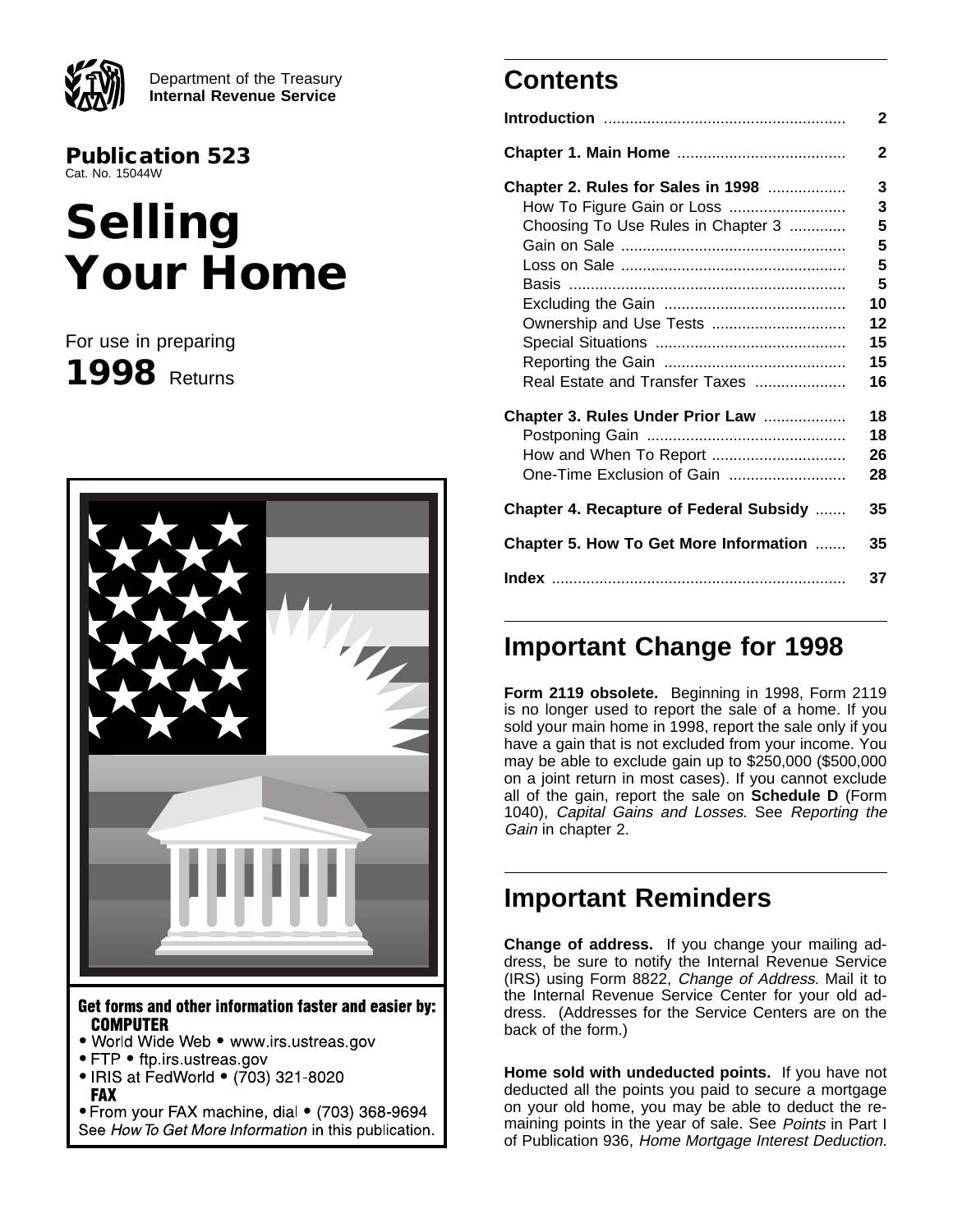

Department of the Treasury **Internal Revenue Service**

**Publication 523** Cat. No. 15044W

# **Selling Your Home**

For use in preparing **1998** Returns



Get forms and other information faster and easier by: **COMPUTER** 

- . World Wide Web www.irs.ustreas.gov
- FTP ftp.irs.ustreas.gov
- IRIS at FedWorld (703) 321-8020 **FAX**

• From your FAX machine, dial • (703) 368-9694 See How To Get More Information in this publication.

## **Contents**

|                                            | $\mathbf{2}$ |
|--------------------------------------------|--------------|
|                                            | $\mathbf 2$  |
| <b>Chapter 2. Rules for Sales in 1998 </b> | 3            |
| How To Figure Gain or Loss                 | 3            |
| Choosing To Use Rules in Chapter 3         | 5            |
|                                            | 5            |
|                                            | 5            |
|                                            | 5            |
|                                            | 10           |
| Ownership and Use Tests                    | 12           |
|                                            | 15           |
|                                            | 15           |
| Real Estate and Transfer Taxes             | 16           |
| Chapter 3. Rules Under Prior Law           | 18           |
|                                            | 18           |
| How and When To Report                     | 26           |
| One-Time Exclusion of Gain                 | 28           |
| Chapter 4. Recapture of Federal Subsidy    | 35           |
| Chapter 5. How To Get More Information     | 35           |
|                                            | 37           |

## **Important Change for 1998**

**Form 2119 obsolete.** Beginning in 1998, Form 2119 is no longer used to report the sale of a home. If you sold your main home in 1998, report the sale only if you have a gain that is not excluded from your income. You may be able to exclude gain up to \$250,000 (\$500,000 on a joint return in most cases). If you cannot exclude all of the gain, report the sale on **Schedule D** (Form 1040), Capital Gains and Losses. See Reporting the Gain in chapter 2.

## **Important Reminders**

**Change of address.** If you change your mailing address, be sure to notify the Internal Revenue Service (IRS) using Form 8822, Change of Address. Mail it to the Internal Revenue Service Center for your old address. (Addresses for the Service Centers are on the back of the form.)

**Home sold with undeducted points.** If you have not deducted all the points you paid to secure a mortgage on your old home, you may be able to deduct the remaining points in the year of sale. See Points in Part I of Publication 936, Home Mortgage Interest Deduction.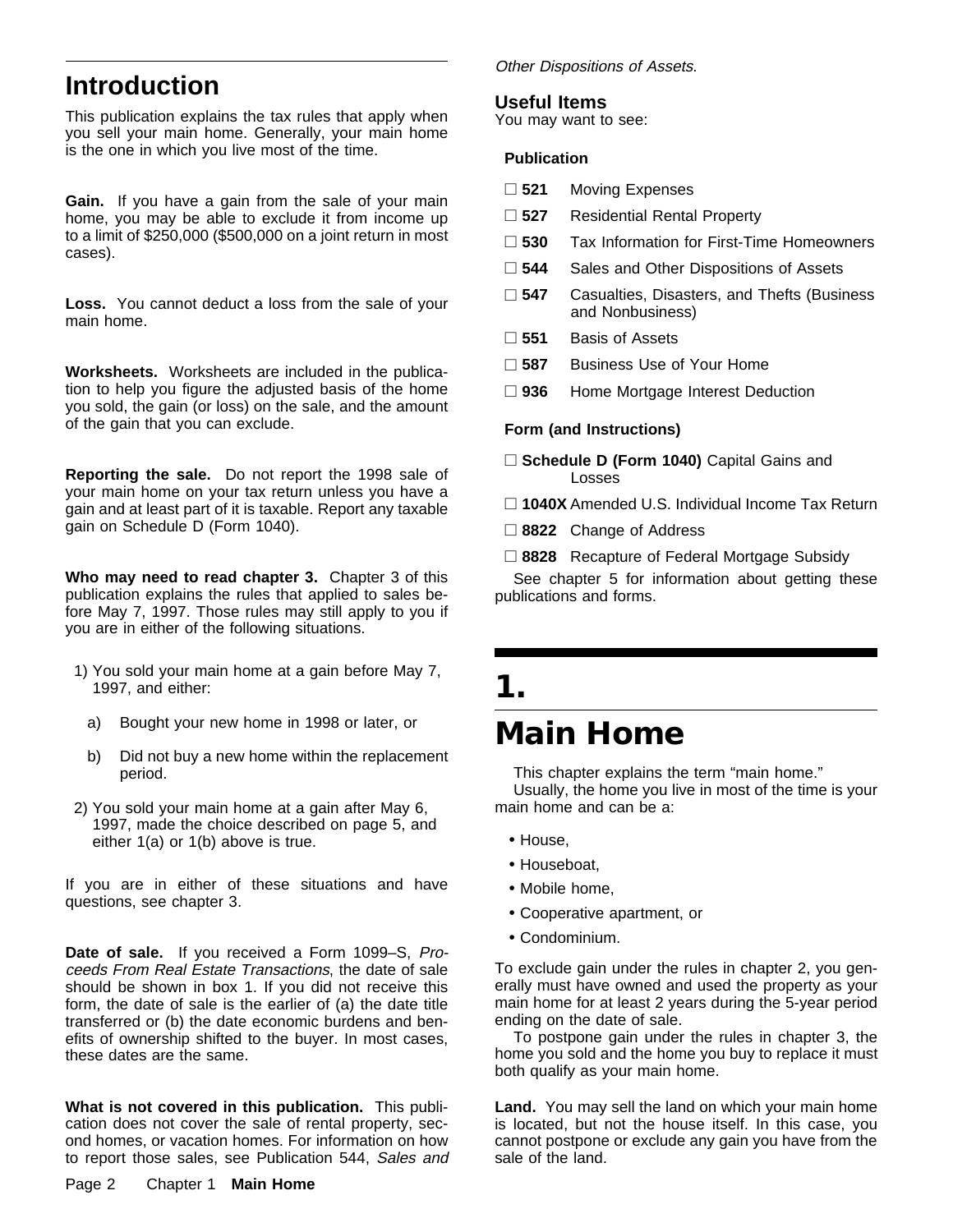## **Introduction**

This publication explains the tax rules that apply when you sell your main home. Generally, your main home is the one in which you live most of the time.

**Gain.** If you have a gain from the sale of your main home, you may be able to exclude it from income up to a limit of \$250,000 (\$500,000 on a joint return in most cases).

**Loss.** You cannot deduct a loss from the sale of your main home.

**Worksheets.** Worksheets are included in the publication to help you figure the adjusted basis of the home you sold, the gain (or loss) on the sale, and the amount of the gain that you can exclude.

**Reporting the sale.** Do not report the 1998 sale of your main home on your tax return unless you have a gain and at least part of it is taxable. Report any taxable gain on Schedule D (Form 1040).

**Who may need to read chapter 3.** Chapter 3 of this publication explains the rules that applied to sales before May 7, 1997. Those rules may still apply to you if you are in either of the following situations.

- 1) You sold your main home at a gain before May 7, 1997, and either:
	- a) Bought your new home in 1998 or later, or
	- b) Did not buy a new home within the replacement period.
- 2) You sold your main home at a gain after May 6, 1997, made the choice described on page 5, and either 1(a) or 1(b) above is true.

If you are in either of these situations and have questions, see chapter 3.

**Date of sale.** If you received a Form 1099–S, Proceeds From Real Estate Transactions, the date of sale should be shown in box 1. If you did not receive this form, the date of sale is the earlier of (a) the date title transferred or (b) the date economic burdens and benefits of ownership shifted to the buyer. In most cases, these dates are the same.

**What is not covered in this publication.** This publication does not cover the sale of rental property, second homes, or vacation homes. For information on how to report those sales, see Publication 544, Sales and

#### Other Dispositions of Assets.

#### **Useful Items**

You may want to see:

#### **Publication**

- □ 521 Moving Expenses
- □ 527 Residential Rental Property
- □ 530 Tax Information for First-Time Homeowners
- □ 544 Sales and Other Dispositions of Assets
- □ 547 Casualties, Disasters, and Thefts (Business and Nonbusiness)
- □ 551 Basis of Assets
- □ 587 Business Use of Your Home
- □ 936 Home Mortgage Interest Deduction

#### **Form (and Instructions)**

- □ Schedule D (Form 1040) Capital Gains and Losses
- □ 1040X Amended U.S. Individual Income Tax Return
- □ 8822 Change of Address
- □ 8828 Recapture of Federal Mortgage Subsidy

See chapter 5 for information about getting these publications and forms.

## **1. Main Home**

#### This chapter explains the term "main home." Usually, the home you live in most of the time is your main home and can be a:

- House,
- Houseboat,
- Mobile home,
- Cooperative apartment, or
- Condominium.

To exclude gain under the rules in chapter 2, you generally must have owned and used the property as your main home for at least 2 years during the 5-year period ending on the date of sale.

To postpone gain under the rules in chapter 3, the home you sold and the home you buy to replace it must both qualify as your main home.

**Land.** You may sell the land on which your main home is located, but not the house itself. In this case, you cannot postpone or exclude any gain you have from the sale of the land.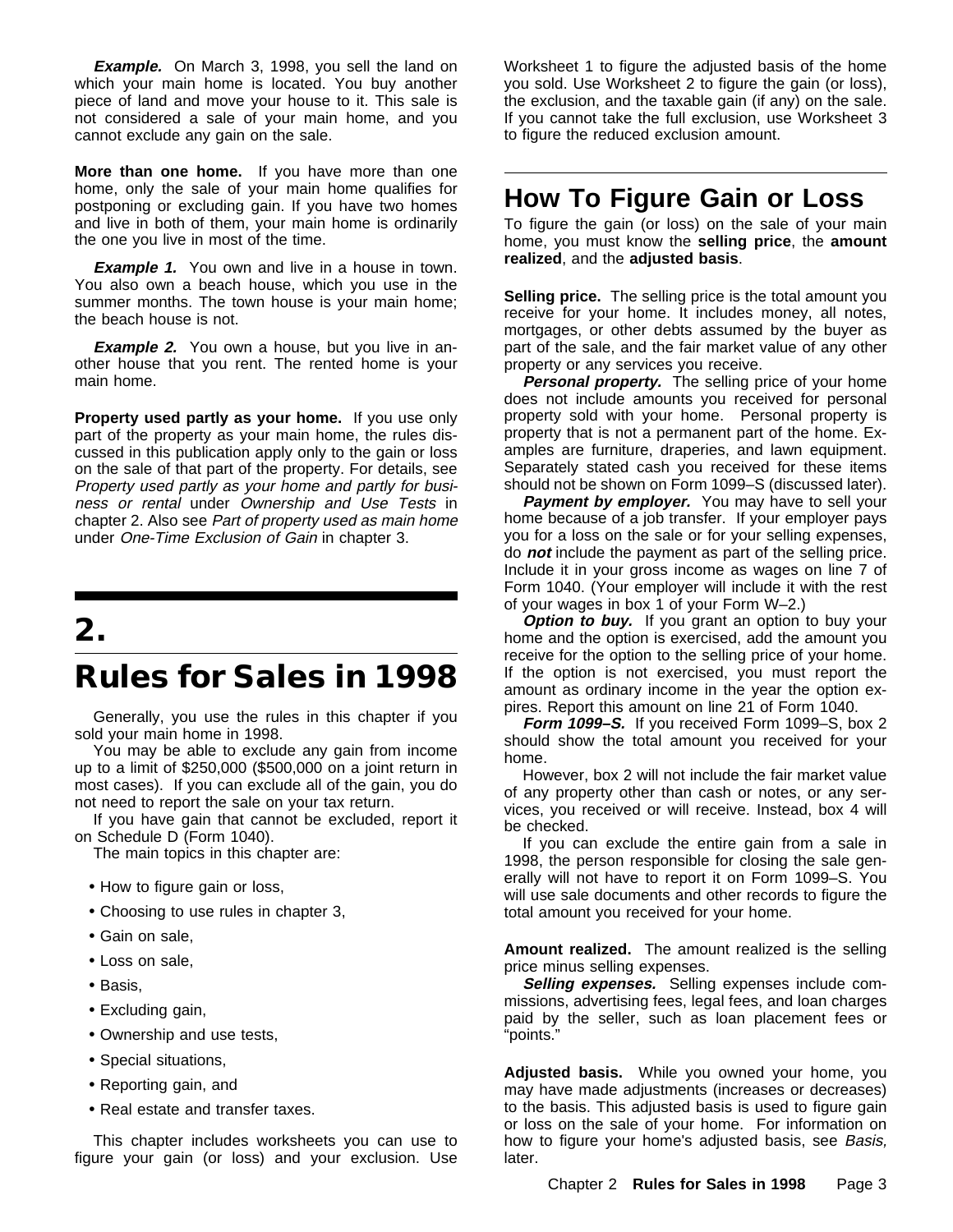**Example.** On March 3, 1998, you sell the land on which your main home is located. You buy another piece of land and move your house to it. This sale is not considered a sale of your main home, and you cannot exclude any gain on the sale.

**More than one home.** If you have more than one home, only the sale of your main home qualifies for postponing or excluding gain. If you have two homes and live in both of them, your main home is ordinarily the one you live in most of the time.

**Example 1.** You own and live in a house in town. You also own a beach house, which you use in the summer months. The town house is your main home; the beach house is not.

**Example 2.** You own a house, but you live in another house that you rent. The rented home is your main home.

**Property used partly as your home.** If you use only part of the property as your main home, the rules discussed in this publication apply only to the gain or loss on the sale of that part of the property. For details, see Property used partly as your home and partly for business or rental under Ownership and Use Tests in chapter 2. Also see Part of property used as main home under One-Time Exclusion of Gain in chapter 3.

## **2.**

## **Rules for Sales in 1998**

Generally, you use the rules in this chapter if you sold your main home in 1998.

You may be able to exclude any gain from income up to a limit of \$250,000 (\$500,000 on a joint return in most cases). If you can exclude all of the gain, you do not need to report the sale on your tax return.

If you have gain that cannot be excluded, report it on Schedule D (Form 1040).

The main topics in this chapter are:

- How to figure gain or loss,
- Choosing to use rules in chapter 3,
- Gain on sale,
- Loss on sale,
- Basis,
- Excluding gain,
- Ownership and use tests,
- Special situations,
- Reporting gain, and
- Real estate and transfer taxes.

This chapter includes worksheets you can use to figure your gain (or loss) and your exclusion. Use

Worksheet 1 to figure the adjusted basis of the home you sold. Use Worksheet 2 to figure the gain (or loss), the exclusion, and the taxable gain (if any) on the sale. If you cannot take the full exclusion, use Worksheet 3 to figure the reduced exclusion amount.

## **How To Figure Gain or Loss**

To figure the gain (or loss) on the sale of your main home, you must know the **selling price**, the **amount realized**, and the **adjusted basis**.

**Selling price.** The selling price is the total amount you receive for your home. It includes money, all notes, mortgages, or other debts assumed by the buyer as part of the sale, and the fair market value of any other property or any services you receive.

**Personal property.** The selling price of your home does not include amounts you received for personal property sold with your home. Personal property is property that is not a permanent part of the home. Examples are furniture, draperies, and lawn equipment. Separately stated cash you received for these items should not be shown on Form 1099–S (discussed later).

Payment by employer. You may have to sell your home because of a job transfer. If your employer pays you for a loss on the sale or for your selling expenses, do **not** include the payment as part of the selling price. Include it in your gross income as wages on line 7 of Form 1040. (Your employer will include it with the rest of your wages in box 1 of your Form W–2.)

**Option to buy.** If you grant an option to buy your home and the option is exercised, add the amount you receive for the option to the selling price of your home. If the option is not exercised, you must report the amount as ordinary income in the year the option expires. Report this amount on line 21 of Form 1040.

**Form 1099–S.** If you received Form 1099–S, box 2 should show the total amount you received for your home.

However, box 2 will not include the fair market value of any property other than cash or notes, or any services, you received or will receive. Instead, box 4 will be checked.

If you can exclude the entire gain from a sale in 1998, the person responsible for closing the sale generally will not have to report it on Form 1099–S. You will use sale documents and other records to figure the total amount you received for your home.

**Amount realized.** The amount realized is the selling price minus selling expenses.

**Selling expenses.** Selling expenses include commissions, advertising fees, legal fees, and loan charges paid by the seller, such as loan placement fees or "points."

**Adjusted basis.** While you owned your home, you may have made adjustments (increases or decreases) to the basis. This adjusted basis is used to figure gain or loss on the sale of your home. For information on how to figure your home's adjusted basis, see Basis, later.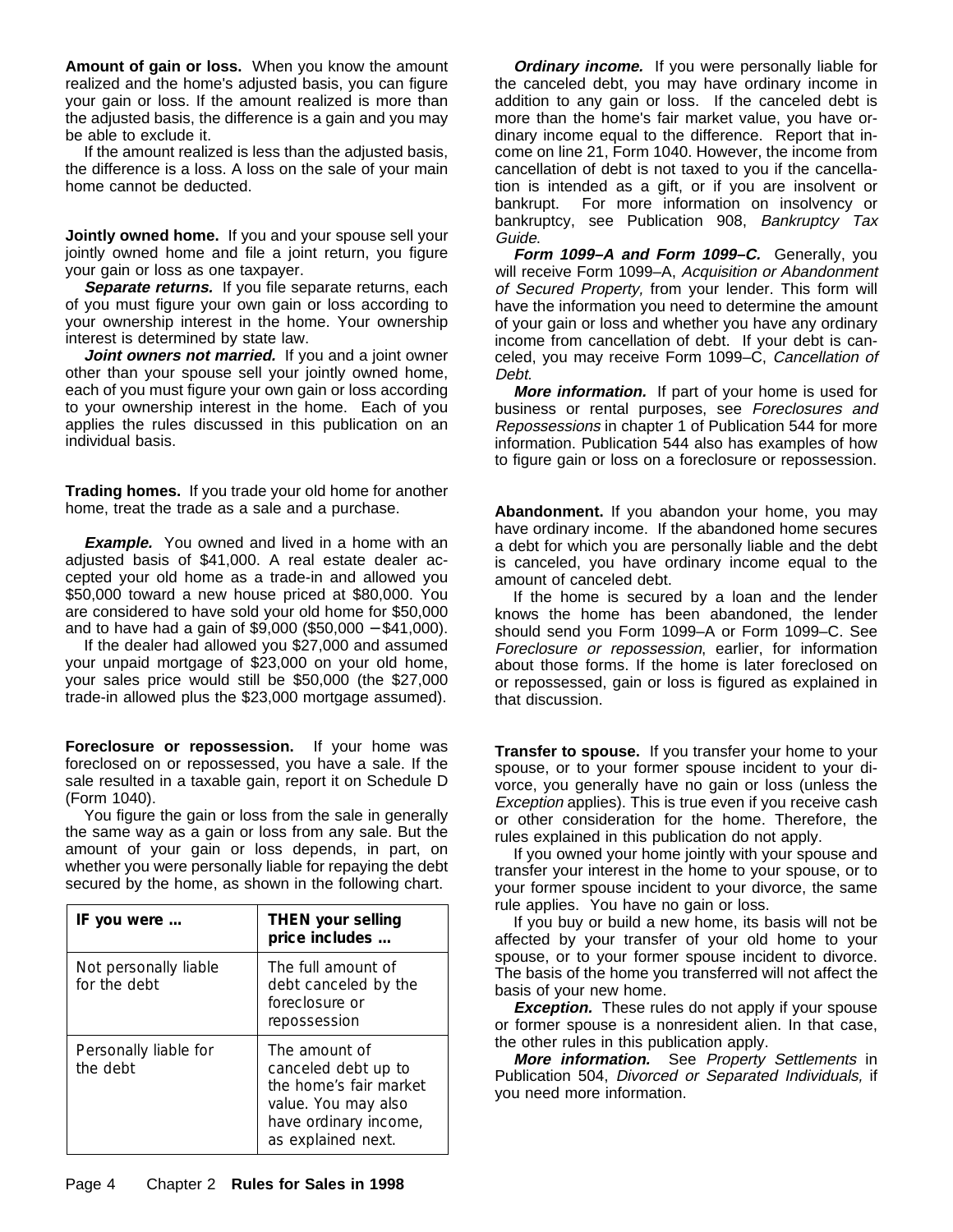**Amount of gain or loss.** When you know the amount realized and the home's adjusted basis, you can figure your gain or loss. If the amount realized is more than the adjusted basis, the difference is a gain and you may be able to exclude it.

If the amount realized is less than the adjusted basis, the difference is a loss. A loss on the sale of your main home cannot be deducted.

**Jointly owned home.** If you and your spouse sell your jointly owned home and file a joint return, you figure your gain or loss as one taxpayer.

Separate returns. If you file separate returns, each of you must figure your own gain or loss according to your ownership interest in the home. Your ownership interest is determined by state law.

**Joint owners not married.** If you and a joint owner other than your spouse sell your jointly owned home, each of you must figure your own gain or loss according to your ownership interest in the home. Each of you applies the rules discussed in this publication on an individual basis.

**Trading homes.** If you trade your old home for another home, treat the trade as a sale and a purchase.

**Example.** You owned and lived in a home with an adjusted basis of \$41,000. A real estate dealer accepted your old home as a trade-in and allowed you \$50,000 toward a new house priced at \$80,000. You are considered to have sold your old home for \$50,000 and to have had a gain of \$9,000 (\$50,000 − \$41,000).

If the dealer had allowed you \$27,000 and assumed your unpaid mortgage of \$23,000 on your old home, your sales price would still be \$50,000 (the \$27,000 trade-in allowed plus the \$23,000 mortgage assumed).

**Foreclosure or repossession.** If your home was foreclosed on or repossessed, you have a sale. If the sale resulted in a taxable gain, report it on Schedule D (Form 1040).

You figure the gain or loss from the sale in generally the same way as a gain or loss from any sale. But the amount of your gain or loss depends, in part, on whether you were personally liable for repaying the debt secured by the home, as shown in the following chart.

| IF you were                           | <b>THEN your selling</b><br>price includes                                                                                           |  |  |
|---------------------------------------|--------------------------------------------------------------------------------------------------------------------------------------|--|--|
| Not personally liable<br>for the debt | The full amount of<br>debt canceled by the<br>foreclosure or<br>repossession                                                         |  |  |
| Personally liable for<br>the debt     | The amount of<br>canceled debt up to<br>the home's fair market<br>value. You may also<br>have ordinary income,<br>as explained next. |  |  |

**Ordinary income.** If you were personally liable for the canceled debt, you may have ordinary income in addition to any gain or loss. If the canceled debt is more than the home's fair market value, you have ordinary income equal to the difference. Report that income on line 21, Form 1040. However, the income from cancellation of debt is not taxed to you if the cancellation is intended as a gift, or if you are insolvent or bankrupt. For more information on insolvency or bankruptcy, see Publication 908, Bankruptcy Tax Guide.

**Form 1099–A and Form 1099–C.** Generally, you will receive Form 1099-A, Acquisition or Abandonment of Secured Property, from your lender. This form will have the information you need to determine the amount of your gain or loss and whether you have any ordinary income from cancellation of debt. If your debt is canceled, you may receive Form 1099–C, Cancellation of Debt.

**More information.** If part of your home is used for business or rental purposes, see Foreclosures and Repossessions in chapter 1 of Publication 544 for more information. Publication 544 also has examples of how to figure gain or loss on a foreclosure or repossession.

**Abandonment.** If you abandon your home, you may have ordinary income. If the abandoned home secures a debt for which you are personally liable and the debt is canceled, you have ordinary income equal to the amount of canceled debt.

If the home is secured by a loan and the lender knows the home has been abandoned, the lender should send you Form 1099–A or Form 1099–C. See Foreclosure or repossession, earlier, for information about those forms. If the home is later foreclosed on or repossessed, gain or loss is figured as explained in that discussion.

**Transfer to spouse.** If you transfer your home to your spouse, or to your former spouse incident to your divorce, you generally have no gain or loss (unless the Exception applies). This is true even if you receive cash or other consideration for the home. Therefore, the rules explained in this publication do not apply.

If you owned your home jointly with your spouse and transfer your interest in the home to your spouse, or to your former spouse incident to your divorce, the same rule applies. You have no gain or loss.

If you buy or build a new home, its basis will not be affected by your transfer of your old home to your spouse, or to your former spouse incident to divorce. The basis of the home you transferred will not affect the basis of your new home.

**Exception.** These rules do not apply if your spouse or former spouse is a nonresident alien. In that case, the other rules in this publication apply.

**More information.** See Property Settlements in Publication 504, Divorced or Separated Individuals, if you need more information.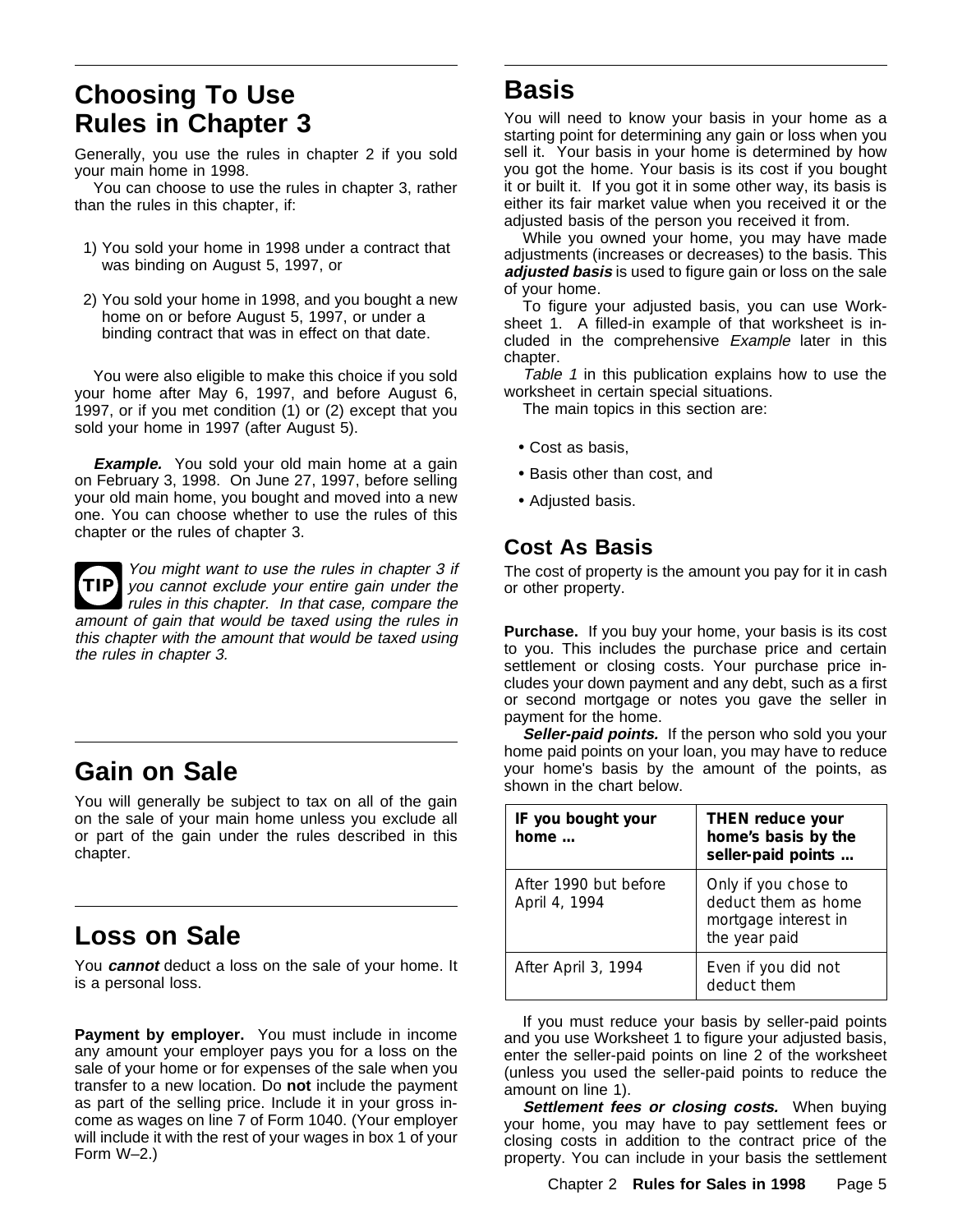## **Choosing To Use Rules in Chapter 3**

Generally, you use the rules in chapter 2 if you sold your main home in 1998.

You can choose to use the rules in chapter 3, rather than the rules in this chapter, if:

- 1) You sold your home in 1998 under a contract that was binding on August 5, 1997, or
- 2) You sold your home in 1998, and you bought a new home on or before August 5, 1997, or under a binding contract that was in effect on that date.

You were also eligible to make this choice if you sold your home after May 6, 1997, and before August 6, 1997, or if you met condition (1) or (2) except that you sold your home in 1997 (after August 5).

**Example.** You sold your old main home at a gain on February 3, 1998. On June 27, 1997, before selling your old main home, you bought and moved into a new one. You can choose whether to use the rules of this chapter or the rules of chapter 3.



**TIP** you cannot exclude your entire gain under the You might want to use the rules in chapter 3 if rules in this chapter. In that case, compare the amount of gain that would be taxed using the rules in this chapter with the amount that would be taxed using the rules in chapter 3.

## **Gain on Sale**

You will generally be subject to tax on all of the gain on the sale of your main home unless you exclude all or part of the gain under the rules described in this chapter.

## **Loss on Sale**

You **cannot** deduct a loss on the sale of your home. It is a personal loss.

Payment by employer. You must include in income any amount your employer pays you for a loss on the sale of your home or for expenses of the sale when you transfer to a new location. Do **not** include the payment as part of the selling price. Include it in your gross income as wages on line 7 of Form 1040. (Your employer will include it with the rest of your wages in box 1 of your Form W–2.)

## **Basis**

You will need to know your basis in your home as a starting point for determining any gain or loss when you sell it. Your basis in your home is determined by how you got the home. Your basis is its cost if you bought it or built it. If you got it in some other way, its basis is either its fair market value when you received it or the adjusted basis of the person you received it from.

While you owned your home, you may have made adjustments (increases or decreases) to the basis. This **adjusted basis** is used to figure gain or loss on the sale of your home.

To figure your adjusted basis, you can use Worksheet 1. A filled-in example of that worksheet is included in the comprehensive Example later in this chapter.

Table 1 in this publication explains how to use the worksheet in certain special situations.

The main topics in this section are:

- Cost as basis,
- Basis other than cost, and
- Adjusted basis.

## **Cost As Basis**

The cost of property is the amount you pay for it in cash or other property.

**Purchase.** If you buy your home, your basis is its cost to you. This includes the purchase price and certain settlement or closing costs. Your purchase price includes your down payment and any debt, such as a first or second mortgage or notes you gave the seller in payment for the home.

**Seller-paid points.** If the person who sold you your home paid points on your loan, you may have to reduce your home's basis by the amount of the points, as shown in the chart below.

| IF you bought your<br>home $\ldots$    | THEN reduce your<br>home's basis by the<br>seller-paid points                        |  |  |
|----------------------------------------|--------------------------------------------------------------------------------------|--|--|
| After 1990 but before<br>April 4, 1994 | Only if you chose to<br>deduct them as home<br>mortgage interest in<br>the year paid |  |  |
| After April 3, 1994                    | Even if you did not<br>deduct them                                                   |  |  |

If you must reduce your basis by seller-paid points and you use Worksheet 1 to figure your adjusted basis, enter the seller-paid points on line 2 of the worksheet (unless you used the seller-paid points to reduce the amount on line 1).

**Settlement fees or closing costs.** When buying your home, you may have to pay settlement fees or closing costs in addition to the contract price of the property. You can include in your basis the settlement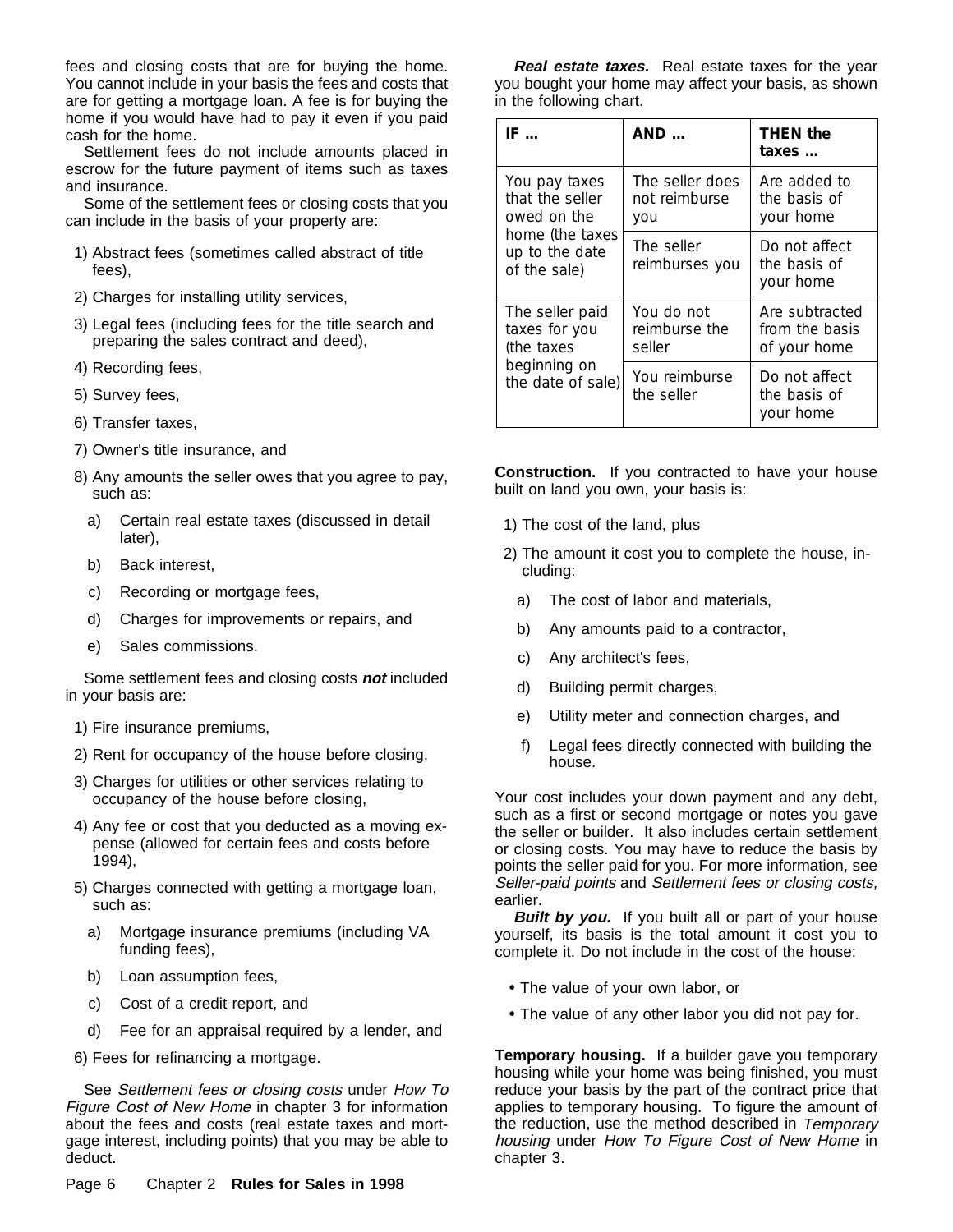fees and closing costs that are for buying the home. You cannot include in your basis the fees and costs that are for getting a mortgage loan. A fee is for buying the home if you would have had to pay it even if you paid cash for the home.

Settlement fees do not include amounts placed in escrow for the future payment of items such as taxes and insurance.

Some of the settlement fees or closing costs that you can include in the basis of your property are:

- 1) Abstract fees (sometimes called abstract of title fees),
- 2) Charges for installing utility services,
- 3) Legal fees (including fees for the title search and preparing the sales contract and deed),
- 4) Recording fees,
- 5) Survey fees,
- 6) Transfer taxes,
- 7) Owner's title insurance, and
- 8) Any amounts the seller owes that you agree to pay, such as:
	- a) Certain real estate taxes (discussed in detail later),
	- b) Back interest,
	- c) Recording or mortgage fees,
	- d) Charges for improvements or repairs, and
	- e) Sales commissions.

Some settlement fees and closing costs **not** included in your basis are:

- 1) Fire insurance premiums,
- 2) Rent for occupancy of the house before closing,
- 3) Charges for utilities or other services relating to occupancy of the house before closing,
- 4) Any fee or cost that you deducted as a moving expense (allowed for certain fees and costs before 1994),
- 5) Charges connected with getting a mortgage loan, such as:
	- a) Mortgage insurance premiums (including VA funding fees),
	- b) Loan assumption fees,
	- c) Cost of a credit report, and
	- d) Fee for an appraisal required by a lender, and

6) Fees for refinancing a mortgage.

See Settlement fees or closing costs under How To Figure Cost of New Home in chapter 3 for information about the fees and costs (real estate taxes and mortgage interest, including points) that you may be able to deduct.

**Real estate taxes.** Real estate taxes for the year you bought your home may affect your basis, as shown in the following chart.

| IF                                                | AND                                            | <b>THEN the</b><br>taxes                         |  |
|---------------------------------------------------|------------------------------------------------|--------------------------------------------------|--|
| You pay taxes<br>that the seller<br>owed on the   | The seller does<br><i>not</i> reimburse<br>you | Are added to<br>the basis of<br>your home        |  |
| home (the taxes<br>up to the date<br>of the sale) | The seller<br>reimburses you                   | Do not affect<br>the basis of<br>your home       |  |
| The seller paid<br>taxes for you<br>(the taxes    | You do <i>not</i><br>reimburse the<br>seller   | Are subtracted<br>from the basis<br>of your home |  |
| beginning on<br>the date of sale)                 | You reimburse<br>the seller                    | Do not affect<br>the basis of<br>your home       |  |

**Construction.** If you contracted to have your house built on land you own, your basis is:

- 1) The cost of the land, plus
- 2) The amount it cost you to complete the house, including:
	- a) The cost of labor and materials,
	- b) Any amounts paid to a contractor,
	- c) Any architect's fees,
	- d) Building permit charges,
	- e) Utility meter and connection charges, and
	- f) Legal fees directly connected with building the house.

Your cost includes your down payment and any debt, such as a first or second mortgage or notes you gave the seller or builder. It also includes certain settlement or closing costs. You may have to reduce the basis by points the seller paid for you. For more information, see Seller-paid points and Settlement fees or closing costs, earlier.

**Built by you.** If you built all or part of your house yourself, its basis is the total amount it cost you to complete it. Do not include in the cost of the house:

- The value of your own labor, or
- The value of any other labor you did not pay for.

**Temporary housing.** If a builder gave you temporary housing while your home was being finished, you must reduce your basis by the part of the contract price that applies to temporary housing. To figure the amount of the reduction, use the method described in Temporary housing under How To Figure Cost of New Home in chapter 3.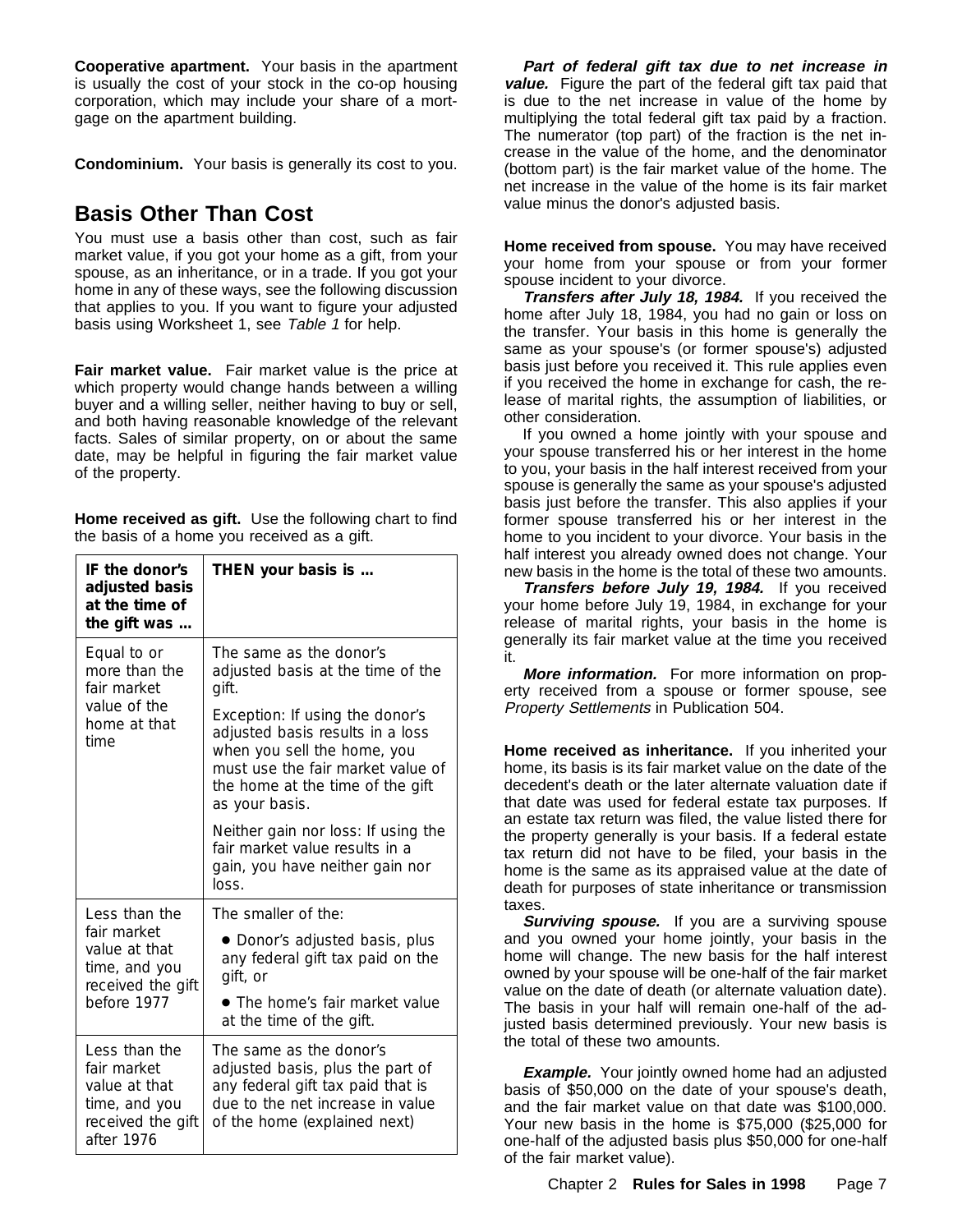**Cooperative apartment.** Your basis in the apartment is usually the cost of your stock in the co-op housing corporation, which may include your share of a mortgage on the apartment building.

**Condominium.** Your basis is generally its cost to you.

## **Basis Other Than Cost**

You must use a basis other than cost, such as fair market value, if you got your home as a gift, from your spouse, as an inheritance, or in a trade. If you got your home in any of these ways, see the following discussion that applies to you. If you want to figure your adjusted basis using Worksheet 1, see Table 1 for help.

**Fair market value.** Fair market value is the price at which property would change hands between a willing buyer and a willing seller, neither having to buy or sell, and both having reasonable knowledge of the relevant facts. Sales of similar property, on or about the same date, may be helpful in figuring the fair market value of the property.

**Home received as gift.** Use the following chart to find the basis of a home you received as a gift.

| IF the donor's<br>adjusted basis<br>at the time of<br>the gift was                                | THEN your basis is                                                                                                                                                                                                                                                            |
|---------------------------------------------------------------------------------------------------|-------------------------------------------------------------------------------------------------------------------------------------------------------------------------------------------------------------------------------------------------------------------------------|
| Equal to or<br>more than the<br>fair market<br>value of the<br>home at that<br>time               | The same as the donor's<br>adjusted basis at the time of the<br>gift.<br><i>Exception:</i> If using the donor's<br>adjusted basis results in a loss<br>when you sell the home, you<br>must use the fair market value of<br>the home at the time of the gift<br>as your basis. |
|                                                                                                   | Neither gain nor loss: If using the<br>fair market value results in a<br>gain, you have neither gain nor<br>loss.                                                                                                                                                             |
| Less than the                                                                                     | The smaller of the:                                                                                                                                                                                                                                                           |
| fair market<br>value at that<br>time, and you<br>received the gift                                | • Donor's adjusted basis, plus<br>any federal gift tax paid on the<br>gift, or                                                                                                                                                                                                |
| before 1977                                                                                       | • The home's fair market value<br>at the time of the gift.                                                                                                                                                                                                                    |
| Less than the<br>fair market<br>value at that<br>time, and you<br>received the gift<br>after 1976 | The same as the donor's<br>adjusted basis, plus the part of<br>any federal gift tax paid that is<br>due to the net increase in value<br>of the home (explained next)                                                                                                          |

**Part of federal gift tax due to net increase in value.** Figure the part of the federal gift tax paid that is due to the net increase in value of the home by multiplying the total federal gift tax paid by a fraction. The numerator (top part) of the fraction is the net increase in the value of the home, and the denominator (bottom part) is the fair market value of the home. The net increase in the value of the home is its fair market value minus the donor's adjusted basis.

**Home received from spouse.** You may have received your home from your spouse or from your former spouse incident to your divorce.

**Transfers after July 18, 1984.** If you received the home after July 18, 1984, you had no gain or loss on the transfer. Your basis in this home is generally the same as your spouse's (or former spouse's) adjusted basis just before you received it. This rule applies even if you received the home in exchange for cash, the release of marital rights, the assumption of liabilities, or other consideration.

If you owned a home jointly with your spouse and your spouse transferred his or her interest in the home to you, your basis in the half interest received from your spouse is generally the same as your spouse's adjusted basis just before the transfer. This also applies if your former spouse transferred his or her interest in the home to you incident to your divorce. Your basis in the half interest you already owned does not change. Your new basis in the home is the total of these two amounts.

**Transfers before July 19, 1984.** If you received your home before July 19, 1984, in exchange for your release of marital rights, your basis in the home is generally its fair market value at the time you received it.

**More information.** For more information on property received from a spouse or former spouse, see Property Settlements in Publication 504.

**Home received as inheritance.** If you inherited your home, its basis is its fair market value on the date of the decedent's death or the later alternate valuation date if that date was used for federal estate tax purposes. If an estate tax return was filed, the value listed there for the property generally is your basis. If a federal estate tax return did not have to be filed, your basis in the home is the same as its appraised value at the date of death for purposes of state inheritance or transmission taxes.

**Surviving spouse.** If you are a surviving spouse and you owned your home jointly, your basis in the home will change. The new basis for the half interest owned by your spouse will be one-half of the fair market value on the date of death (or alternate valuation date). The basis in your half will remain one-half of the adjusted basis determined previously. Your new basis is the total of these two amounts.

**Example.** Your jointly owned home had an adjusted basis of \$50,000 on the date of your spouse's death, and the fair market value on that date was \$100,000. Your new basis in the home is \$75,000 (\$25,000 for one-half of the adjusted basis plus \$50,000 for one-half of the fair market value).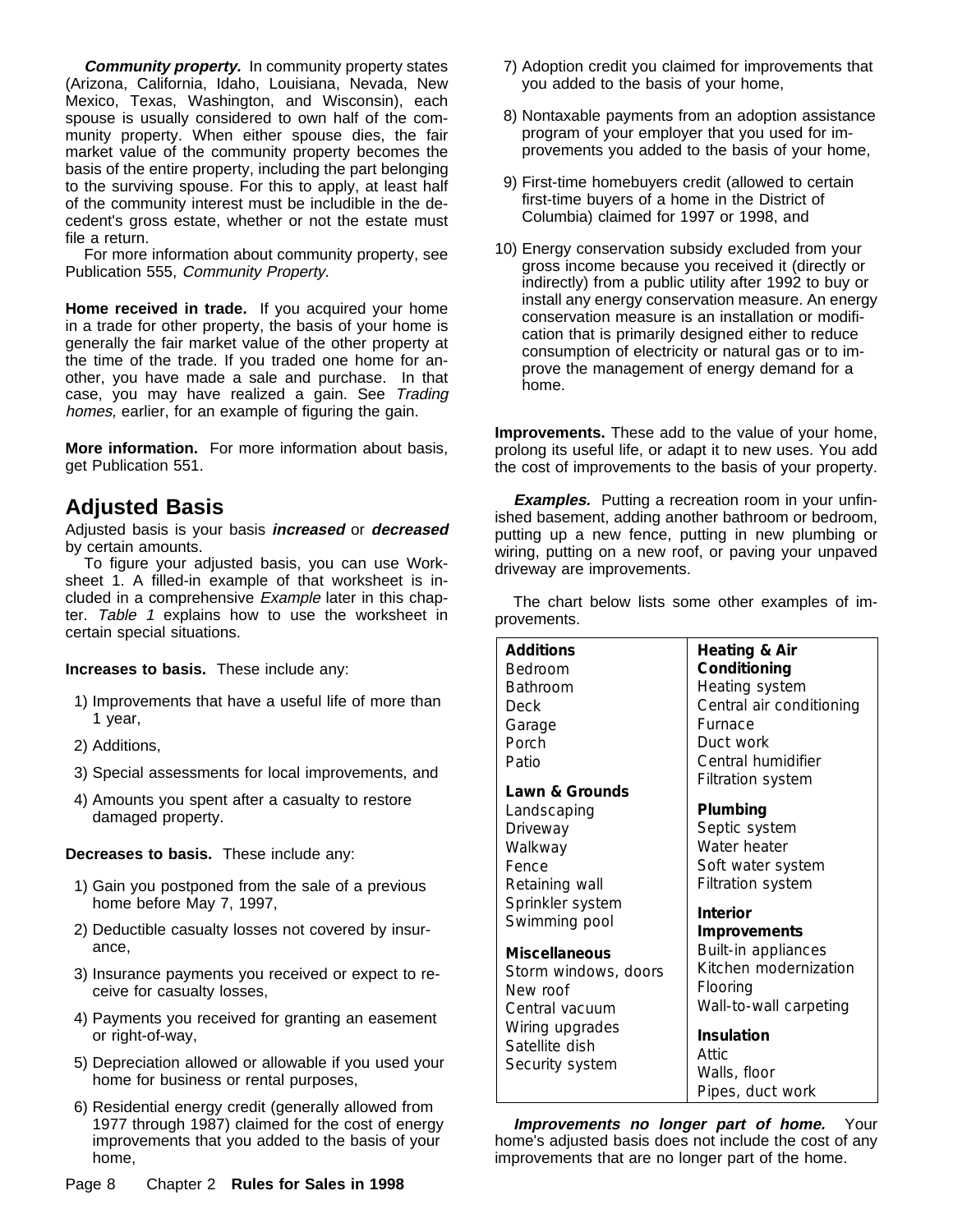**Community property.** In community property states (Arizona, California, Idaho, Louisiana, Nevada, New Mexico, Texas, Washington, and Wisconsin), each spouse is usually considered to own half of the community property. When either spouse dies, the fair market value of the community property becomes the basis of the entire property, including the part belonging to the surviving spouse. For this to apply, at least half of the community interest must be includible in the decedent's gross estate, whether or not the estate must file a return.

For more information about community property, see Publication 555, Community Property.

**Home received in trade.** If you acquired your home in a trade for other property, the basis of your home is generally the fair market value of the other property at the time of the trade. If you traded one home for another, you have made a sale and purchase. In that case, you may have realized a gain. See Trading homes, earlier, for an example of figuring the gain.

**More information.** For more information about basis, get Publication 551.

## **Adjusted Basis**

Adjusted basis is your basis **increased** or **decreased** by certain amounts.

To figure your adjusted basis, you can use Worksheet 1. A filled-in example of that worksheet is included in a comprehensive Example later in this chapter. Table 1 explains how to use the worksheet in certain special situations.

**Increases to basis.** These include any:

- 1) Improvements that have a useful life of more than 1 year,
- 2) Additions,
- 3) Special assessments for local improvements, and
- 4) Amounts you spent after a casualty to restore damaged property.

**Decreases to basis.** These include any:

- 1) Gain you postponed from the sale of a previous home before May 7, 1997,
- 2) Deductible casualty losses not covered by insurance,
- 3) Insurance payments you received or expect to receive for casualty losses,
- 4) Payments you received for granting an easement or right-of-way,
- 5) Depreciation allowed or allowable if you used your home for business or rental purposes,
- 6) Residential energy credit (generally allowed from 1977 through 1987) claimed for the cost of energy improvements that you added to the basis of your home,
- 7) Adoption credit you claimed for improvements that you added to the basis of your home,
- 8) Nontaxable payments from an adoption assistance program of your employer that you used for improvements you added to the basis of your home,
- 9) First-time homebuyers credit (allowed to certain first-time buyers of a home in the District of Columbia) claimed for 1997 or 1998, and
- 10) Energy conservation subsidy excluded from your gross income because you received it (directly or indirectly) from a public utility after 1992 to buy or install any energy conservation measure. An energy conservation measure is an installation or modification that is primarily designed either to reduce consumption of electricity or natural gas or to improve the management of energy demand for a home.

**Improvements.** These add to the value of your home, prolong its useful life, or adapt it to new uses. You add the cost of improvements to the basis of your property.

**Examples.** Putting a recreation room in your unfinished basement, adding another bathroom or bedroom, putting up a new fence, putting in new plumbing or wiring, putting on a new roof, or paving your unpaved driveway are improvements.

The chart below lists some other examples of improvements.

| <b>Additions</b>     | Heating & Air                    |
|----------------------|----------------------------------|
| Bedroom              | Conditioning                     |
| Bathroom             | Heating system                   |
| Deck                 | Central air conditioning         |
| Garage               | Furnace                          |
| Porch                | Duct work                        |
| Patio                | Central humidifier               |
| Lawn & Grounds       | <b>Filtration system</b>         |
| Landscaping          | Plumbing                         |
| Driveway             | Septic system                    |
| Walkway              | Water heater                     |
| Fence                | Soft water system                |
| Retaining wall       | <b>Filtration system</b>         |
| Sprinkler system     | Interior                         |
| Swimming pool        | Improvements                     |
| Miscellaneous        | Built-in appliances              |
| Storm windows, doors | Kitchen modernization            |
| New roof             | Flooring                         |
| Central vacuum       | Wall-to-wall carpeting           |
| Wiring upgrades      | <b>Insulation</b>                |
| Satellite dish       | Attic                            |
| Security system      | Walls, floor<br>Pipes, duct work |

**Improvements no longer part of home.** Your home's adjusted basis does not include the cost of any improvements that are no longer part of the home.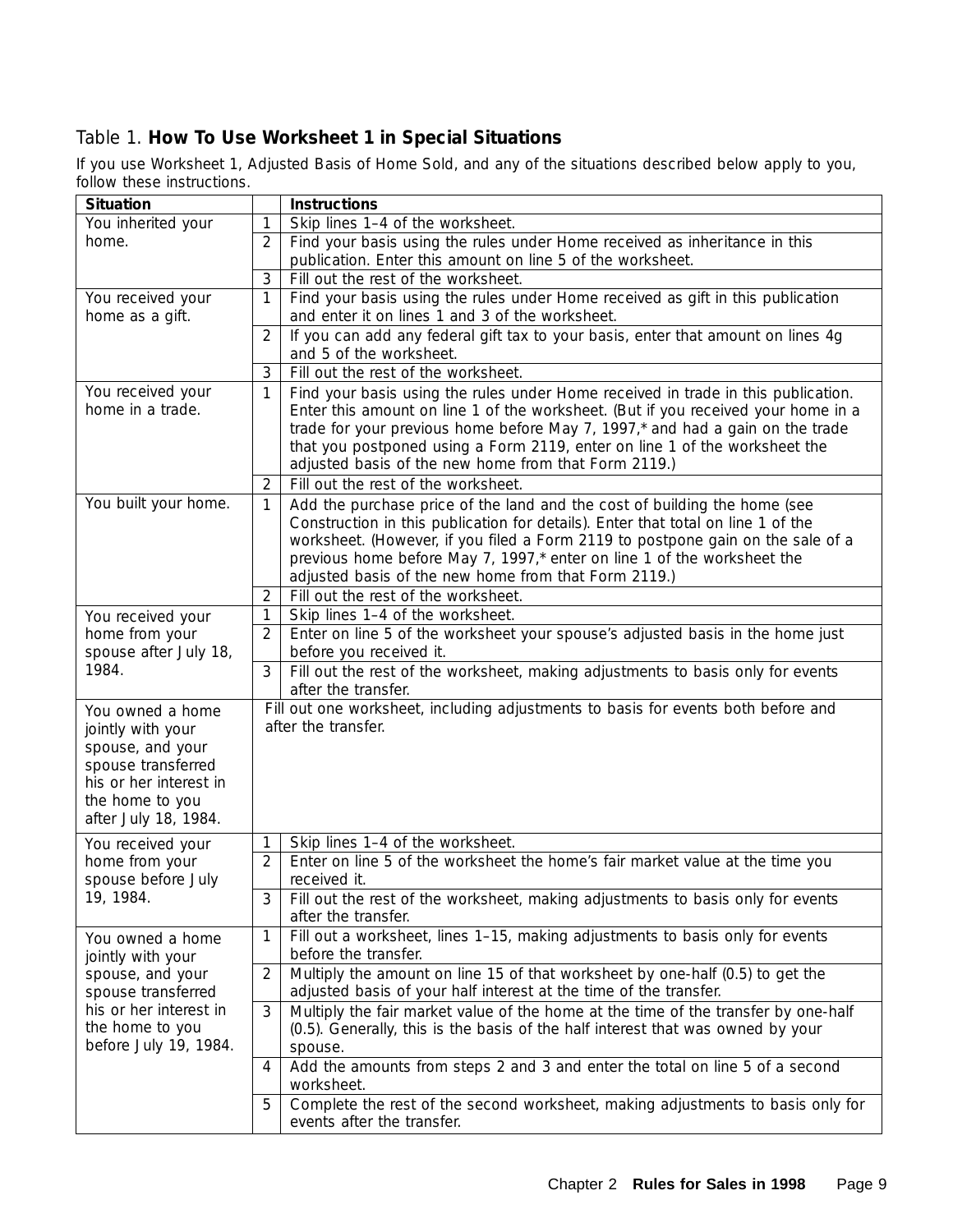## Table 1. **How To Use Worksheet 1 in Special Situations**

If you use Worksheet 1, *Adjusted Basis of Home Sold,* and any of the situations described below apply to you, follow these instructions.

| <b>Situation</b>                                                                                                                                     |                                                                                              | <b>Instructions</b>                                                                                                                                                                                                                                                                                                                                                                           |  |  |
|------------------------------------------------------------------------------------------------------------------------------------------------------|----------------------------------------------------------------------------------------------|-----------------------------------------------------------------------------------------------------------------------------------------------------------------------------------------------------------------------------------------------------------------------------------------------------------------------------------------------------------------------------------------------|--|--|
| You inherited your                                                                                                                                   | 1                                                                                            | Skip lines 1-4 of the worksheet.                                                                                                                                                                                                                                                                                                                                                              |  |  |
| home.                                                                                                                                                | $\overline{2}$<br>Find your basis using the rules under Home received as inheritance in this |                                                                                                                                                                                                                                                                                                                                                                                               |  |  |
|                                                                                                                                                      |                                                                                              | publication. Enter this amount on line 5 of the worksheet.                                                                                                                                                                                                                                                                                                                                    |  |  |
|                                                                                                                                                      | 3                                                                                            | Fill out the rest of the worksheet.                                                                                                                                                                                                                                                                                                                                                           |  |  |
| You received your<br>home as a gift.                                                                                                                 | 1                                                                                            | Find your basis using the rules under Home received as gift in this publication<br>and enter it on lines 1 and 3 of the worksheet.                                                                                                                                                                                                                                                            |  |  |
|                                                                                                                                                      | $\overline{2}$                                                                               | If you can add any federal gift tax to your basis, enter that amount on lines 4g<br>and 5 of the worksheet.                                                                                                                                                                                                                                                                                   |  |  |
|                                                                                                                                                      | 3                                                                                            | Fill out the rest of the worksheet.                                                                                                                                                                                                                                                                                                                                                           |  |  |
| You received your<br>home in a trade.                                                                                                                | 1                                                                                            | Find your basis using the rules under Home received in trade in this publication.<br>Enter this amount on line 1 of the worksheet. (But if you received your home in a<br>trade for your previous home before May 7, 1997,* and had a gain on the trade<br>that you postponed using a Form 2119, enter on line 1 of the worksheet the<br>adjusted basis of the new home from that Form 2119.) |  |  |
|                                                                                                                                                      | 2                                                                                            | Fill out the rest of the worksheet.                                                                                                                                                                                                                                                                                                                                                           |  |  |
| You built your home.                                                                                                                                 | 1                                                                                            | Add the purchase price of the land and the cost of building the home (see<br>Construction in this publication for details). Enter that total on line 1 of the<br>worksheet. (However, if you filed a Form 2119 to postpone gain on the sale of a<br>previous home before May 7, 1997,* enter on line 1 of the worksheet the<br>adjusted basis of the new home from that Form 2119.)           |  |  |
|                                                                                                                                                      | 2                                                                                            | Fill out the rest of the worksheet.                                                                                                                                                                                                                                                                                                                                                           |  |  |
| You received your                                                                                                                                    | 1                                                                                            | Skip lines 1-4 of the worksheet.                                                                                                                                                                                                                                                                                                                                                              |  |  |
| home from your<br>spouse after July 18,<br>1984.                                                                                                     |                                                                                              | Enter on line 5 of the worksheet your spouse's adjusted basis in the home just<br>before you received it.                                                                                                                                                                                                                                                                                     |  |  |
|                                                                                                                                                      |                                                                                              | Fill out the rest of the worksheet, making adjustments to basis only for events<br>after the transfer.                                                                                                                                                                                                                                                                                        |  |  |
| You owned a home<br>jointly with your<br>spouse, and your<br>spouse transferred<br>his or her interest in<br>the home to you<br>after July 18, 1984. |                                                                                              | Fill out one worksheet, including adjustments to basis for events both before and<br>after the transfer.                                                                                                                                                                                                                                                                                      |  |  |
| You received your                                                                                                                                    | 1                                                                                            | Skip lines 1-4 of the worksheet.                                                                                                                                                                                                                                                                                                                                                              |  |  |
| home from your<br>spouse before July                                                                                                                 | $\overline{2}$                                                                               | Enter on line 5 of the worksheet the home's fair market value at the time you<br>received it.                                                                                                                                                                                                                                                                                                 |  |  |
| 19, 1984.                                                                                                                                            | 3                                                                                            | Fill out the rest of the worksheet, making adjustments to basis only for events<br>after the transfer.                                                                                                                                                                                                                                                                                        |  |  |
| You owned a home<br>jointly with your                                                                                                                | 1                                                                                            | Fill out a worksheet, lines 1-15, making adjustments to basis only for events<br>before the transfer.                                                                                                                                                                                                                                                                                         |  |  |
| spouse, and your<br>spouse transferred                                                                                                               | $\overline{2}$                                                                               | Multiply the amount on line 15 of that worksheet by one-half (0.5) to get the<br>adjusted basis of your half interest at the time of the transfer.                                                                                                                                                                                                                                            |  |  |
| his or her interest in<br>the home to you<br>before July 19, 1984.                                                                                   | 3                                                                                            | Multiply the fair market value of the home at the time of the transfer by one-half<br>(0.5). Generally, this is the basis of the half interest that was owned by your<br>spouse.                                                                                                                                                                                                              |  |  |
|                                                                                                                                                      | 4                                                                                            | Add the amounts from steps 2 and 3 and enter the total on line 5 of a second<br>worksheet.                                                                                                                                                                                                                                                                                                    |  |  |
|                                                                                                                                                      | 5                                                                                            | Complete the rest of the second worksheet, making adjustments to basis only for<br>events after the transfer.                                                                                                                                                                                                                                                                                 |  |  |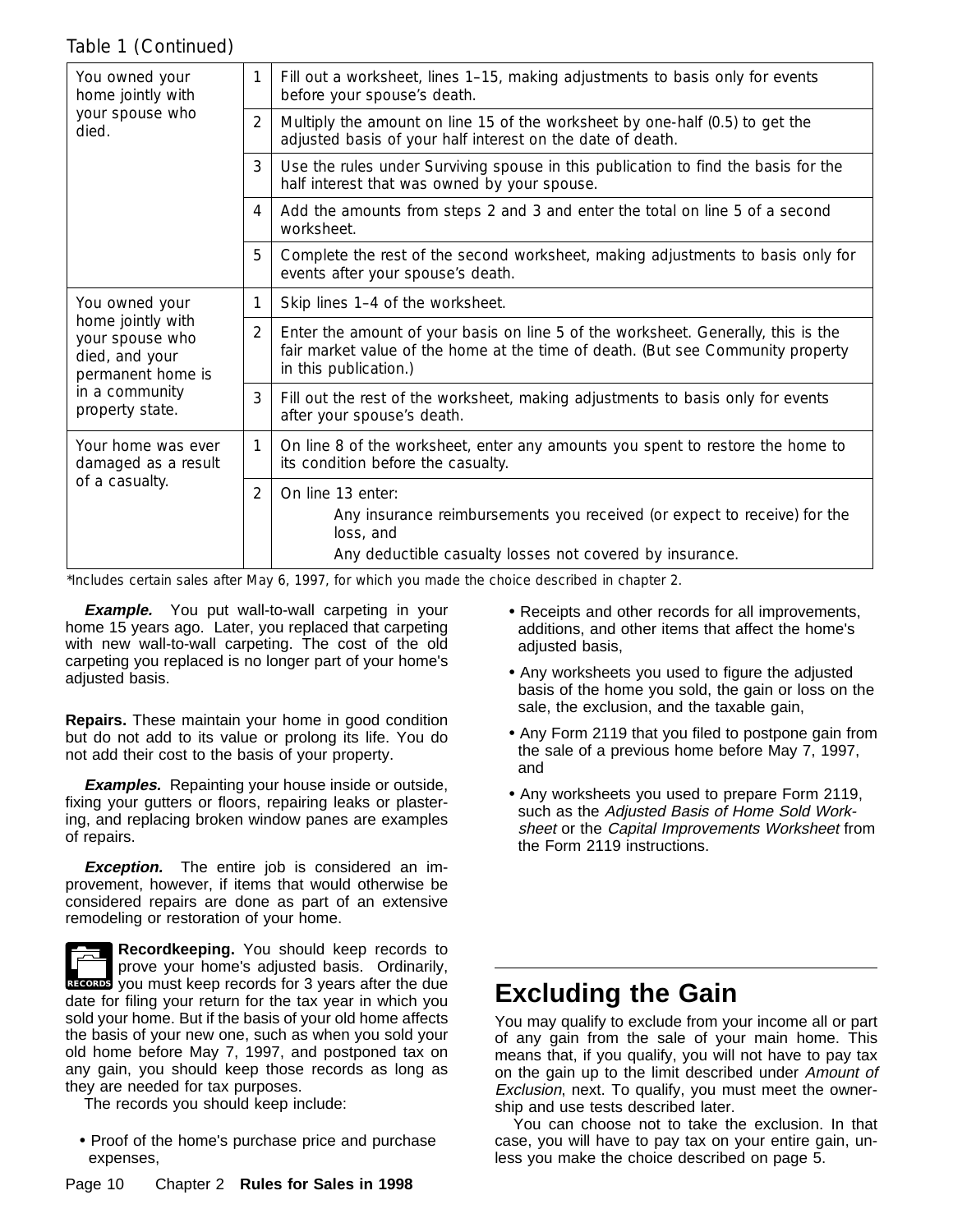### Table 1 *( Continued)*

| You owned your<br>home jointly with<br>your spouse who<br>died.             | 1 | Fill out a worksheet, lines 1–15, making adjustments to basis only for events<br>before your spouse's death.                                                                                  |  |  |  |
|-----------------------------------------------------------------------------|---|-----------------------------------------------------------------------------------------------------------------------------------------------------------------------------------------------|--|--|--|
|                                                                             | 2 | Multiply the amount on line 15 of the worksheet by one-half (0.5) to get the<br>adjusted basis of your half interest on the date of death.                                                    |  |  |  |
|                                                                             |   | Use the rules under Surviving spouse in this publication to find the basis for the<br>half interest that was owned by your spouse.                                                            |  |  |  |
|                                                                             | 4 | Add the amounts from steps 2 and 3 and enter the total on line 5 of a second<br>worksheet.                                                                                                    |  |  |  |
|                                                                             | 5 | Complete the rest of the second worksheet, making adjustments to basis only for<br>events after your spouse's death.                                                                          |  |  |  |
| You owned your                                                              | 1 | Skip lines 1-4 of the worksheet.                                                                                                                                                              |  |  |  |
| home jointly with<br>your spouse who<br>died, and your<br>permanent home is | 2 | Enter the amount of your basis on line 5 of the worksheet. Generally, this is the<br>fair market value of the home at the time of death. (But see Community property<br>in this publication.) |  |  |  |
| in a community<br>property state.                                           | 3 | Fill out the rest of the worksheet, making adjustments to basis only for events<br>after your spouse's death.                                                                                 |  |  |  |
| Your home was ever<br>damaged as a result<br>of a casualty.                 | 1 | On line 8 of the worksheet, enter any amounts you spent to restore the home to<br>its condition before the casualty.                                                                          |  |  |  |
|                                                                             | 2 | On line 13 enter:<br>Any insurance reimbursements you received (or expect to receive) for the<br>loss, and<br>Any deductible casualty losses not covered by insurance.                        |  |  |  |

\*Includes certain sales after May 6, 1997, for which you made the choice described in chapter 2.

**Example.** You put wall-to-wall carpeting in your home 15 years ago. Later, you replaced that carpeting with new wall-to-wall carpeting. The cost of the old carpeting you replaced is no longer part of your home's adjusted basis.

**Repairs.** These maintain your home in good condition but do not add to its value or prolong its life. You do not add their cost to the basis of your property.

**Examples.** Repainting your house inside or outside, fixing your gutters or floors, repairing leaks or plastering, and replacing broken window panes are examples of repairs.

**Exception.** The entire job is considered an improvement, however, if items that would otherwise be considered repairs are done as part of an extensive remodeling or restoration of your home.



RECORDS you must keep records for 3 years after the due **Recordkeeping.** You should keep records to prove your home's adjusted basis. Ordinarily, date for filing your return for the tax year in which you sold your home. But if the basis of your old home affects the basis of your new one, such as when you sold your old home before May 7, 1997, and postponed tax on any gain, you should keep those records as long as

they are needed for tax purposes. The records you should keep include:

• Proof of the home's purchase price and purchase expenses,

- Receipts and other records for all improvements, additions, and other items that affect the home's adjusted basis,
- Any worksheets you used to figure the adjusted basis of the home you sold, the gain or loss on the sale, the exclusion, and the taxable gain,
- Any Form 2119 that you filed to postpone gain from the sale of a previous home before May 7, 1997, and
- Any worksheets you used to prepare Form 2119, such as the Adjusted Basis of Home Sold Worksheet or the Capital Improvements Worksheet from the Form 2119 instructions.

## **Excluding the Gain**

You may qualify to exclude from your income all or part of any gain from the sale of your main home. This means that, if you qualify, you will not have to pay tax on the gain up to the limit described under Amount of Exclusion, next. To qualify, you must meet the ownership and use tests described later.

You can choose not to take the exclusion. In that case, you will have to pay tax on your entire gain, unless you make the choice described on page 5.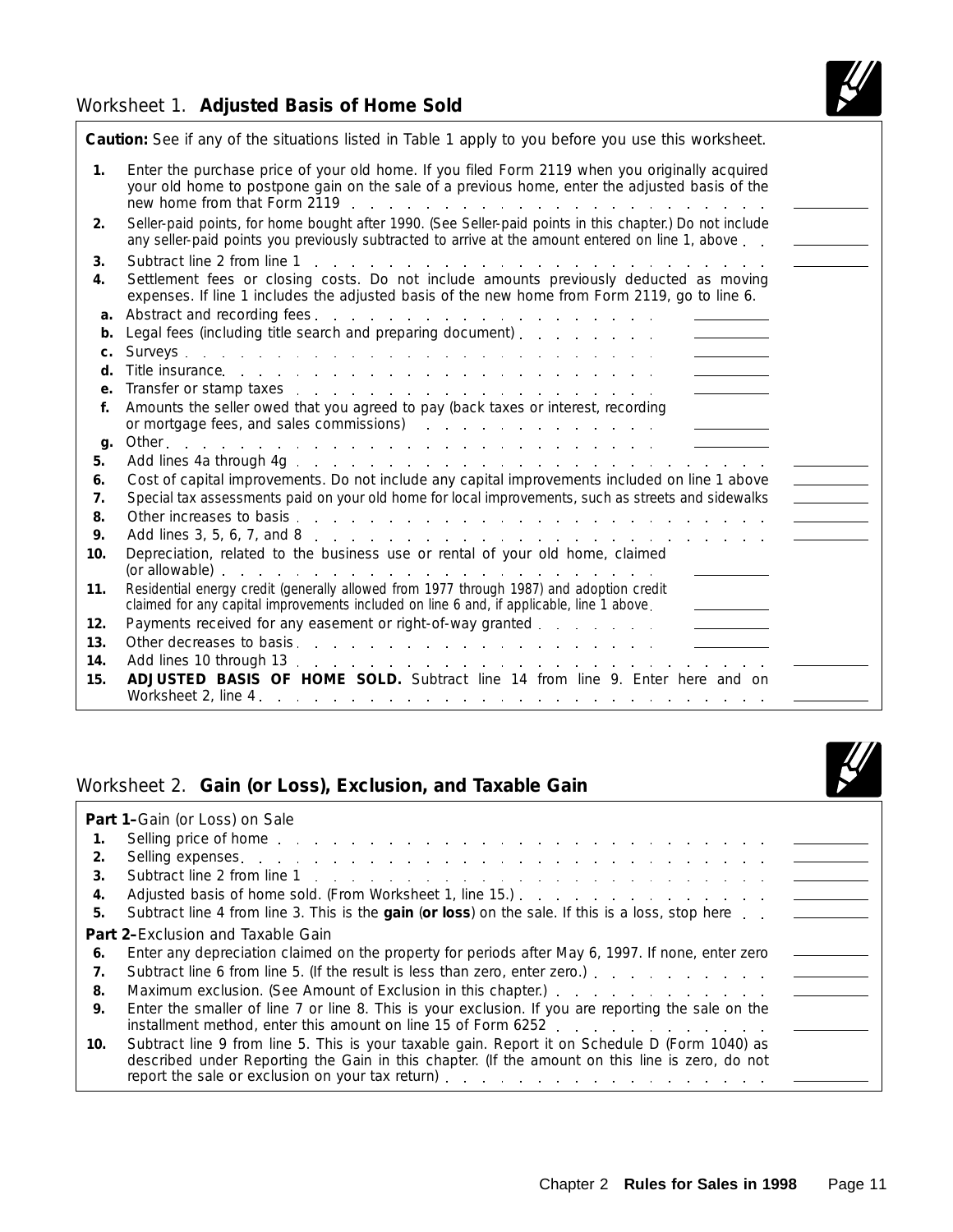### Worksheet 1. **Adjusted Basis of Home Sold**



|                | Caution: See if any of the situations listed in Table 1 apply to you before you use this worksheet.                                                                                                                                                             |
|----------------|-----------------------------------------------------------------------------------------------------------------------------------------------------------------------------------------------------------------------------------------------------------------|
| 1 <sub>1</sub> | Enter the purchase price of your old home. If you filed Form 2119 when you originally acquired<br>your old home to postpone gain on the sale of a previous home, enter the adjusted basis of the                                                                |
| 2.             | Seller-paid points, for home bought after 1990. (See Seller-paid points in this chapter.) Do not include<br>any seller-paid points you previously subtracted to arrive at the amount entered on line 1, above                                                   |
| 3.             | Subtract line 2 from line 1<br>المتعاون والمتعاون والمتعاون والمتعاون والمتعاون والمتعاون والمتعاون والمتعاون والمتعاون                                                                                                                                         |
| 4.             | Settlement fees or closing costs. Do not include amounts previously deducted as moving<br>expenses. If line 1 includes the adjusted basis of the new home from Form 2119, go to line 6.                                                                         |
| a.             |                                                                                                                                                                                                                                                                 |
| b.             |                                                                                                                                                                                                                                                                 |
| c.             |                                                                                                                                                                                                                                                                 |
| d.             |                                                                                                                                                                                                                                                                 |
| e.             | Transfer or stamp taxes response to the contract of the state of the state of the state of the state of the state of the state of the state of the state of the state of the state of the state of the state of the state of t                                  |
| f.             | Amounts the seller owed that you agreed to pay (back taxes or interest, recording                                                                                                                                                                               |
|                | or mortgage fees, and sales commissions) and the commissions of the contract of the contract of the contract of the contract of the contract of the contract of the contract of the contract of the contract of the contract o<br>and the state of the state of |
| g.             |                                                                                                                                                                                                                                                                 |
| 5.             |                                                                                                                                                                                                                                                                 |
| 6.             | Cost of capital improvements. Do not include any capital improvements included on line 1 above                                                                                                                                                                  |
| 7.             | Special tax assessments paid on your old home for local improvements, such as streets and sidewalks                                                                                                                                                             |
| 8.<br>9.       |                                                                                                                                                                                                                                                                 |
| 10.            | Depreciation, related to the business use or rental of your old home, claimed                                                                                                                                                                                   |
|                |                                                                                                                                                                                                                                                                 |
| 11.            | Residential energy credit (generally allowed from 1977 through 1987) and adoption credit<br>claimed for any capital improvements included on line 6 and, if applicable, line 1 above.                                                                           |
| 12.            | Payments received for any easement or right-of-way granted                                                                                                                                                                                                      |
| 13.            |                                                                                                                                                                                                                                                                 |
| 14.            |                                                                                                                                                                                                                                                                 |
| 15.            | ADJUSTED BASIS OF HOME SOLD. Subtract line 14 from line 9. Enter here and on                                                                                                                                                                                    |
|                |                                                                                                                                                                                                                                                                 |

### Worksheet 2. **Gain (or Loss), Exclusion, and Taxable Gain**



|     | Part 1-Gain (or Loss) on Sale                                                                                                                                                                     |  |
|-----|---------------------------------------------------------------------------------------------------------------------------------------------------------------------------------------------------|--|
| 1.  | Selling price of home enterprise to a contract the service of home enterprise to a contract of the service of                                                                                     |  |
| 2.  |                                                                                                                                                                                                   |  |
| 3.  |                                                                                                                                                                                                   |  |
| 4.  |                                                                                                                                                                                                   |  |
| 5.  | Subtract line 4 from line 3. This is the gain (or loss) on the sale. If this is a loss, stop here _______                                                                                         |  |
|     | <b>Part 2-Exclusion and Taxable Gain</b>                                                                                                                                                          |  |
| 6.  | Enter any depreciation claimed on the property for periods after May 6, 1997. If none, enter zero                                                                                                 |  |
| 7.  |                                                                                                                                                                                                   |  |
| 8.  |                                                                                                                                                                                                   |  |
| 9.  | Enter the smaller of line 7 or line 8. This is your exclusion. If you are reporting the sale on the<br>installment method, enter this amount on line 15 of Form 6252                              |  |
| 10. | Subtract line 9 from line 5. This is your taxable gain. Report it on Schedule D (Form 1040) as<br>described under Reporting the Gain in this chapter. (If the amount on this line is zero, do not |  |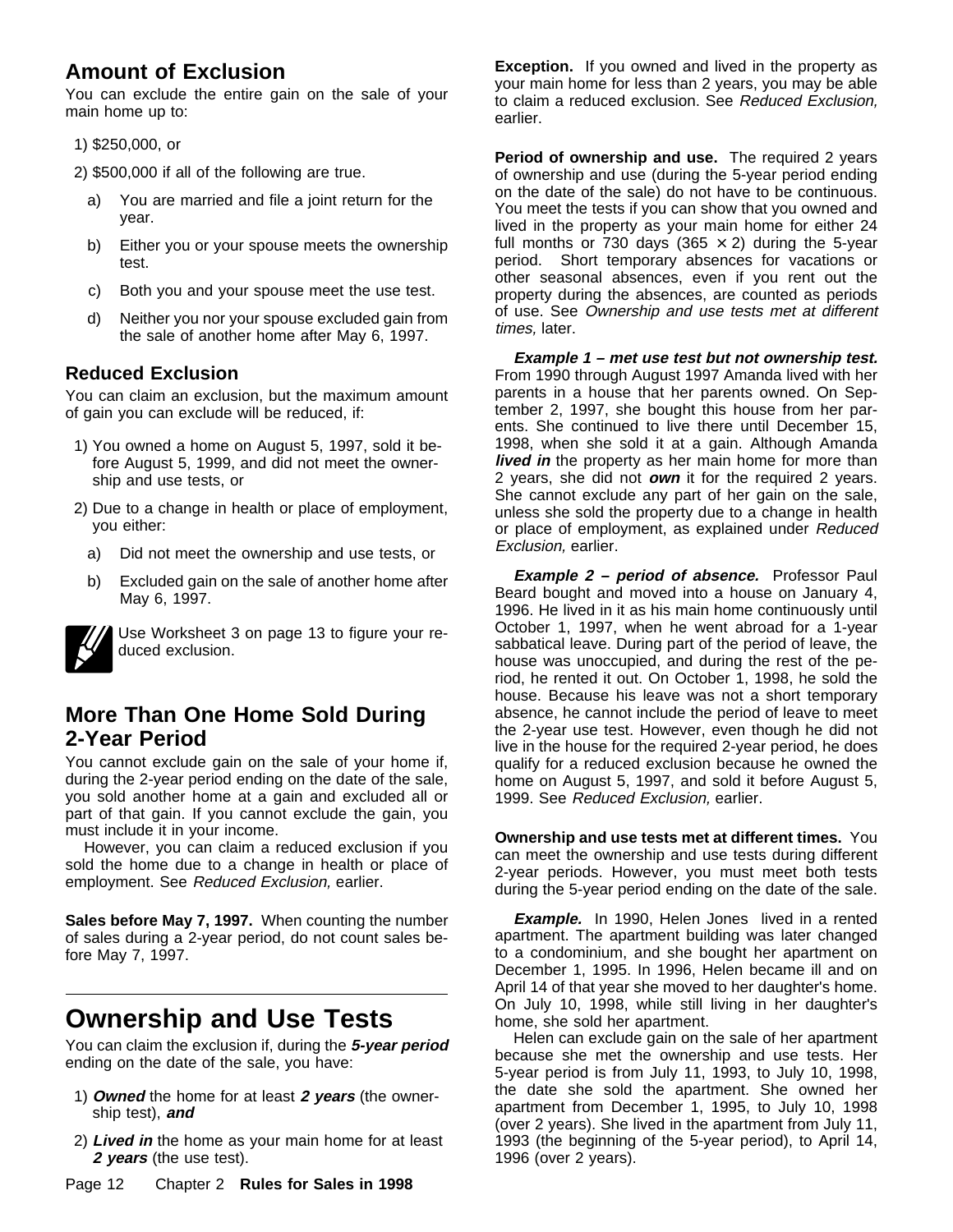## **Amount of Exclusion**

You can exclude the entire gain on the sale of your main home up to:

1) \$250,000, or

2) \$500,000 if all of the following are true.

- a) You are married and file a joint return for the year.
- b) Either you or your spouse meets the ownership test.
- c) Both you and your spouse meet the use test.
- d) Neither you nor your spouse excluded gain from the sale of another home after May 6, 1997.

### **Reduced Exclusion**

You can claim an exclusion, but the maximum amount of gain you can exclude will be reduced, if:

- 1) You owned a home on August 5, 1997, sold it before August 5, 1999, and did not meet the ownership and use tests, or
- 2) Due to a change in health or place of employment, you either:
	- a) Did not meet the ownership and use tests, or
	- b) Excluded gain on the sale of another home after May 6, 1997.

Use Worksheet 3 on page 13 to figure your reduced exclusion.

## **More Than One Home Sold During 2-Year Period**

You cannot exclude gain on the sale of your home if, during the 2-year period ending on the date of the sale, you sold another home at a gain and excluded all or part of that gain. If you cannot exclude the gain, you must include it in your income.

However, you can claim a reduced exclusion if you sold the home due to a change in health or place of employment. See Reduced Exclusion, earlier.

**Sales before May 7, 1997.** When counting the number of sales during a 2-year period, do not count sales before May 7, 1997.

## **Ownership and Use Tests**

You can claim the exclusion if, during the **5-year period** ending on the date of the sale, you have:

- 1) **Owned** the home for at least **2 years** (the ownership test), **and**
- 2) **Lived in** the home as your main home for at least **2 years** (the use test).

**Exception.** If you owned and lived in the property as your main home for less than 2 years, you may be able to claim a reduced exclusion. See Reduced Exclusion, earlier.

**Period of ownership and use.** The required 2 years of ownership and use (during the 5-year period ending on the date of the sale) do not have to be continuous. You meet the tests if you can show that you owned and lived in the property as your main home for either 24 full months or 730 days (365  $\times$  2) during the 5-year period. Short temporary absences for vacations or other seasonal absences, even if you rent out the property during the absences, are counted as periods of use. See Ownership and use tests met at different times, later.

**Example 1 – met use test but not ownership test.** From 1990 through August 1997 Amanda lived with her parents in a house that her parents owned. On September 2, 1997, she bought this house from her parents. She continued to live there until December 15, 1998, when she sold it at a gain. Although Amanda **lived in** the property as her main home for more than 2 years, she did not **own** it for the required 2 years. She cannot exclude any part of her gain on the sale, unless she sold the property due to a change in health or place of employment, as explained under Reduced Exclusion, earlier.

**Example 2 – period of absence.** Professor Paul Beard bought and moved into a house on January 4, 1996. He lived in it as his main home continuously until October 1, 1997, when he went abroad for a 1-year sabbatical leave. During part of the period of leave, the house was unoccupied, and during the rest of the period, he rented it out. On October 1, 1998, he sold the house. Because his leave was not a short temporary absence, he cannot include the period of leave to meet the 2-year use test. However, even though he did not live in the house for the required 2-year period, he does qualify for a reduced exclusion because he owned the home on August 5, 1997, and sold it before August 5, 1999. See Reduced Exclusion, earlier.

**Ownership and use tests met at different times.** You can meet the ownership and use tests during different 2-year periods. However, you must meet both tests during the 5-year period ending on the date of the sale.

**Example.** In 1990, Helen Jones lived in a rented apartment. The apartment building was later changed to a condominium, and she bought her apartment on December 1, 1995. In 1996, Helen became ill and on April 14 of that year she moved to her daughter's home. On July 10, 1998, while still living in her daughter's home, she sold her apartment.

Helen can exclude gain on the sale of her apartment because she met the ownership and use tests. Her 5-year period is from July 11, 1993, to July 10, 1998, the date she sold the apartment. She owned her apartment from December 1, 1995, to July 10, 1998 (over 2 years). She lived in the apartment from July 11, 1993 (the beginning of the 5-year period), to April 14, 1996 (over 2 years).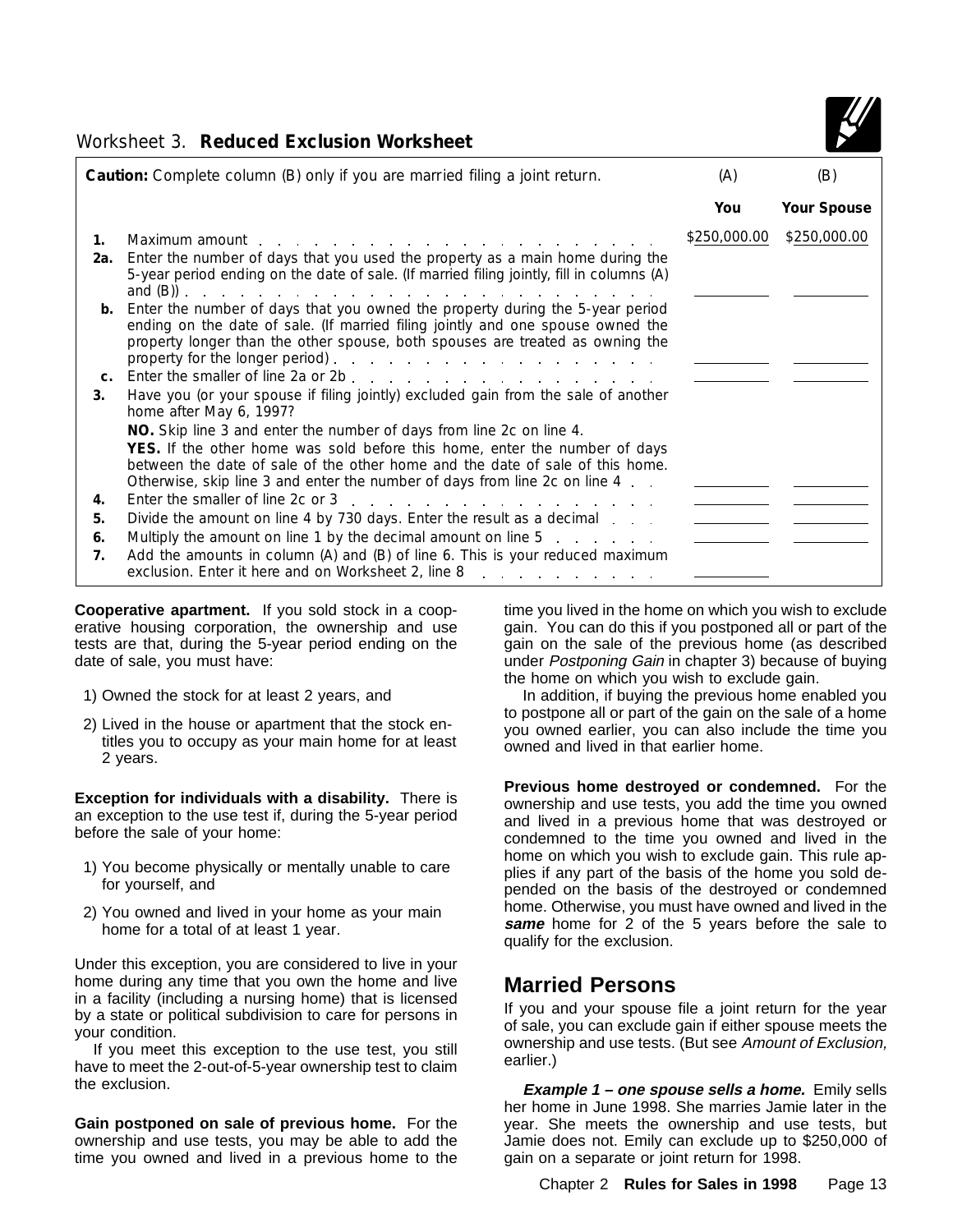

### Worksheet 3. **Reduced Exclusion Worksheet**

| Caution: Complete column (B) only if you are married filing a joint return. |                                                                                                                                                                                                                                                                                                                                                      |              | (B)                |
|-----------------------------------------------------------------------------|------------------------------------------------------------------------------------------------------------------------------------------------------------------------------------------------------------------------------------------------------------------------------------------------------------------------------------------------------|--------------|--------------------|
|                                                                             |                                                                                                                                                                                                                                                                                                                                                      | You          | <b>Your Spouse</b> |
| 1.                                                                          | Maximum amount                                                                                                                                                                                                                                                                                                                                       | \$250,000.00 | \$250,000.00       |
| 2а.                                                                         | Enter the number of days that you used the property as a main home during the<br>5-year period ending on the date of sale. (If married filing jointly, fill in columns (A)                                                                                                                                                                           |              |                    |
| b.                                                                          | Enter the number of days that you owned the property during the 5-year period<br>ending on the date of sale. (If married filing jointly and one spouse owned the<br>property longer than the other spouse, both spouses are treated as owning the<br>property for the longer period). $\ldots$ $\ldots$ $\ldots$ $\ldots$ $\ldots$ $\ldots$ $\ldots$ |              |                    |
| $C_{1}$                                                                     |                                                                                                                                                                                                                                                                                                                                                      |              |                    |
| 3.                                                                          | Have you (or your spouse if filing jointly) excluded gain from the sale of another<br>home after May 6, 1997?                                                                                                                                                                                                                                        |              |                    |
|                                                                             | NO. Skip line 3 and enter the number of days from line 2c on line 4.                                                                                                                                                                                                                                                                                 |              |                    |
|                                                                             | YES. If the other home was sold before this home, enter the number of days<br>between the date of sale of the other home and the date of sale of this home.<br>Otherwise, skip line 3 and enter the number of days from line 2c on line 4.                                                                                                           |              |                    |
| 4.                                                                          |                                                                                                                                                                                                                                                                                                                                                      |              |                    |
| 5.                                                                          | Divide the amount on line 4 by 730 days. Enter the result as a decimal                                                                                                                                                                                                                                                                               |              |                    |
| 6.                                                                          | Multiply the amount on line 1 by the decimal amount on line 5                                                                                                                                                                                                                                                                                        |              |                    |
| 7.                                                                          | Add the amounts in column (A) and (B) of line 6. This is your reduced maximum<br>exclusion. Enter it here and on Worksheet 2, line 8                                                                                                                                                                                                                 |              |                    |

**Cooperative apartment.** If you sold stock in a cooperative housing corporation, the ownership and use tests are that, during the 5-year period ending on the date of sale, you must have:

- 1) Owned the stock for at least 2 years, and
- 2) Lived in the house or apartment that the stock entitles you to occupy as your main home for at least 2 years.

**Exception for individuals with a disability.** There is an exception to the use test if, during the 5-year period before the sale of your home:

- 1) You become physically or mentally unable to care for yourself, and
- 2) You owned and lived in your home as your main home for a total of at least 1 year.

Under this exception, you are considered to live in your home during any time that you own the home and live in a facility (including a nursing home) that is licensed by a state or political subdivision to care for persons in your condition.

If you meet this exception to the use test, you still have to meet the 2-out-of-5-year ownership test to claim the exclusion.

**Gain postponed on sale of previous home.** For the ownership and use tests, you may be able to add the time you owned and lived in a previous home to the

time you lived in the home on which you wish to exclude gain. You can do this if you postponed all or part of the gain on the sale of the previous home (as described under Postponing Gain in chapter 3) because of buying the home on which you wish to exclude gain.

In addition, if buying the previous home enabled you to postpone all or part of the gain on the sale of a home you owned earlier, you can also include the time you owned and lived in that earlier home.

**Previous home destroyed or condemned.** For the ownership and use tests, you add the time you owned and lived in a previous home that was destroyed or condemned to the time you owned and lived in the home on which you wish to exclude gain. This rule applies if any part of the basis of the home you sold depended on the basis of the destroyed or condemned home. Otherwise, you must have owned and lived in the **same** home for 2 of the 5 years before the sale to qualify for the exclusion.

## **Married Persons**

If you and your spouse file a joint return for the year of sale, you can exclude gain if either spouse meets the ownership and use tests. (But see Amount of Exclusion, earlier.)

**Example 1 – one spouse sells a home.** Emily sells her home in June 1998. She marries Jamie later in the year. She meets the ownership and use tests, but Jamie does not. Emily can exclude up to \$250,000 of gain on a separate or joint return for 1998.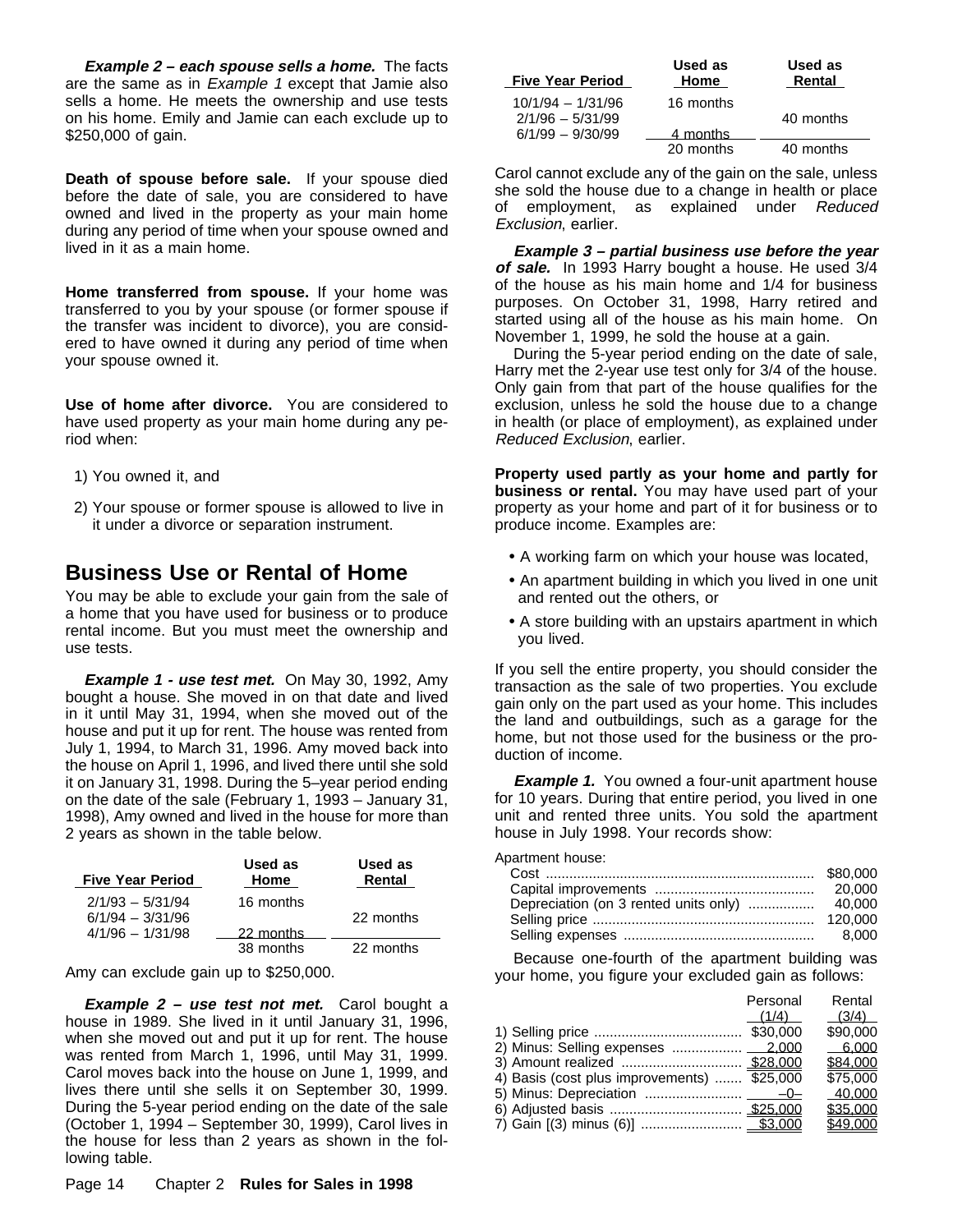**Example 2 – each spouse sells a home.** The facts are the same as in *Example 1* except that Jamie also sells a home. He meets the ownership and use tests on his home. Emily and Jamie can each exclude up to \$250,000 of gain.

**Death of spouse before sale.** If your spouse died before the date of sale, you are considered to have owned and lived in the property as your main home during any period of time when your spouse owned and lived in it as a main home.

**Home transferred from spouse.** If your home was transferred to you by your spouse (or former spouse if the transfer was incident to divorce), you are considered to have owned it during any period of time when your spouse owned it.

**Use of home after divorce.** You are considered to have used property as your main home during any period when:

- 1) You owned it, and
- 2) Your spouse or former spouse is allowed to live in it under a divorce or separation instrument.

## **Business Use or Rental of Home**

You may be able to exclude your gain from the sale of a home that you have used for business or to produce rental income. But you must meet the ownership and use tests.

**Example 1 - use test met.** On May 30, 1992, Amy bought a house. She moved in on that date and lived in it until May 31, 1994, when she moved out of the house and put it up for rent. The house was rented from July 1, 1994, to March 31, 1996. Amy moved back into the house on April 1, 1996, and lived there until she sold it on January 31, 1998. During the 5–year period ending on the date of the sale (February 1, 1993 – January 31, 1998), Amy owned and lived in the house for more than 2 years as shown in the table below.

| <b>Five Year Period</b>                  | Used as<br>Home | Used as<br>Rental |
|------------------------------------------|-----------------|-------------------|
| $2/1/93 - 5/31/94$<br>$6/1/94 - 3/31/96$ | 16 months       | 22 months         |
| $4/1/96 - 1/31/98$                       | 22 months       |                   |
|                                          | 38 months       | 22 months         |

Amy can exclude gain up to \$250,000.

**Example 2 – use test not met.** Carol bought a house in 1989. She lived in it until January 31, 1996, when she moved out and put it up for rent. The house was rented from March 1, 1996, until May 31, 1999. Carol moves back into the house on June 1, 1999, and lives there until she sells it on September 30, 1999. During the 5-year period ending on the date of the sale (October 1, 1994 – September 30, 1999), Carol lives in the house for less than 2 years as shown in the following table.

Carol cannot exclude any of the gain on the sale, unless she sold the house due to a change in health or place of employment, as explained under Reduced Exclusion, earlier.

**Example 3 – partial business use before the year of sale.** In 1993 Harry bought a house. He used 3/4 of the house as his main home and 1/4 for business purposes. On October 31, 1998, Harry retired and started using all of the house as his main home. On November 1, 1999, he sold the house at a gain.

During the 5-year period ending on the date of sale, Harry met the 2-year use test only for 3/4 of the house. Only gain from that part of the house qualifies for the exclusion, unless he sold the house due to a change in health (or place of employment), as explained under Reduced Exclusion, earlier.

**Property used partly as your home and partly for business or rental.** You may have used part of your property as your home and part of it for business or to produce income. Examples are:

- A working farm on which your house was located,
- An apartment building in which you lived in one unit and rented out the others, or
- A store building with an upstairs apartment in which you lived.

If you sell the entire property, you should consider the transaction as the sale of two properties. You exclude gain only on the part used as your home. This includes the land and outbuildings, such as a garage for the home, but not those used for the business or the production of income.

**Example 1.** You owned a four-unit apartment house for 10 years. During that entire period, you lived in one unit and rented three units. You sold the apartment house in July 1998. Your records show:

Apartment house:

| ive Year Period  | изси аз<br>Home | uscu as   | Cost …………………………………………………………           | \$80,000 |
|------------------|-----------------|-----------|---------------------------------------|----------|
|                  |                 | Rental    |                                       | 20,000   |
| 2/1/93 - 5/31/94 | 16 months       |           | Depreciation (on 3 rented units only) | 40.000   |
| 6/1/94 - 3/31/96 |                 | 22 months |                                       |          |
| 4/1/96 - 1/31/98 | 22 months       |           |                                       | 8.000    |

Because one-fourth of the apartment building was your home, you figure your excluded gain as follows:

|                                             | Personal | Rental   |
|---------------------------------------------|----------|----------|
|                                             | (1/4)    | (3/4)    |
|                                             |          | \$90,000 |
| 2) Minus: Selling expenses  2,000           |          | 6.000    |
|                                             |          | \$84,000 |
| 4) Basis (cost plus improvements)  \$25,000 |          | \$75,000 |
|                                             |          | 40.000   |
|                                             |          | \$35,000 |
|                                             |          | \$49,000 |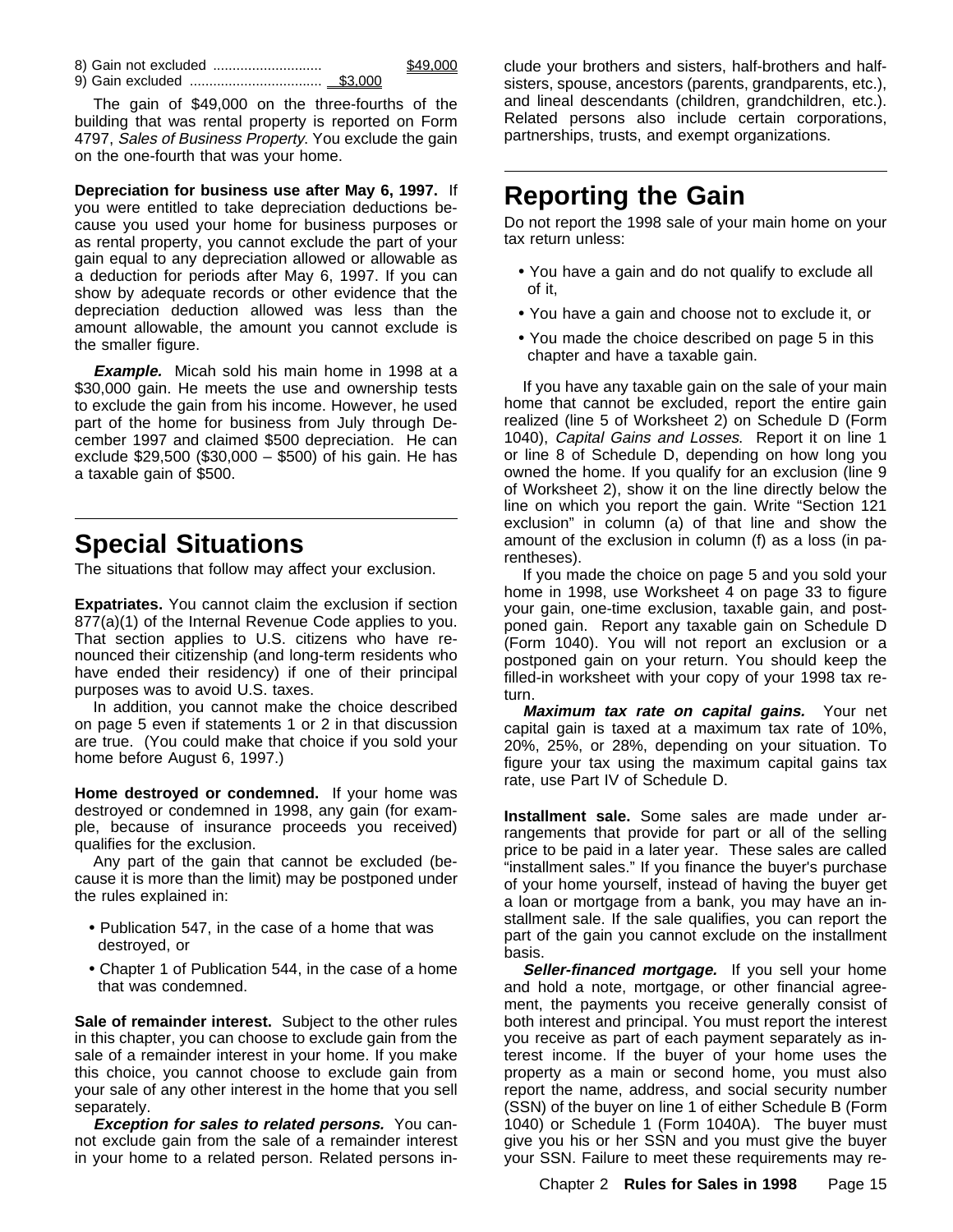9) Gain excluded .................................. \$3,000

The gain of \$49,000 on the three-fourths of the building that was rental property is reported on Form 4797, Sales of Business Property. You exclude the gain on the one-fourth that was your home.

**Depreciation for business use after May 6, 1997.** If you were entitled to take depreciation deductions because you used your home for business purposes or as rental property, you cannot exclude the part of your gain equal to any depreciation allowed or allowable as a deduction for periods after May 6, 1997. If you can show by adequate records or other evidence that the depreciation deduction allowed was less than the amount allowable, the amount you cannot exclude is the smaller figure.

**Example.** Micah sold his main home in 1998 at a \$30,000 gain. He meets the use and ownership tests to exclude the gain from his income. However, he used part of the home for business from July through December 1997 and claimed \$500 depreciation. He can exclude \$29,500 (\$30,000 – \$500) of his gain. He has a taxable gain of \$500.

## **Special Situations**

The situations that follow may affect your exclusion.

**Expatriates.** You cannot claim the exclusion if section 877(a)(1) of the Internal Revenue Code applies to you. That section applies to U.S. citizens who have renounced their citizenship (and long-term residents who have ended their residency) if one of their principal purposes was to avoid U.S. taxes.

In addition, you cannot make the choice described on page 5 even if statements 1 or 2 in that discussion are true. (You could make that choice if you sold your home before August 6, 1997.)

**Home destroyed or condemned.** If your home was destroyed or condemned in 1998, any gain (for example, because of insurance proceeds you received) qualifies for the exclusion.

Any part of the gain that cannot be excluded (because it is more than the limit) may be postponed under the rules explained in:

- Publication 547, in the case of a home that was destroyed, or
- Chapter 1 of Publication 544, in the case of a home that was condemned.

**Sale of remainder interest.** Subject to the other rules in this chapter, you can choose to exclude gain from the sale of a remainder interest in your home. If you make this choice, you cannot choose to exclude gain from your sale of any other interest in the home that you sell separately.

**Exception for sales to related persons.** You cannot exclude gain from the sale of a remainder interest in your home to a related person. Related persons in-

8) Gain not excluded  $\frac{349,000}{2}$  clude your brothers and sisters, half-brothers and half-<br>8) Gain excluded  $\frac{33,000}{2}$  sisters, spouse ancestors (parents, grandparents, etc.) sisters, spouse, ancestors (parents, grandparents, etc.), and lineal descendants (children, grandchildren, etc.). Related persons also include certain corporations, partnerships, trusts, and exempt organizations.

## **Reporting the Gain**

Do not report the 1998 sale of your main home on your tax return unless:

- You have a gain and do not qualify to exclude all of it,
- You have a gain and choose not to exclude it, or
- You made the choice described on page 5 in this chapter and have a taxable gain.

If you have any taxable gain on the sale of your main home that cannot be excluded, report the entire gain realized (line 5 of Worksheet 2) on Schedule D (Form 1040), Capital Gains and Losses. Report it on line 1 or line 8 of Schedule D, depending on how long you owned the home. If you qualify for an exclusion (line 9 of Worksheet 2), show it on the line directly below the line on which you report the gain. Write "Section 121 exclusion" in column (a) of that line and show the amount of the exclusion in column (f) as a loss (in parentheses).

If you made the choice on page 5 and you sold your home in 1998, use Worksheet 4 on page 33 to figure your gain, one-time exclusion, taxable gain, and postponed gain. Report any taxable gain on Schedule D (Form 1040). You will not report an exclusion or a postponed gain on your return. You should keep the filled-in worksheet with your copy of your 1998 tax return.

**Maximum tax rate on capital gains.** Your net capital gain is taxed at a maximum tax rate of 10%, 20%, 25%, or 28%, depending on your situation. To figure your tax using the maximum capital gains tax rate, use Part IV of Schedule D.

**Installment sale.** Some sales are made under arrangements that provide for part or all of the selling price to be paid in a later year. These sales are called "installment sales." If you finance the buyer's purchase of your home yourself, instead of having the buyer get a loan or mortgage from a bank, you may have an installment sale. If the sale qualifies, you can report the part of the gain you cannot exclude on the installment basis.

Seller-financed mortgage. If you sell your home and hold a note, mortgage, or other financial agreement, the payments you receive generally consist of both interest and principal. You must report the interest you receive as part of each payment separately as interest income. If the buyer of your home uses the property as a main or second home, you must also report the name, address, and social security number (SSN) of the buyer on line 1 of either Schedule B (Form 1040) or Schedule 1 (Form 1040A). The buyer must give you his or her SSN and you must give the buyer your SSN. Failure to meet these requirements may re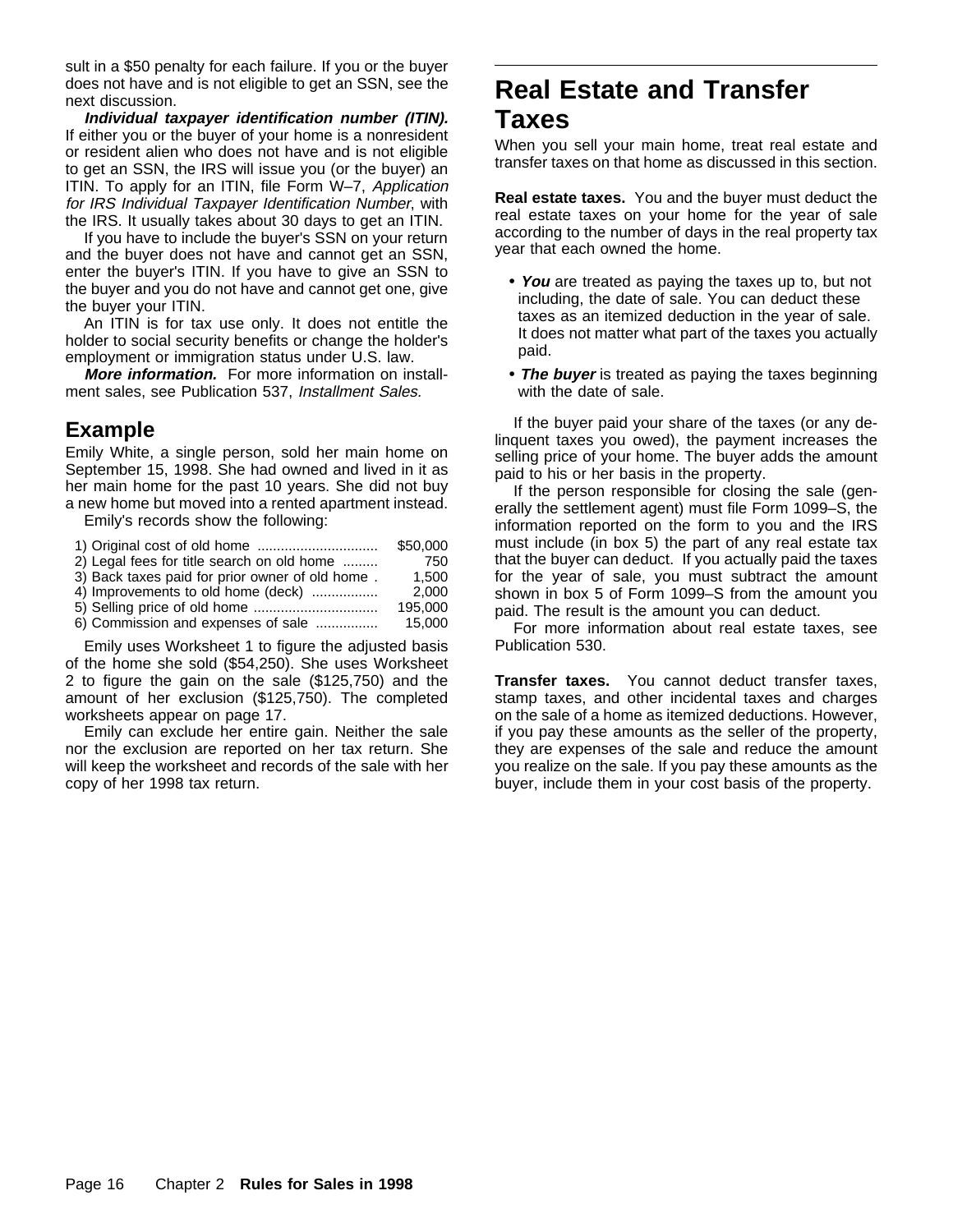sult in a \$50 penalty for each failure. If you or the buyer does not have and is not eligible to get an SSN, see the next discussion.

**Individual taxpayer identification number (ITIN).** If either you or the buyer of your home is a nonresident or resident alien who does not have and is not eligible to get an SSN, the IRS will issue you (or the buyer) an ITIN. To apply for an ITIN, file Form W–7, Application for IRS Individual Taxpayer Identification Number, with the IRS. It usually takes about 30 days to get an ITIN.

If you have to include the buyer's SSN on your return and the buyer does not have and cannot get an SSN, enter the buyer's ITIN. If you have to give an SSN to the buyer and you do not have and cannot get one, give the buyer your ITIN.

An ITIN is for tax use only. It does not entitle the holder to social security benefits or change the holder's employment or immigration status under U.S. law.

**More information.** For more information on installment sales, see Publication 537, Installment Sales.

## **Example**

Emily White, a single person, sold her main home on September 15, 1998. She had owned and lived in it as her main home for the past 10 years. She did not buy a new home but moved into a rented apartment instead.

Emily's records show the following:

|                                                 | \$50,000 |
|-------------------------------------------------|----------|
| 2) Legal fees for title search on old home      | 750      |
| 3) Back taxes paid for prior owner of old home. | 1.500    |
| 4) Improvements to old home (deck)              | 2.000    |
|                                                 | 195.000  |
| 6) Commission and expenses of sale              | 15.000   |

Emily uses Worksheet 1 to figure the adjusted basis of the home she sold (\$54,250). She uses Worksheet 2 to figure the gain on the sale (\$125,750) and the amount of her exclusion (\$125,750). The completed worksheets appear on page 17.

Emily can exclude her entire gain. Neither the sale nor the exclusion are reported on her tax return. She will keep the worksheet and records of the sale with her copy of her 1998 tax return.

## **Real Estate and Transfer Taxes**

When you sell your main home, treat real estate and transfer taxes on that home as discussed in this section.

**Real estate taxes.** You and the buyer must deduct the real estate taxes on your home for the year of sale according to the number of days in the real property tax year that each owned the home.

- **You** are treated as paying the taxes up to, but not including, the date of sale. You can deduct these taxes as an itemized deduction in the year of sale. It does not matter what part of the taxes you actually paid.
- **The buyer** is treated as paying the taxes beginning with the date of sale.

If the buyer paid your share of the taxes (or any delinquent taxes you owed), the payment increases the selling price of your home. The buyer adds the amount paid to his or her basis in the property.

If the person responsible for closing the sale (generally the settlement agent) must file Form 1099–S, the information reported on the form to you and the IRS must include (in box 5) the part of any real estate tax that the buyer can deduct. If you actually paid the taxes for the year of sale, you must subtract the amount shown in box 5 of Form 1099–S from the amount you paid. The result is the amount you can deduct.

For more information about real estate taxes, see Publication 530.

**Transfer taxes.** You cannot deduct transfer taxes, stamp taxes, and other incidental taxes and charges on the sale of a home as itemized deductions. However, if you pay these amounts as the seller of the property, they are expenses of the sale and reduce the amount you realize on the sale. If you pay these amounts as the buyer, include them in your cost basis of the property.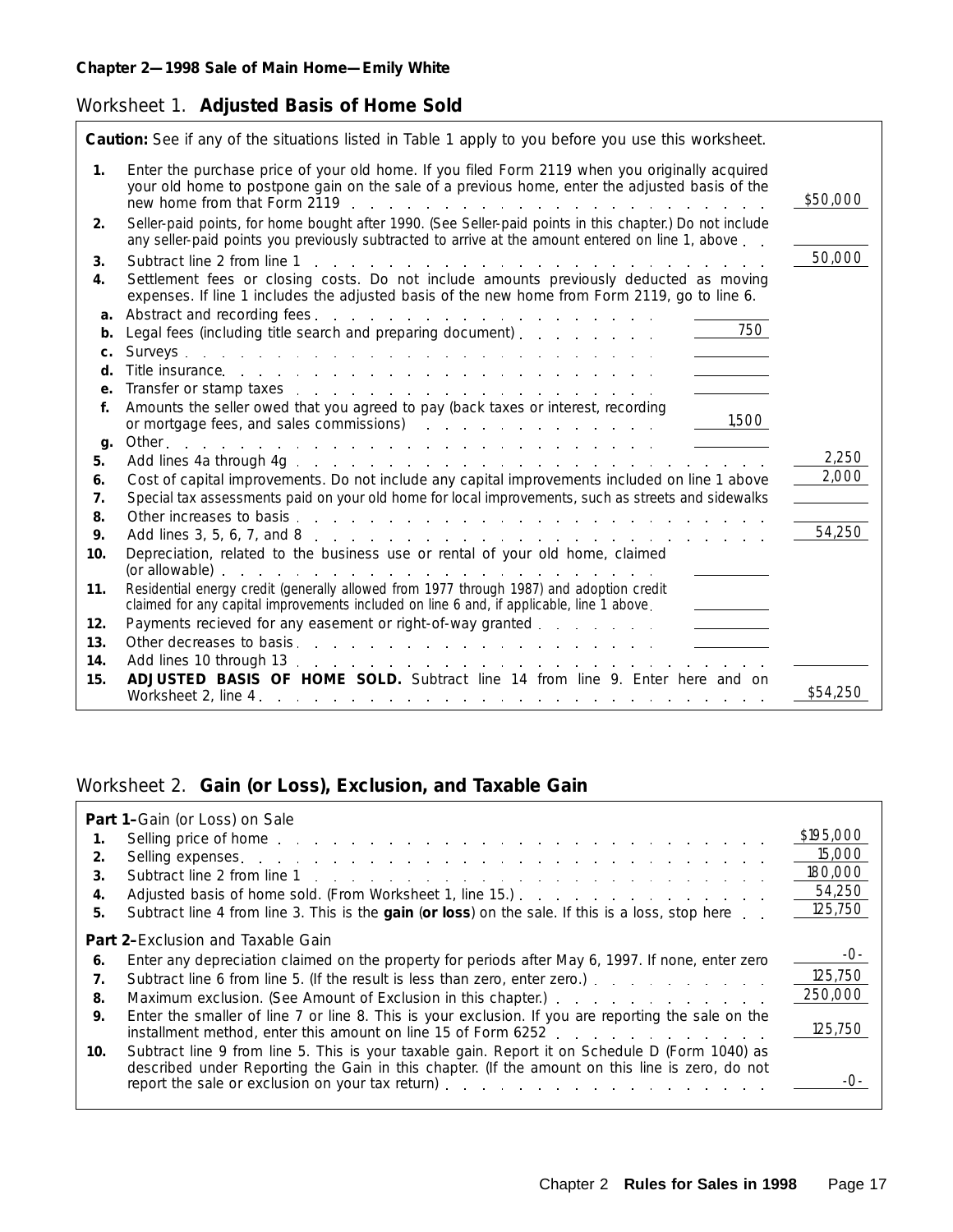### Worksheet 1. **Adjusted Basis of Home Sold**

|                | Caution: See if any of the situations listed in Table 1 apply to you before you use this worksheet.                                                                                                                                                           |          |
|----------------|---------------------------------------------------------------------------------------------------------------------------------------------------------------------------------------------------------------------------------------------------------------|----------|
| 1 <sub>1</sub> | Enter the purchase price of your old home. If you filed Form 2119 when you originally acquired<br>your old home to postpone gain on the sale of a previous home, enter the adjusted basis of the                                                              | \$50,000 |
| 2.             | Seller-paid points, for home bought after 1990. (See Seller-paid points in this chapter.) Do not include<br>any seller-paid points you previously subtracted to arrive at the amount entered on line 1, above                                                 |          |
| 3.             | Subtract line 2 from line 1<br>in the second control of the control of the control of the control of the control of the control of the control of the control of the control of the control of the control of the control of the control of the control of th | 50,000   |
| 4.             | Settlement fees or closing costs. Do not include amounts previously deducted as moving<br>expenses. If line 1 includes the adjusted basis of the new home from Form 2119, go to line 6.                                                                       |          |
| a.             |                                                                                                                                                                                                                                                               |          |
| b.             | $\frac{1}{2}$ 750<br>Legal fees (including title search and preparing document).                                                                                                                                                                              |          |
| c.             |                                                                                                                                                                                                                                                               |          |
| d.             | Title insurance. The same state of the same state is a state of the state of the state of the state of the state of the state of the state of the state of the state of the state of the state of the state of the state of th                                |          |
| e.             | Transfer or stamp taxes entering the service of the state of the state of the state of the state of the state of the state of the state of the state of the state of the state of the state of the state of the state of the s                                |          |
| f.             | Amounts the seller owed that you agreed to pay (back taxes or interest, recording<br>1,500                                                                                                                                                                    |          |
|                | or mortgage fees, and sales commissions) and the contract of the contract of the contract of the contract of the contract of the contract of the contract of the contract of the contract of the contract of the contract of t                                |          |
| g.<br>5.       |                                                                                                                                                                                                                                                               | 2,250    |
| 6.             | Cost of capital improvements. Do not include any capital improvements included on line 1 above                                                                                                                                                                | 2,000    |
| 7.             | Special tax assessments paid on your old home for local improvements, such as streets and sidewalks                                                                                                                                                           |          |
| 8.             |                                                                                                                                                                                                                                                               |          |
| 9.             |                                                                                                                                                                                                                                                               | 54,250   |
| 10.            | Depreciation, related to the business use or rental of your old home, claimed                                                                                                                                                                                 |          |
|                |                                                                                                                                                                                                                                                               |          |
| 11.            | Residential energy credit (generally allowed from 1977 through 1987) and adoption credit                                                                                                                                                                      |          |
|                | claimed for any capital improvements included on line 6 and, if applicable, line 1 above.                                                                                                                                                                     |          |
| 12.            | Payments recieved for any easement or right-of-way granted                                                                                                                                                                                                    |          |
| 13.            |                                                                                                                                                                                                                                                               |          |
| 14.            |                                                                                                                                                                                                                                                               |          |
| 15.            | <b>ADJUSTED BASIS OF HOME SOLD.</b> Subtract line 14 from line 9. Enter here and on                                                                                                                                                                           | \$54,250 |
|                |                                                                                                                                                                                                                                                               |          |

### Worksheet 2. **Gain (or Loss), Exclusion, and Taxable Gain**

|     | Part 1-Gain (or Loss) on Sale                                                                                                                                                                                                  |           |
|-----|--------------------------------------------------------------------------------------------------------------------------------------------------------------------------------------------------------------------------------|-----------|
| 1.  | Selling price of home enterprise and a series and a series and a series of the series of the series of the series of the series of the series of the series of the series of the series of the series of the series of the ser | \$195,000 |
| 2.  | Selling expenses. The and the anti-term of the second second second second second second second second second second second second second second second second second second second second second second second second second  | 15,000    |
| 3.  |                                                                                                                                                                                                                                | 180,000   |
| 4.  |                                                                                                                                                                                                                                | 54,250    |
| 5.  | Subtract line 4 from line 3. This is the gain (or loss) on the sale. If this is a loss, stop here                                                                                                                              | 125,750   |
|     | <b>Part 2-Exclusion and Taxable Gain</b>                                                                                                                                                                                       |           |
| 6.  | Enter any depreciation claimed on the property for periods after May 6, 1997. If none, enter zero                                                                                                                              | $-()$ -   |
| 7.  | Subtract line 6 from line 5. (If the result is less than zero, enter zero.)                                                                                                                                                    | 125,750   |
| 8.  | Maximum exclusion. (See Amount of Exclusion in this chapter.) entertainment of the set of the Maximum exclusion.                                                                                                               | 250,000   |
| 9.  | Enter the smaller of line 7 or line 8. This is your exclusion. If you are reporting the sale on the<br>installment method, enter this amount on line 15 of Form 6252                                                           | 125,750   |
| 10. | Subtract line 9 from line 5. This is your taxable gain. Report it on Schedule D (Form 1040) as<br>described under Reporting the Gain in this chapter. (If the amount on this line is zero, do not                              |           |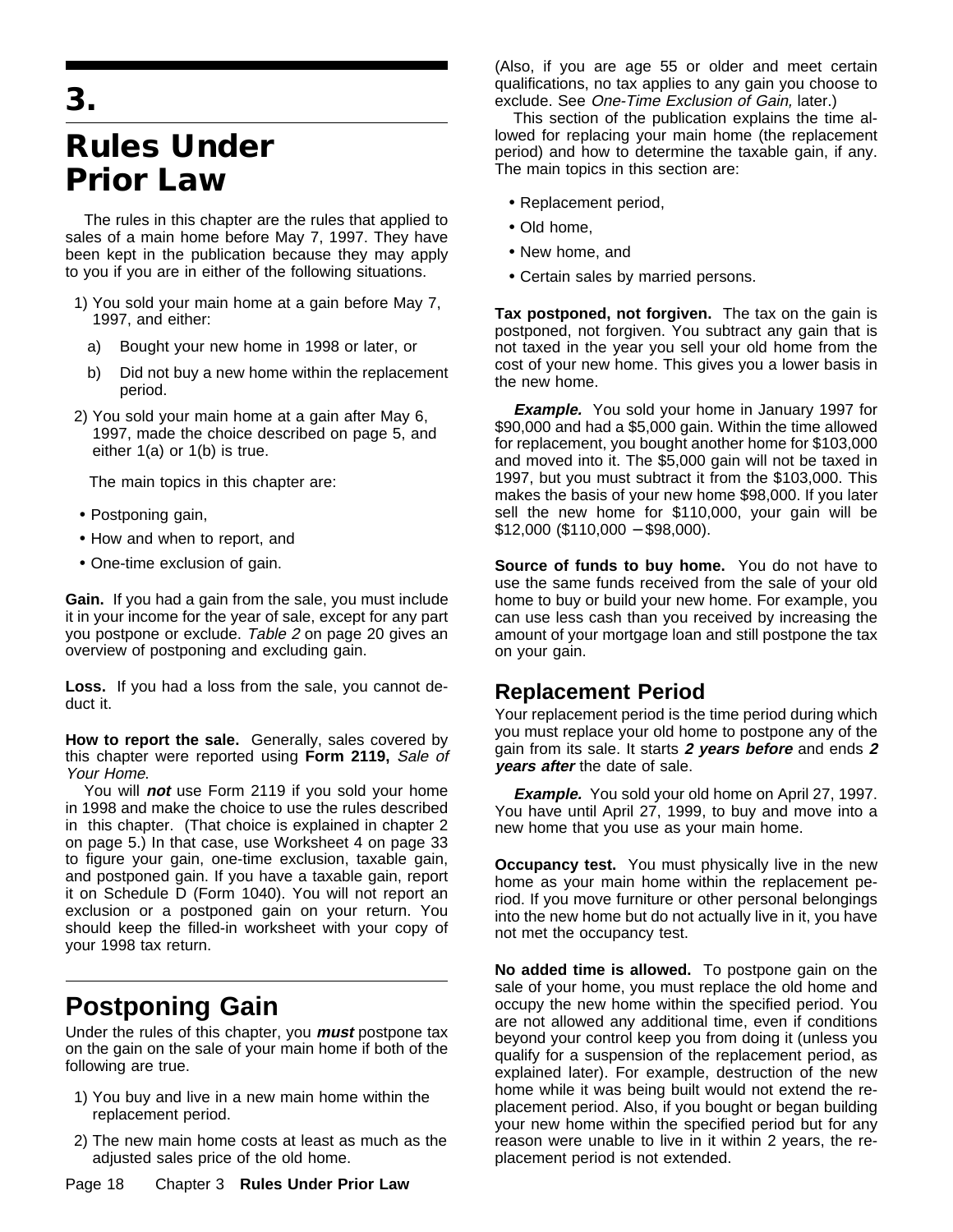## **3.**

## **Rules Under Prior Law**

The rules in this chapter are the rules that applied to sales of a main home before May 7, 1997. They have been kept in the publication because they may apply to you if you are in either of the following situations.

- 1) You sold your main home at a gain before May 7, 1997, and either:
	- a) Bought your new home in 1998 or later, or
	- b) Did not buy a new home within the replacement period.
- 2) You sold your main home at a gain after May 6, 1997, made the choice described on page 5, and either 1(a) or 1(b) is true.

The main topics in this chapter are:

- Postponing gain,
- How and when to report, and
- One-time exclusion of gain.

**Gain.** If you had a gain from the sale, you must include it in your income for the year of sale, except for any part you postpone or exclude. Table 2 on page 20 gives an overview of postponing and excluding gain.

**Loss.** If you had a loss from the sale, you cannot deduct it.

**How to report the sale.** Generally, sales covered by this chapter were reported using **Form 2119,** Sale of Your Home.

You will **not** use Form 2119 if you sold your home in 1998 and make the choice to use the rules described in this chapter. (That choice is explained in chapter 2 on page 5.) In that case, use Worksheet 4 on page 33 to figure your gain, one-time exclusion, taxable gain, and postponed gain. If you have a taxable gain, report it on Schedule D (Form 1040). You will not report an exclusion or a postponed gain on your return. You should keep the filled-in worksheet with your copy of your 1998 tax return.

## **Postponing Gain**

Under the rules of this chapter, you **must** postpone tax on the gain on the sale of your main home if both of the following are true.

- 1) You buy and live in a new main home within the replacement period.
- 2) The new main home costs at least as much as the adjusted sales price of the old home.

Page 18 Chapter 3 **Rules Under Prior Law**

(Also, if you are age 55 or older and meet certain qualifications, no tax applies to any gain you choose to exclude. See One-Time Exclusion of Gain, later.)

This section of the publication explains the time allowed for replacing your main home (the replacement period) and how to determine the taxable gain, if any. The main topics in this section are:

- Replacement period,
- Old home,
- New home, and
- Certain sales by married persons.

**Tax postponed, not forgiven.** The tax on the gain is postponed, not forgiven. You subtract any gain that is not taxed in the year you sell your old home from the cost of your new home. This gives you a lower basis in the new home.

**Example.** You sold your home in January 1997 for \$90,000 and had a \$5,000 gain. Within the time allowed for replacement, you bought another home for \$103,000 and moved into it. The \$5,000 gain will not be taxed in 1997, but you must subtract it from the \$103,000. This makes the basis of your new home \$98,000. If you later sell the new home for \$110,000, your gain will be \$12,000 (\$110,000 − \$98,000).

**Source of funds to buy home.** You do not have to use the same funds received from the sale of your old home to buy or build your new home. For example, you can use less cash than you received by increasing the amount of your mortgage loan and still postpone the tax on your gain.

## **Replacement Period**

Your replacement period is the time period during which you must replace your old home to postpone any of the gain from its sale. It starts **2 years before** and ends **<sup>2</sup> years after** the date of sale.

**Example.** You sold your old home on April 27, 1997. You have until April 27, 1999, to buy and move into a new home that you use as your main home.

**Occupancy test.** You must physically live in the new home as your main home within the replacement period. If you move furniture or other personal belongings into the new home but do not actually live in it, you have not met the occupancy test.

**No added time is allowed.** To postpone gain on the sale of your home, you must replace the old home and occupy the new home within the specified period. You are not allowed any additional time, even if conditions beyond your control keep you from doing it (unless you qualify for a suspension of the replacement period, as explained later). For example, destruction of the new home while it was being built would not extend the replacement period. Also, if you bought or began building your new home within the specified period but for any reason were unable to live in it within 2 years, the replacement period is not extended.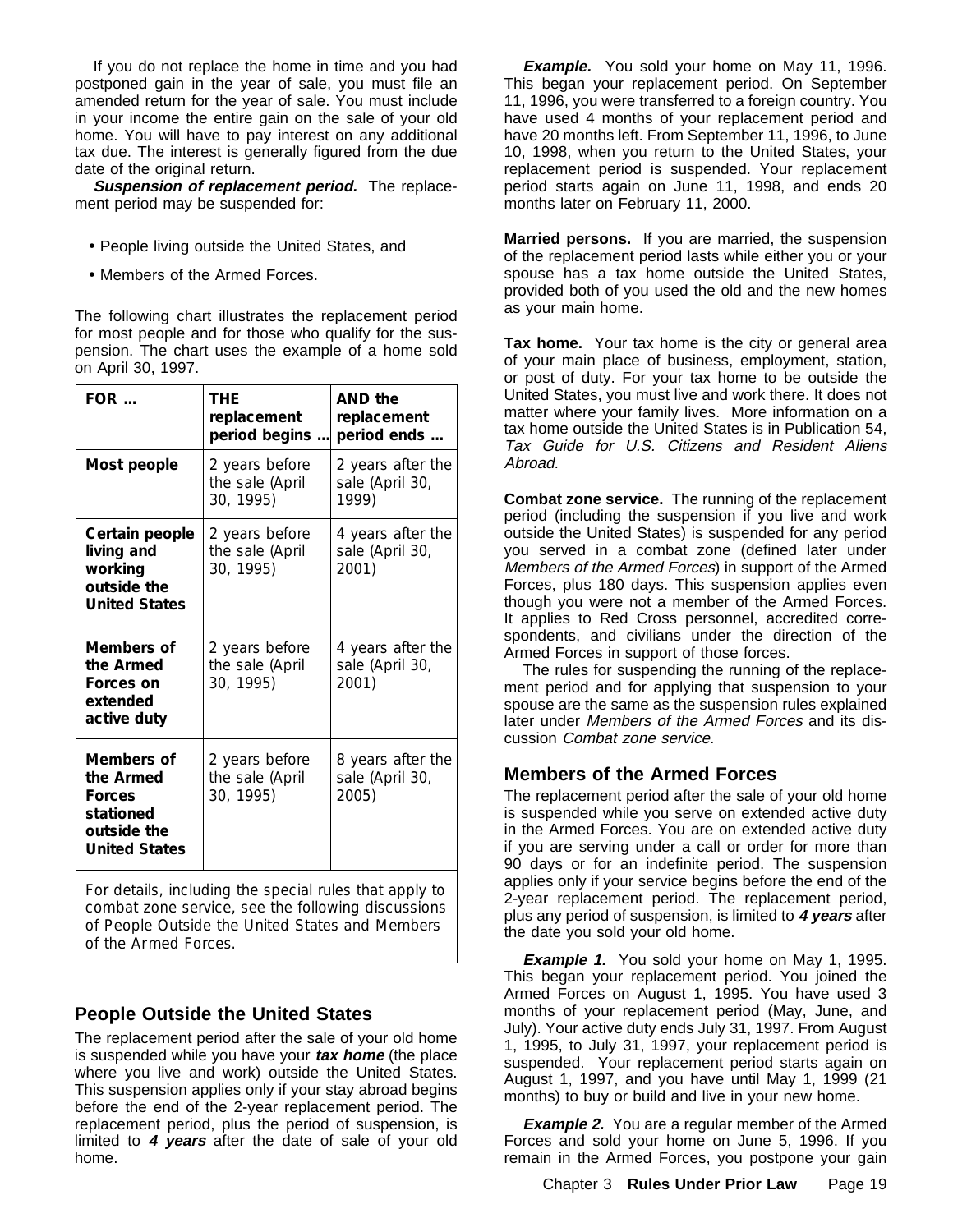If you do not replace the home in time and you had postponed gain in the year of sale, you must file an amended return for the year of sale. You must include in your income the entire gain on the sale of your old home. You will have to pay interest on any additional tax due. The interest is generally figured from the due date of the original return.

**Suspension of replacement period.** The replacement period may be suspended for:

- People living outside the United States, and
- Members of the Armed Forces.

The following chart illustrates the replacement period for most people and for those who qualify for the suspension. The chart uses the example of a home sold on April 30, 1997.

| $FOR$                                                                                        | THE<br>replacement<br>period begins            | AND the<br>replacement<br>period ends         |
|----------------------------------------------------------------------------------------------|------------------------------------------------|-----------------------------------------------|
| Most people                                                                                  | 2 years before<br>the sale (April<br>30, 1995) | 2 years after the<br>sale (April 30,<br>1999) |
| Certain people<br>living and<br>working<br>outside the<br><b>United States</b>               | 2 years before<br>the sale (April<br>30, 1995) | 4 years after the<br>sale (April 30,<br>2001) |
| Members of<br>the Armed<br>Forces on<br>extended<br>active duty                              | 2 years before<br>the sale (April<br>30, 1995) | 4 years after the<br>sale (April 30,<br>2001) |
| Members of<br>the Armed<br><b>Forces</b><br>stationed<br>outside the<br><b>United States</b> | 2 years before<br>the sale (April<br>30, 1995) | 8 years after the<br>sale (April 30,<br>2005) |

For details, including the special rules that apply to combat zone service, see the following discussions of *People Outside the United States* and *Members of the Armed Forces.*

### **People Outside the United States**

The replacement period after the sale of your old home is suspended while you have your **tax home** (the place where you live and work) outside the United States. This suspension applies only if your stay abroad begins before the end of the 2-year replacement period. The replacement period, plus the period of suspension, is limited to **4 years** after the date of sale of your old home.

**Example.** You sold your home on May 11, 1996. This began your replacement period. On September 11, 1996, you were transferred to a foreign country. You have used 4 months of your replacement period and have 20 months left. From September 11, 1996, to June 10, 1998, when you return to the United States, your replacement period is suspended. Your replacement period starts again on June 11, 1998, and ends 20 months later on February 11, 2000.

**Married persons.** If you are married, the suspension of the replacement period lasts while either you or your spouse has a tax home outside the United States, provided both of you used the old and the new homes as your main home.

**Tax home.** Your tax home is the city or general area of your main place of business, employment, station, or post of duty. For your tax home to be outside the United States, you must live and work there. It does not matter where your family lives. More information on a tax home outside the United States is in Publication 54, Tax Guide for U.S. Citizens and Resident Aliens Abroad.

**Combat zone service.** The running of the replacement period (including the suspension if you live and work outside the United States) is suspended for any period you served in a combat zone (defined later under Members of the Armed Forces) in support of the Armed Forces, plus 180 days. This suspension applies even though you were not a member of the Armed Forces. It applies to Red Cross personnel, accredited correspondents, and civilians under the direction of the Armed Forces in support of those forces.

The rules for suspending the running of the replacement period and for applying that suspension to your spouse are the same as the suspension rules explained later under Members of the Armed Forces and its discussion Combat zone service.

### **Members of the Armed Forces**

The replacement period after the sale of your old home is suspended while you serve on extended active duty in the Armed Forces. You are on extended active duty if you are serving under a call or order for more than 90 days or for an indefinite period. The suspension applies only if your service begins before the end of the 2-year replacement period. The replacement period, plus any period of suspension, is limited to **4 years** after the date you sold your old home.

**Example 1.** You sold your home on May 1, 1995. This began your replacement period. You joined the Armed Forces on August 1, 1995. You have used 3 months of your replacement period (May, June, and July). Your active duty ends July 31, 1997. From August 1, 1995, to July 31, 1997, your replacement period is suspended. Your replacement period starts again on August 1, 1997, and you have until May 1, 1999 (21 months) to buy or build and live in your new home.

**Example 2.** You are a regular member of the Armed Forces and sold your home on June 5, 1996. If you remain in the Armed Forces, you postpone your gain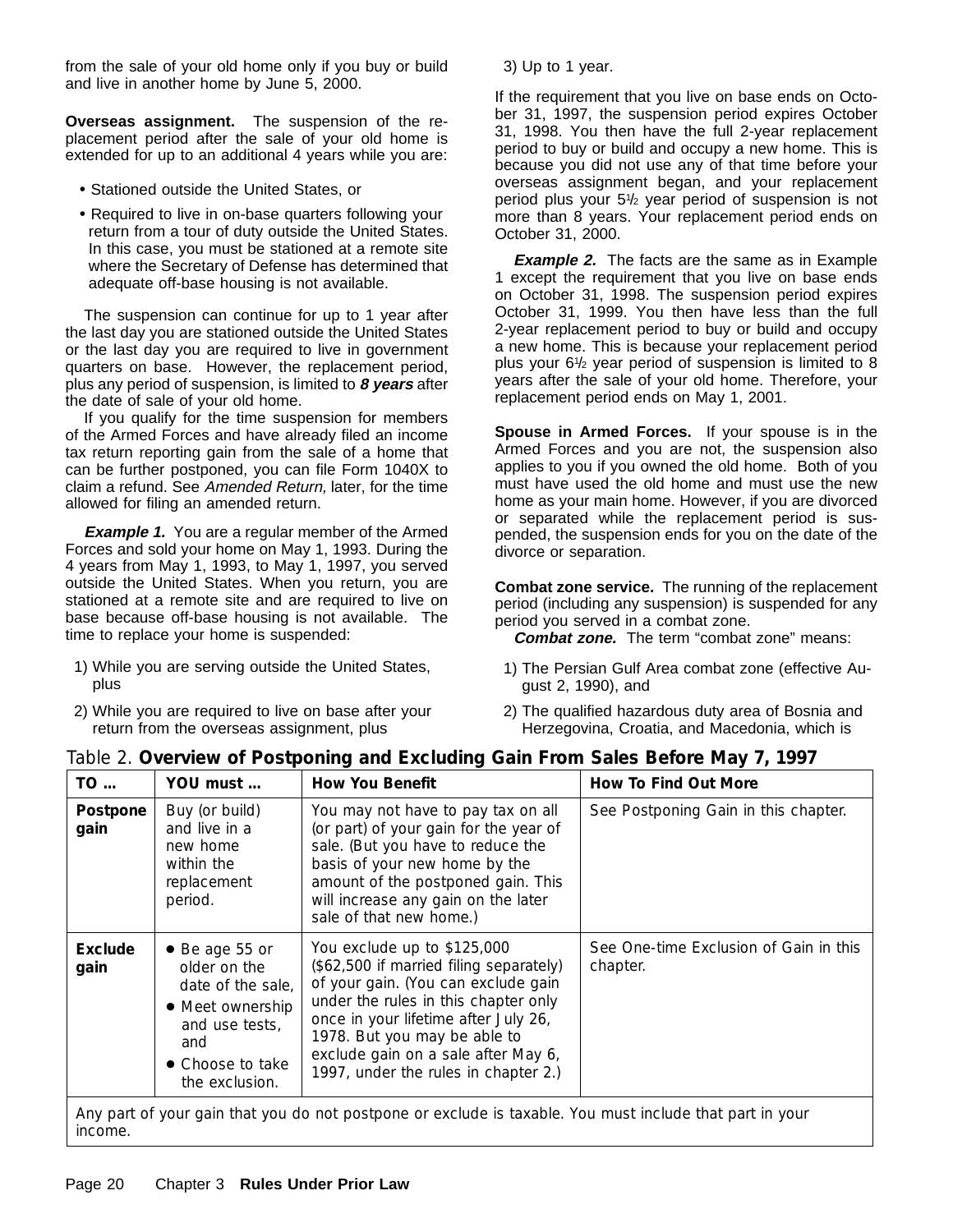from the sale of your old home only if you buy or build and live in another home by June 5, 2000.

**Overseas assignment.** The suspension of the replacement period after the sale of your old home is extended for up to an additional 4 years while you are:

- Stationed outside the United States, or
- Required to live in on-base quarters following your return from a tour of duty outside the United States. In this case, you must be stationed at a remote site where the Secretary of Defense has determined that adequate off-base housing is not available.

The suspension can continue for up to 1 year after the last day you are stationed outside the United States or the last day you are required to live in government quarters on base. However, the replacement period, plus any period of suspension, is limited to **8 years** after the date of sale of your old home.

If you qualify for the time suspension for members of the Armed Forces and have already filed an income tax return reporting gain from the sale of a home that can be further postponed, you can file Form 1040X to claim a refund. See Amended Return, later, for the time allowed for filing an amended return.

**Example 1.** You are a regular member of the Armed Forces and sold your home on May 1, 1993. During the 4 years from May 1, 1993, to May 1, 1997, you served outside the United States. When you return, you are stationed at a remote site and are required to live on base because off-base housing is not available. The time to replace your home is suspended:

- 1) While you are serving outside the United States, plus
- 2) While you are required to live on base after your return from the overseas assignment, plus

3) Up to 1 year.

If the requirement that you live on base ends on October 31, 1997, the suspension period expires October 31, 1998. You then have the full 2-year replacement period to buy or build and occupy a new home. This is because you did not use any of that time before your overseas assignment began, and your replacement period plus your 51 /2 year period of suspension is not more than 8 years. Your replacement period ends on October 31, 2000.

**Example 2.** The facts are the same as in Example 1 except the requirement that you live on base ends on October 31, 1998. The suspension period expires October 31, 1999. You then have less than the full 2-year replacement period to buy or build and occupy a new home. This is because your replacement period plus your 61 /2 year period of suspension is limited to 8 years after the sale of your old home. Therefore, your replacement period ends on May 1, 2001.

**Spouse in Armed Forces.** If your spouse is in the Armed Forces and you are not, the suspension also applies to you if you owned the old home. Both of you must have used the old home and must use the new home as your main home. However, if you are divorced or separated while the replacement period is suspended, the suspension ends for you on the date of the divorce or separation.

**Combat zone service.** The running of the replacement period (including any suspension) is suspended for any period you served in a combat zone.

**Combat zone.** The term "combat zone" means:

- 1) The Persian Gulf Area combat zone (effective August 2, 1990), and
- 2) The qualified hazardous duty area of Bosnia and Herzegovina, Croatia, and Macedonia, which is

| TO               | YOU must                                                                                                                                       | <b>How You Benefit</b>                                                                                                                                                                                                                                                                                       | How To Find Out More                               |
|------------------|------------------------------------------------------------------------------------------------------------------------------------------------|--------------------------------------------------------------------------------------------------------------------------------------------------------------------------------------------------------------------------------------------------------------------------------------------------------------|----------------------------------------------------|
| Postpone<br>gain | Buy (or build)<br>and live in a<br>new home<br>within the<br>replacement<br>period.                                                            | You may not have to pay tax on all<br>(or part) of your gain for the year of<br>sale. (But you have to reduce the<br>basis of your new home by the<br>amount of the postponed gain. This<br>will increase any gain on the later<br>sale of that new home.)                                                   | See Postponing Gain in this chapter.               |
| Exclude<br>gain  | $\bullet$ Be age 55 or<br>older on the<br>date of the sale,<br>• Meet ownership<br>and use tests,<br>and<br>• Choose to take<br>the exclusion. | You exclude up to \$125,000<br>(\$62,500 if married filing separately)<br>of your gain. (You can exclude gain<br>under the rules in this chapter only<br>once in your lifetime after July 26,<br>1978. But you may be able to<br>exclude gain on a sale after May 6,<br>1997, under the rules in chapter 2.) | See One-time Exclusion of Gain in this<br>chapter. |

income.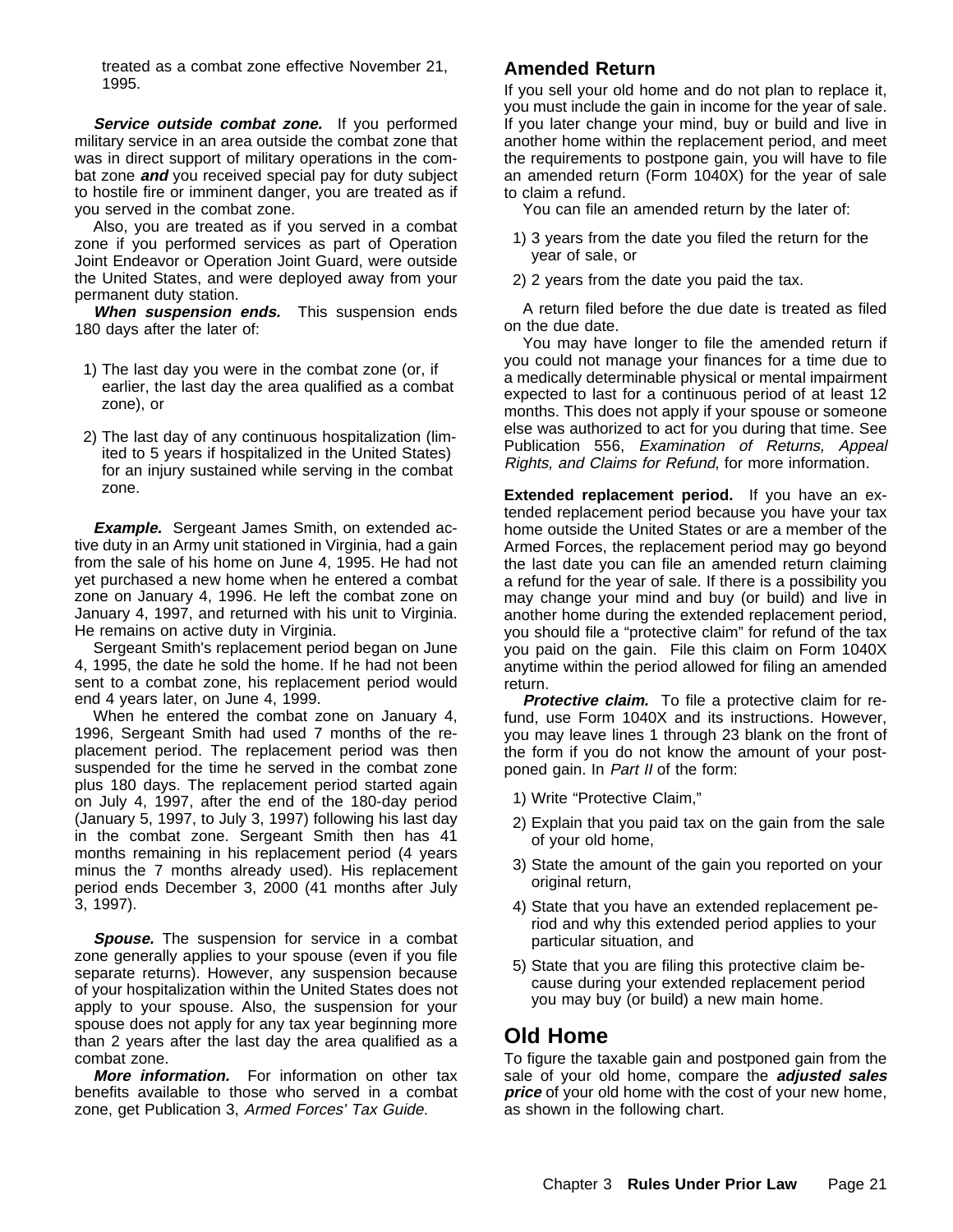treated as a combat zone effective November 21, 1995.

Service outside combat zone. If you performed military service in an area outside the combat zone that was in direct support of military operations in the combat zone **and** you received special pay for duty subject to hostile fire or imminent danger, you are treated as if you served in the combat zone.

Also, you are treated as if you served in a combat zone if you performed services as part of Operation Joint Endeavor or Operation Joint Guard, were outside the United States, and were deployed away from your permanent duty station.

**When suspension ends.** This suspension ends 180 days after the later of:

- 1) The last day you were in the combat zone (or, if earlier, the last day the area qualified as a combat zone), or
- 2) The last day of any continuous hospitalization (limited to 5 years if hospitalized in the United States) for an injury sustained while serving in the combat zone.

**Example.** Sergeant James Smith, on extended active duty in an Army unit stationed in Virginia, had a gain from the sale of his home on June 4, 1995. He had not yet purchased a new home when he entered a combat zone on January 4, 1996. He left the combat zone on January 4, 1997, and returned with his unit to Virginia. He remains on active duty in Virginia.

Sergeant Smith's replacement period began on June 4, 1995, the date he sold the home. If he had not been sent to a combat zone, his replacement period would end 4 years later, on June 4, 1999.

When he entered the combat zone on January 4, 1996, Sergeant Smith had used 7 months of the replacement period. The replacement period was then suspended for the time he served in the combat zone plus 180 days. The replacement period started again on July 4, 1997, after the end of the 180-day period (January 5, 1997, to July 3, 1997) following his last day in the combat zone. Sergeant Smith then has 41 months remaining in his replacement period (4 years minus the 7 months already used). His replacement period ends December 3, 2000 (41 months after July 3, 1997).

**Spouse.** The suspension for service in a combat zone generally applies to your spouse (even if you file separate returns). However, any suspension because of your hospitalization within the United States does not apply to your spouse. Also, the suspension for your spouse does not apply for any tax year beginning more than 2 years after the last day the area qualified as a combat zone.

**More information.** For information on other tax benefits available to those who served in a combat zone, get Publication 3, Armed Forces' Tax Guide.

### **Amended Return**

If you sell your old home and do not plan to replace it, you must include the gain in income for the year of sale. If you later change your mind, buy or build and live in another home within the replacement period, and meet the requirements to postpone gain, you will have to file an amended return (Form 1040X) for the year of sale to claim a refund.

You can file an amended return by the later of:

- 1) 3 years from the date you filed the return for the year of sale, or
- 2) 2 years from the date you paid the tax.

A return filed before the due date is treated as filed on the due date.

You may have longer to file the amended return if you could not manage your finances for a time due to a medically determinable physical or mental impairment expected to last for a continuous period of at least 12 months. This does not apply if your spouse or someone else was authorized to act for you during that time. See Publication 556, Examination of Returns, Appeal Rights, and Claims for Refund, for more information.

**Extended replacement period.** If you have an extended replacement period because you have your tax home outside the United States or are a member of the Armed Forces, the replacement period may go beyond the last date you can file an amended return claiming a refund for the year of sale. If there is a possibility you may change your mind and buy (or build) and live in another home during the extended replacement period, you should file a "protective claim" for refund of the tax you paid on the gain. File this claim on Form 1040X anytime within the period allowed for filing an amended return.

**Protective claim.** To file a protective claim for refund, use Form 1040X and its instructions. However, you may leave lines 1 through 23 blank on the front of the form if you do not know the amount of your postponed gain. In Part II of the form:

- 1) Write "Protective Claim,"
- 2) Explain that you paid tax on the gain from the sale of your old home,
- 3) State the amount of the gain you reported on your original return,
- 4) State that you have an extended replacement period and why this extended period applies to your particular situation, and
- 5) State that you are filing this protective claim because during your extended replacement period you may buy (or build) a new main home.

## **Old Home**

To figure the taxable gain and postponed gain from the sale of your old home, compare the **adjusted sales price** of your old home with the cost of your new home, as shown in the following chart.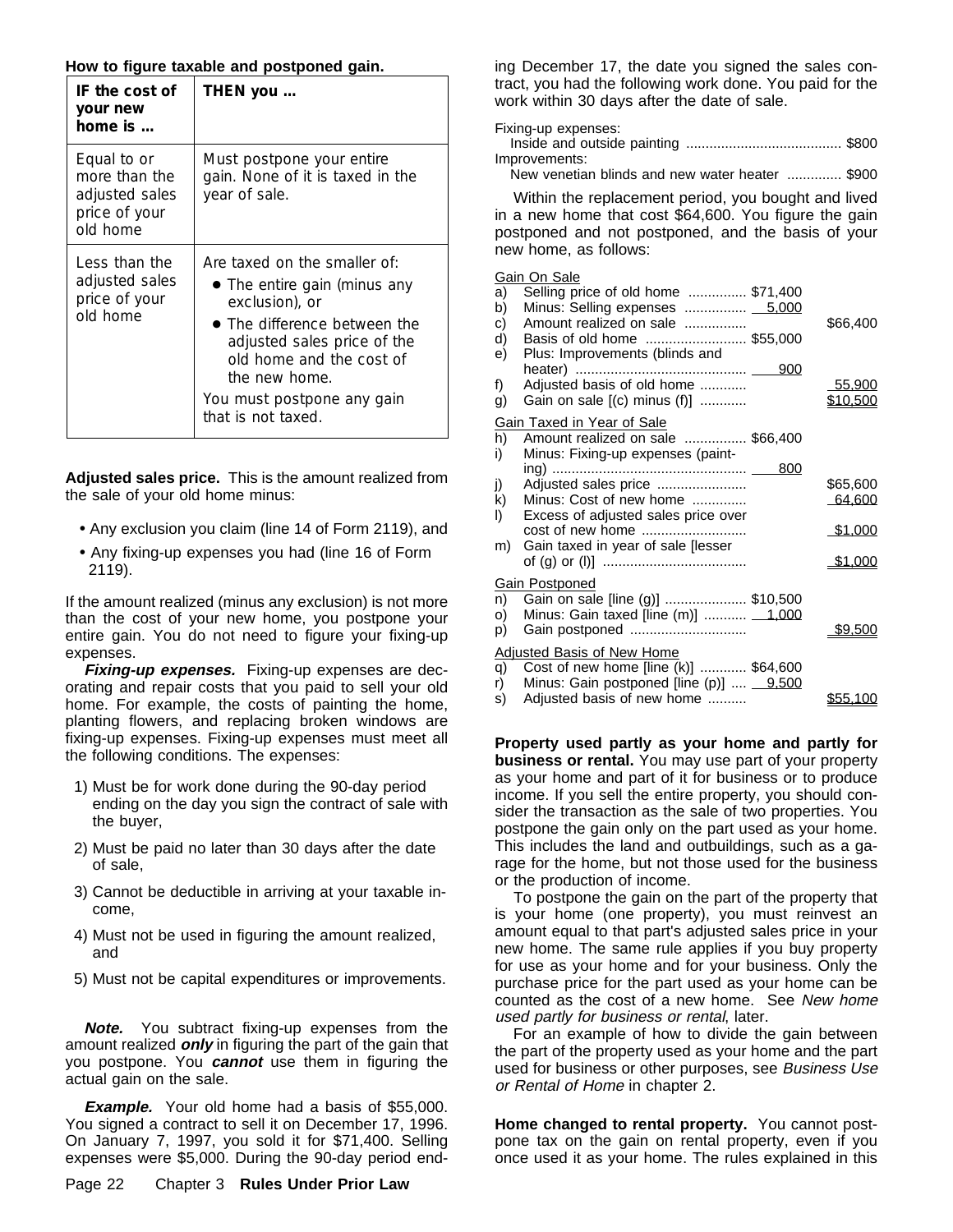#### **How to figure taxable and postponed gain.**

| IF the cost of<br>your new<br>home is $\ldots$                              | THEN you                                                                                                                                                                                                                                               |
|-----------------------------------------------------------------------------|--------------------------------------------------------------------------------------------------------------------------------------------------------------------------------------------------------------------------------------------------------|
| Equal to or<br>more than the<br>adjusted sales<br>price of your<br>old home | Must postpone your entire<br>gain. None of it is taxed in the<br>year of sale.                                                                                                                                                                         |
| Less than the<br>adjusted sales<br>price of your<br>old home                | Are taxed on the smaller of:<br>• The entire gain (minus any<br>exclusion), or<br>$\bullet$ The difference between the<br>adjusted sales price of the<br>old home and the cost of<br>the new home.<br>You must postpone any gain<br>that is not taxed. |

**Adjusted sales price.** This is the amount realized from the sale of your old home minus:

- Any exclusion you claim (line 14 of Form 2119), and
- Any fixing-up expenses you had (line 16 of Form 2119).

If the amount realized (minus any exclusion) is not more than the cost of your new home, you postpone your entire gain. You do not need to figure your fixing-up expenses.

**Fixing-up expenses.** Fixing-up expenses are decorating and repair costs that you paid to sell your old home. For example, the costs of painting the home, planting flowers, and replacing broken windows are fixing-up expenses. Fixing-up expenses must meet all the following conditions. The expenses:

- 1) Must be for work done during the 90-day period ending on the day you sign the contract of sale with the buyer,
- 2) Must be paid no later than 30 days after the date of sale,
- 3) Cannot be deductible in arriving at your taxable income,
- 4) Must not be used in figuring the amount realized, and
- 5) Must not be capital expenditures or improvements.

**Note.** You subtract fixing-up expenses from the amount realized **only** in figuring the part of the gain that you postpone. You **cannot** use them in figuring the actual gain on the sale.

**Example.** Your old home had a basis of \$55,000. You signed a contract to sell it on December 17, 1996. On January 7, 1997, you sold it for \$71,400. Selling expenses were \$5,000. During the 90-day period end-

Page 22 Chapter 3 **Rules Under Prior Law**

ing December 17, the date you signed the sales contract, you had the following work done. You paid for the work within 30 days after the date of sale.

Fixing-up expenses:

| Improvements:                                   |  |
|-------------------------------------------------|--|
| New venetian blinds and new water heater  \$900 |  |

Within the replacement period, you bought and lived in a new home that cost \$64,600. You figure the gain postponed and not postponed, and the basis of your new home, as follows:

#### Gain On Sale

| a)<br>b)<br>C) | Selling price of old home  \$71,400<br>Minus: Selling expenses  5,000<br>Amount realized on sale | \$66,400        |
|----------------|--------------------------------------------------------------------------------------------------|-----------------|
| d)             | Basis of old home  \$55,000                                                                      |                 |
| e)             | Plus: Improvements (blinds and                                                                   |                 |
| f)             | Adjusted basis of old home                                                                       | 55,900          |
| g)             | Gain on sale $[(c)$ minus $(f)]$                                                                 | <u>\$10,500</u> |
|                | Gain Taxed in Year of Sale                                                                       |                 |
| h)             | Amount realized on sale  \$66,400                                                                |                 |
| i)             | Minus: Fixing-up expenses (paint-                                                                |                 |
|                | 800                                                                                              |                 |
| j)             | Adjusted sales price                                                                             | \$65,600        |
| k)             | Minus: Cost of new home                                                                          | <u>64,600</u>   |
| I)             | Excess of adjusted sales price over                                                              |                 |
|                | cost of new home                                                                                 | \$1.000         |
| m)             | Gain taxed in year of sale [lesser                                                               | \$1,000         |
|                |                                                                                                  |                 |
|                | <b>Gain Postponed</b>                                                                            |                 |
|                | n) Gain on sale [line (g)]  \$10,500                                                             |                 |
| O)             | Minus: Gain taxed [line (m)]  1,000<br>Gain postponed                                            | <b>\$9.500</b>  |
| p)             |                                                                                                  |                 |
|                | Adjusted Basis of New Home                                                                       |                 |
|                | q) Cost of new home [line (k)]  \$64,600                                                         |                 |
|                | r) Minus: Gain postponed [line (p)]  9,500                                                       |                 |
| s)             | Adjusted basis of new home                                                                       | \$55.100        |

**Property used partly as your home and partly for business or rental.** You may use part of your property as your home and part of it for business or to produce income. If you sell the entire property, you should consider the transaction as the sale of two properties. You postpone the gain only on the part used as your home. This includes the land and outbuildings, such as a garage for the home, but not those used for the business or the production of income.

To postpone the gain on the part of the property that is your home (one property), you must reinvest an amount equal to that part's adjusted sales price in your new home. The same rule applies if you buy property for use as your home and for your business. Only the purchase price for the part used as your home can be counted as the cost of a new home. See New home used partly for business or rental, later.

For an example of how to divide the gain between the part of the property used as your home and the part used for business or other purposes, see Business Use or Rental of Home in chapter 2.

**Home changed to rental property.** You cannot postpone tax on the gain on rental property, even if you once used it as your home. The rules explained in this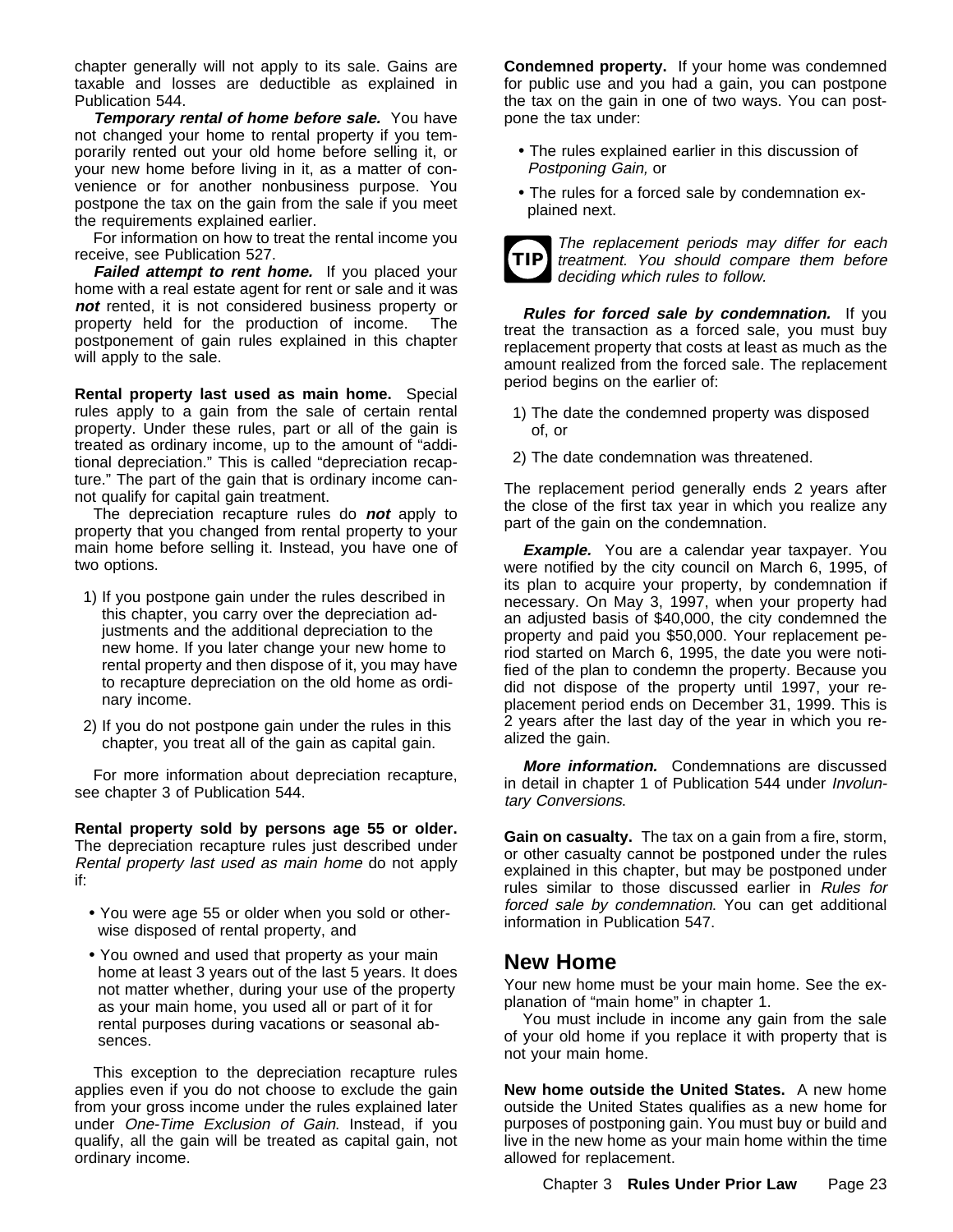chapter generally will not apply to its sale. Gains are taxable and losses are deductible as explained in Publication 544.

**Temporary rental of home before sale.** You have not changed your home to rental property if you temporarily rented out your old home before selling it, or your new home before living in it, as a matter of convenience or for another nonbusiness purpose. You postpone the tax on the gain from the sale if you meet the requirements explained earlier.

For information on how to treat the rental income you receive, see Publication 527.

Failed attempt to rent home. If you placed your home with a real estate agent for rent or sale and it was **not** rented, it is not considered business property or property held for the production of income. The postponement of gain rules explained in this chapter will apply to the sale.

**Rental property last used as main home.** Special rules apply to a gain from the sale of certain rental property. Under these rules, part or all of the gain is treated as ordinary income, up to the amount of "additional depreciation." This is called "depreciation recapture." The part of the gain that is ordinary income cannot qualify for capital gain treatment.

The depreciation recapture rules do **not** apply to property that you changed from rental property to your main home before selling it. Instead, you have one of two options.

- 1) If you postpone gain under the rules described in this chapter, you carry over the depreciation adjustments and the additional depreciation to the new home. If you later change your new home to rental property and then dispose of it, you may have to recapture depreciation on the old home as ordinary income.
- 2) If you do not postpone gain under the rules in this chapter, you treat all of the gain as capital gain.

For more information about depreciation recapture, see chapter 3 of Publication 544.

**Rental property sold by persons age 55 or older.** The depreciation recapture rules just described under Rental property last used as main home do not apply if:

- You were age 55 or older when you sold or otherwise disposed of rental property, and
- You owned and used that property as your main home at least 3 years out of the last 5 years. It does not matter whether, during your use of the property as your main home, you used all or part of it for rental purposes during vacations or seasonal absences.

This exception to the depreciation recapture rules applies even if you do not choose to exclude the gain from your gross income under the rules explained later under One-Time Exclusion of Gain. Instead, if you qualify, all the gain will be treated as capital gain, not ordinary income.

**Condemned property.** If your home was condemned for public use and you had a gain, you can postpone the tax on the gain in one of two ways. You can postpone the tax under:

- The rules explained earlier in this discussion of Postponing Gain, or
- The rules for a forced sale by condemnation explained next.



**TIP** treatment. You should compare them before The replacement periods may differ for each deciding which rules to follow.

**Rules for forced sale by condemnation.** If you treat the transaction as a forced sale, you must buy replacement property that costs at least as much as the amount realized from the forced sale. The replacement period begins on the earlier of:

- 1) The date the condemned property was disposed of, or
- 2) The date condemnation was threatened.

The replacement period generally ends 2 years after the close of the first tax year in which you realize any part of the gain on the condemnation.

**Example.** You are a calendar year taxpayer. You were notified by the city council on March 6, 1995, of its plan to acquire your property, by condemnation if necessary. On May 3, 1997, when your property had an adjusted basis of \$40,000, the city condemned the property and paid you \$50,000. Your replacement period started on March 6, 1995, the date you were notified of the plan to condemn the property. Because you did not dispose of the property until 1997, your replacement period ends on December 31, 1999. This is 2 years after the last day of the year in which you realized the gain.

**More information.** Condemnations are discussed in detail in chapter 1 of Publication 544 under Involuntary Conversions.

**Gain on casualty.** The tax on a gain from a fire, storm, or other casualty cannot be postponed under the rules explained in this chapter, but may be postponed under rules similar to those discussed earlier in Rules for forced sale by condemnation. You can get additional information in Publication 547.

## **New Home**

Your new home must be your main home. See the explanation of "main home" in chapter 1.

You must include in income any gain from the sale of your old home if you replace it with property that is not your main home.

**New home outside the United States.** A new home outside the United States qualifies as a new home for purposes of postponing gain. You must buy or build and live in the new home as your main home within the time allowed for replacement.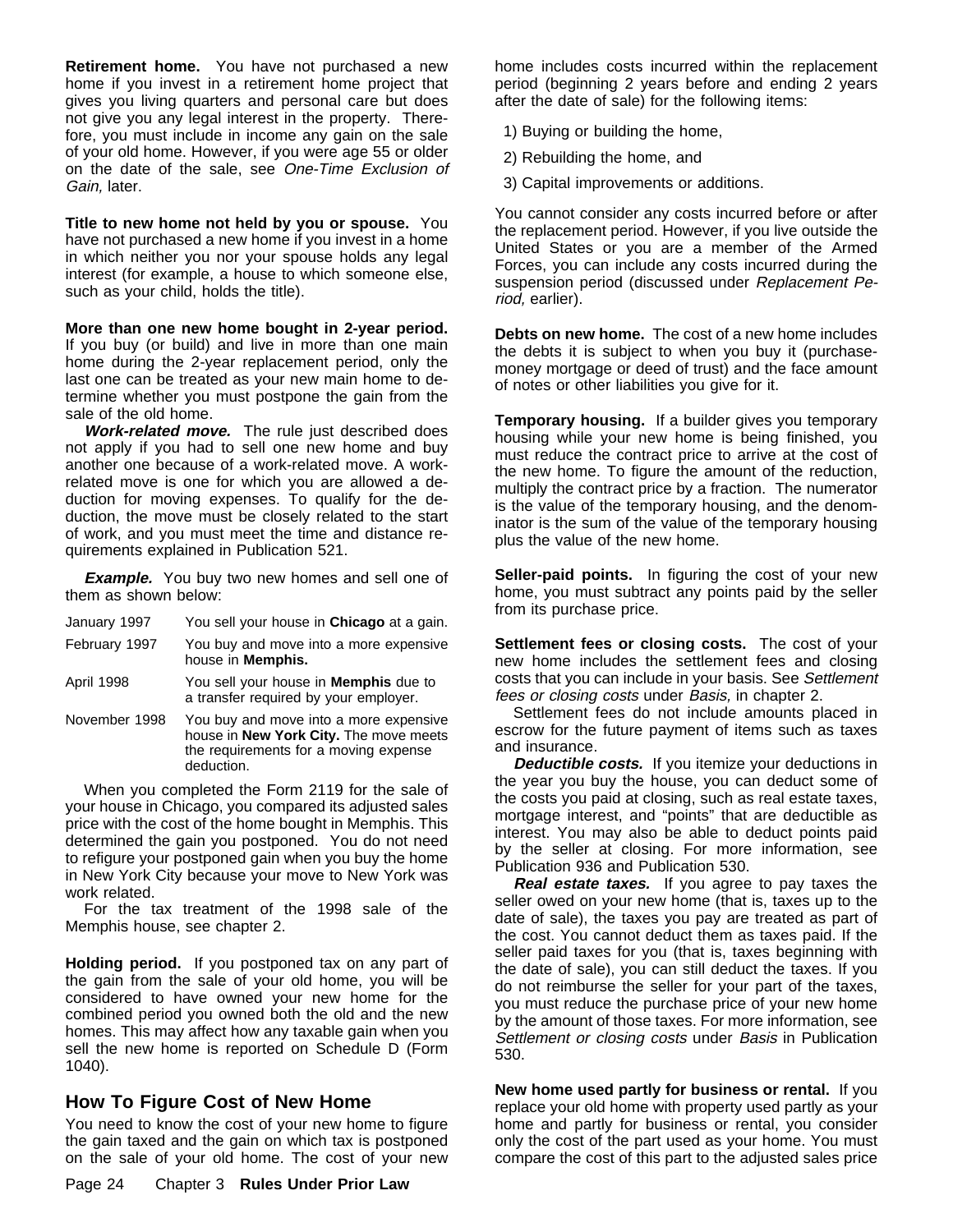**Retirement home.** You have not purchased a new home if you invest in a retirement home project that gives you living quarters and personal care but does not give you any legal interest in the property. Therefore, you must include in income any gain on the sale of your old home. However, if you were age 55 or older on the date of the sale, see One-Time Exclusion of Gain, later.

**Title to new home not held by you or spouse.** You have not purchased a new home if you invest in a home in which neither you nor your spouse holds any legal interest (for example, a house to which someone else, such as your child, holds the title).

**More than one new home bought in 2-year period.** If you buy (or build) and live in more than one main home during the 2-year replacement period, only the last one can be treated as your new main home to determine whether you must postpone the gain from the sale of the old home.

**Work-related move.** The rule just described does not apply if you had to sell one new home and buy another one because of a work-related move. A workrelated move is one for which you are allowed a deduction for moving expenses. To qualify for the deduction, the move must be closely related to the start of work, and you must meet the time and distance requirements explained in Publication 521.

**Example.** You buy two new homes and sell one of them as shown below:

| January 1997  | You sell your house in Chicago at a gain.                                                                                               |
|---------------|-----------------------------------------------------------------------------------------------------------------------------------------|
| February 1997 | You buy and move into a more expensive<br>house in <b>Memphis.</b>                                                                      |
| April 1998    | You sell your house in <b>Memphis</b> due to<br>a transfer required by your employer.                                                   |
| November 1998 | You buy and move into a more expensive<br>house in New York City. The move meets<br>the requirements for a moving expense<br>deduction. |

When you completed the Form 2119 for the sale of your house in Chicago, you compared its adjusted sales price with the cost of the home bought in Memphis. This determined the gain you postponed. You do not need to refigure your postponed gain when you buy the home in New York City because your move to New York was work related.

For the tax treatment of the 1998 sale of the Memphis house, see chapter 2.

**Holding period.** If you postponed tax on any part of the gain from the sale of your old home, you will be considered to have owned your new home for the combined period you owned both the old and the new homes. This may affect how any taxable gain when you sell the new home is reported on Schedule D (Form 1040).

### **How To Figure Cost of New Home**

You need to know the cost of your new home to figure the gain taxed and the gain on which tax is postponed on the sale of your old home. The cost of your new home includes costs incurred within the replacement period (beginning 2 years before and ending 2 years after the date of sale) for the following items:

1) Buying or building the home,

- 2) Rebuilding the home, and
- 3) Capital improvements or additions.

You cannot consider any costs incurred before or after the replacement period. However, if you live outside the United States or you are a member of the Armed Forces, you can include any costs incurred during the suspension period (discussed under Replacement Period, earlier).

**Debts on new home.** The cost of a new home includes the debts it is subject to when you buy it (purchasemoney mortgage or deed of trust) and the face amount of notes or other liabilities you give for it.

**Temporary housing.** If a builder gives you temporary housing while your new home is being finished, you must reduce the contract price to arrive at the cost of the new home. To figure the amount of the reduction, multiply the contract price by a fraction. The numerator is the value of the temporary housing, and the denominator is the sum of the value of the temporary housing plus the value of the new home.

**Seller-paid points.** In figuring the cost of your new home, you must subtract any points paid by the seller from its purchase price.

**Settlement fees or closing costs.** The cost of your new home includes the settlement fees and closing costs that you can include in your basis. See Settlement fees or closing costs under Basis, in chapter 2.

Settlement fees do not include amounts placed in escrow for the future payment of items such as taxes and insurance.

**Deductible costs.** If you itemize your deductions in the year you buy the house, you can deduct some of the costs you paid at closing, such as real estate taxes, mortgage interest, and "points" that are deductible as interest. You may also be able to deduct points paid by the seller at closing. For more information, see Publication 936 and Publication 530.

**Real estate taxes.** If you agree to pay taxes the seller owed on your new home (that is, taxes up to the date of sale), the taxes you pay are treated as part of the cost. You cannot deduct them as taxes paid. If the seller paid taxes for you (that is, taxes beginning with the date of sale), you can still deduct the taxes. If you do not reimburse the seller for your part of the taxes, you must reduce the purchase price of your new home by the amount of those taxes. For more information, see Settlement or closing costs under Basis in Publication 530.

**New home used partly for business or rental.** If you replace your old home with property used partly as your home and partly for business or rental, you consider only the cost of the part used as your home. You must compare the cost of this part to the adjusted sales price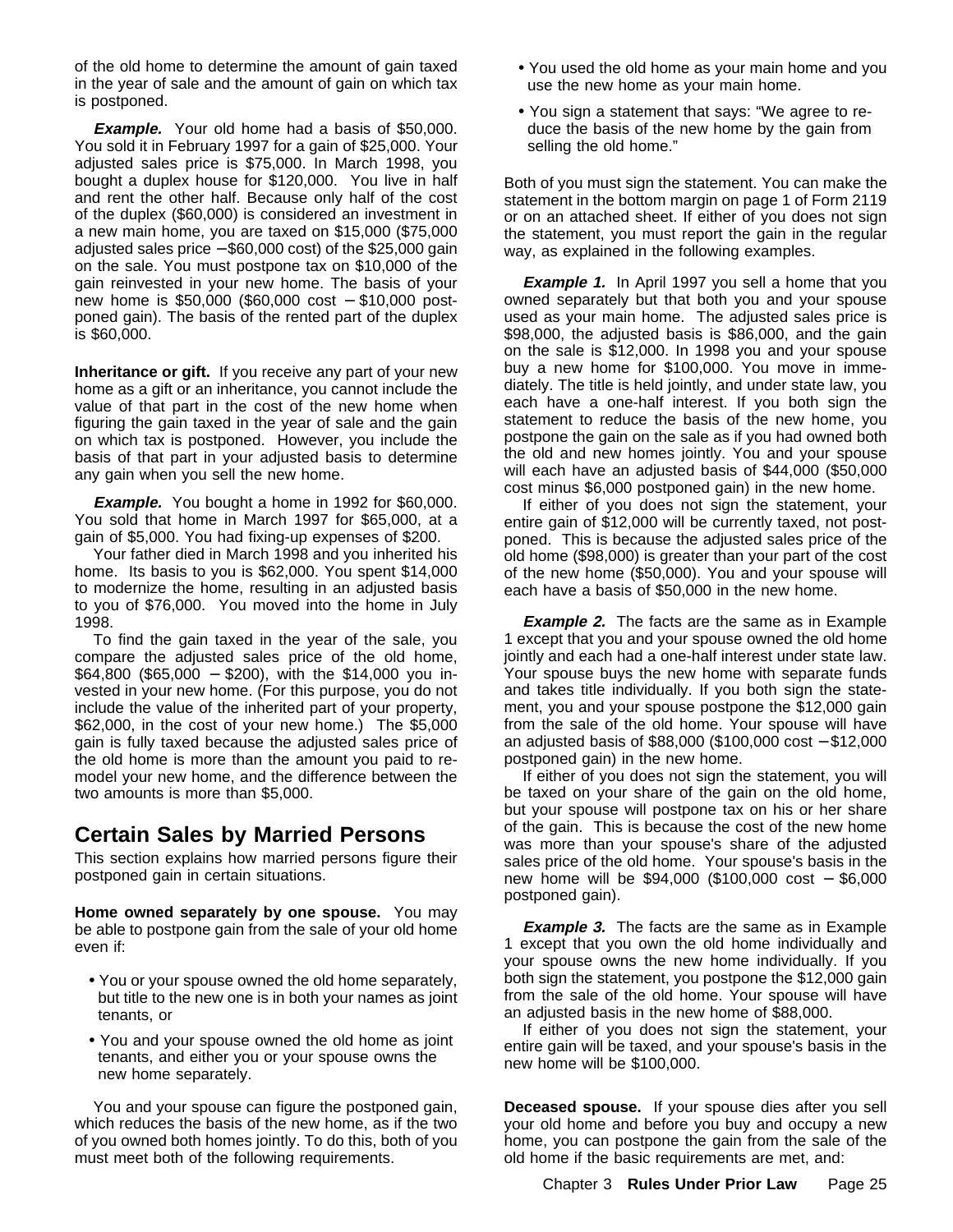of the old home to determine the amount of gain taxed in the year of sale and the amount of gain on which tax is postponed.

**Example.** Your old home had a basis of \$50,000. You sold it in February 1997 for a gain of \$25,000. Your adjusted sales price is \$75,000. In March 1998, you bought a duplex house for \$120,000. You live in half and rent the other half. Because only half of the cost of the duplex (\$60,000) is considered an investment in a new main home, you are taxed on \$15,000 (\$75,000 adjusted sales price − \$60,000 cost) of the \$25,000 gain on the sale. You must postpone tax on \$10,000 of the gain reinvested in your new home. The basis of your new home is \$50,000 (\$60,000 cost - \$10,000 postponed gain). The basis of the rented part of the duplex is \$60,000.

**Inheritance or gift.** If you receive any part of your new home as a gift or an inheritance, you cannot include the value of that part in the cost of the new home when figuring the gain taxed in the year of sale and the gain on which tax is postponed. However, you include the basis of that part in your adjusted basis to determine any gain when you sell the new home.

**Example.** You bought a home in 1992 for \$60,000. You sold that home in March 1997 for \$65,000, at a gain of \$5,000. You had fixing-up expenses of \$200.

Your father died in March 1998 and you inherited his home. Its basis to you is \$62,000. You spent \$14,000 to modernize the home, resulting in an adjusted basis to you of \$76,000. You moved into the home in July 1998.

To find the gain taxed in the year of the sale, you compare the adjusted sales price of the old home, \$64,800 (\$65,000 − \$200), with the \$14,000 you invested in your new home. (For this purpose, you do not include the value of the inherited part of your property, \$62,000, in the cost of your new home.) The \$5,000 gain is fully taxed because the adjusted sales price of the old home is more than the amount you paid to remodel your new home, and the difference between the two amounts is more than \$5,000.

## **Certain Sales by Married Persons**

This section explains how married persons figure their postponed gain in certain situations.

**Home owned separately by one spouse.** You may be able to postpone gain from the sale of your old home even if:

- You or your spouse owned the old home separately, but title to the new one is in both your names as joint tenants, or
- You and your spouse owned the old home as joint tenants, and either you or your spouse owns the new home separately.

You and your spouse can figure the postponed gain, which reduces the basis of the new home, as if the two of you owned both homes jointly. To do this, both of you must meet both of the following requirements.

- You used the old home as your main home and you use the new home as your main home.
- You sign a statement that says: "We agree to reduce the basis of the new home by the gain from selling the old home."

Both of you must sign the statement. You can make the statement in the bottom margin on page 1 of Form 2119 or on an attached sheet. If either of you does not sign the statement, you must report the gain in the regular way, as explained in the following examples.

**Example 1.** In April 1997 you sell a home that you owned separately but that both you and your spouse used as your main home. The adjusted sales price is \$98,000, the adjusted basis is \$86,000, and the gain on the sale is \$12,000. In 1998 you and your spouse buy a new home for \$100,000. You move in immediately. The title is held jointly, and under state law, you each have a one-half interest. If you both sign the statement to reduce the basis of the new home, you postpone the gain on the sale as if you had owned both the old and new homes jointly. You and your spouse will each have an adjusted basis of \$44,000 (\$50,000 cost minus \$6,000 postponed gain) in the new home.

If either of you does not sign the statement, your entire gain of \$12,000 will be currently taxed, not postponed. This is because the adjusted sales price of the old home (\$98,000) is greater than your part of the cost of the new home (\$50,000). You and your spouse will each have a basis of \$50,000 in the new home.

**Example 2.** The facts are the same as in Example 1 except that you and your spouse owned the old home jointly and each had a one-half interest under state law. Your spouse buys the new home with separate funds and takes title individually. If you both sign the statement, you and your spouse postpone the \$12,000 gain from the sale of the old home. Your spouse will have an adjusted basis of \$88,000 (\$100,000 cost − \$12,000 postponed gain) in the new home.

If either of you does not sign the statement, you will be taxed on your share of the gain on the old home, but your spouse will postpone tax on his or her share of the gain. This is because the cost of the new home was more than your spouse's share of the adjusted sales price of the old home. Your spouse's basis in the new home will be \$94,000 (\$100,000 cost − \$6,000 postponed gain).

**Example 3.** The facts are the same as in Example 1 except that you own the old home individually and your spouse owns the new home individually. If you both sign the statement, you postpone the \$12,000 gain from the sale of the old home. Your spouse will have an adjusted basis in the new home of \$88,000.

If either of you does not sign the statement, your entire gain will be taxed, and your spouse's basis in the new home will be \$100,000.

**Deceased spouse.** If your spouse dies after you sell your old home and before you buy and occupy a new home, you can postpone the gain from the sale of the old home if the basic requirements are met, and: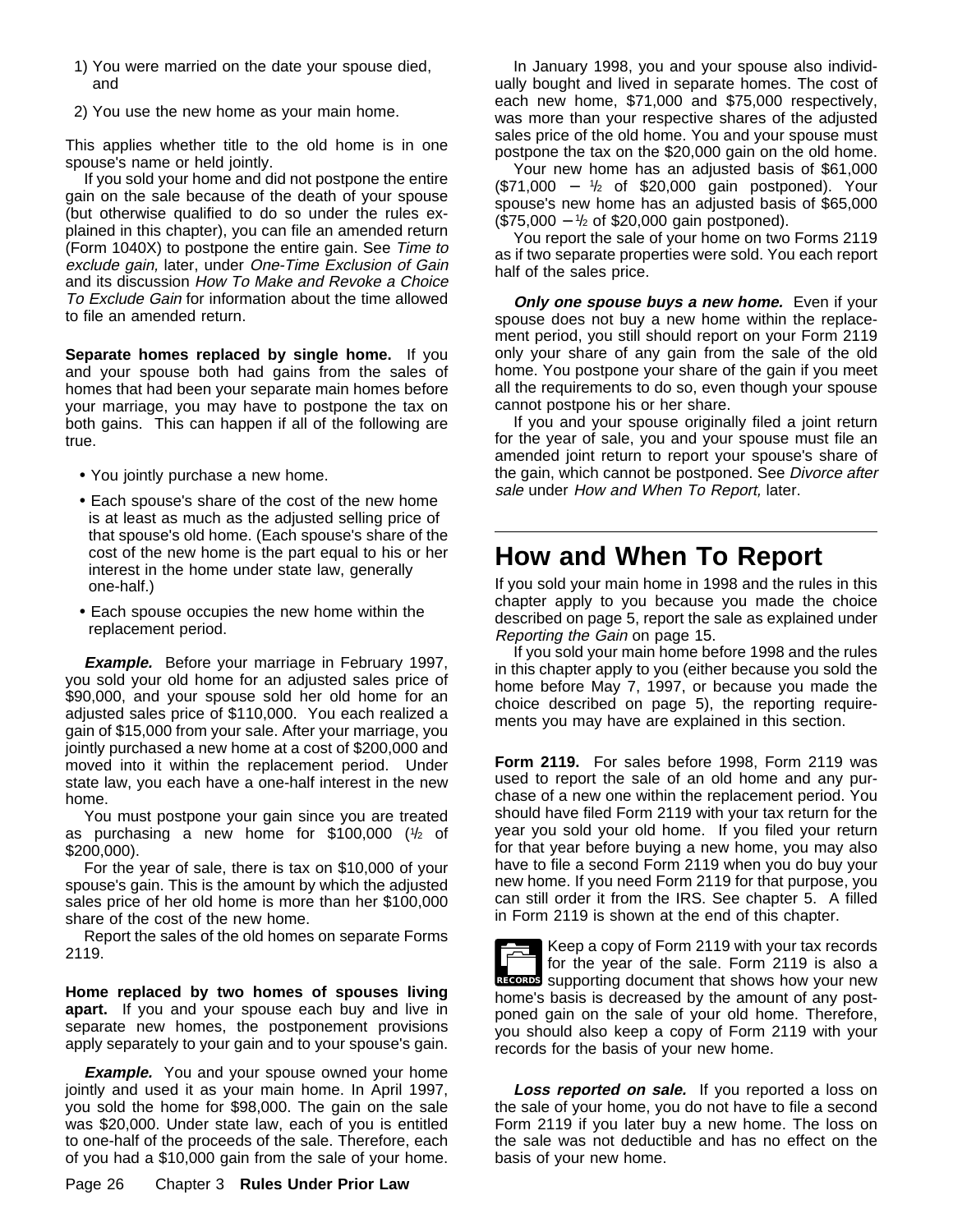- 1) You were married on the date your spouse died, and
- 2) You use the new home as your main home.

This applies whether title to the old home is in one spouse's name or held jointly.

If you sold your home and did not postpone the entire gain on the sale because of the death of your spouse (but otherwise qualified to do so under the rules explained in this chapter), you can file an amended return (Form 1040X) to postpone the entire gain. See Time to exclude gain, later, under One-Time Exclusion of Gain and its discussion How To Make and Revoke a Choice To Exclude Gain for information about the time allowed to file an amended return.

**Separate homes replaced by single home.** If you and your spouse both had gains from the sales of homes that had been your separate main homes before your marriage, you may have to postpone the tax on both gains. This can happen if all of the following are true.

- You jointly purchase a new home.
- Each spouse's share of the cost of the new home is at least as much as the adjusted selling price of that spouse's old home. (Each spouse's share of the cost of the new home is the part equal to his or her interest in the home under state law, generally one-half.)
- Each spouse occupies the new home within the replacement period.

**Example.** Before your marriage in February 1997, you sold your old home for an adjusted sales price of \$90,000, and your spouse sold her old home for an adjusted sales price of \$110,000. You each realized a gain of \$15,000 from your sale. After your marriage, you jointly purchased a new home at a cost of \$200,000 and moved into it within the replacement period. Under state law, you each have a one-half interest in the new home.

You must postpone your gain since you are treated as purchasing a new home for \$100,000 (1 /2 of \$200,000).

For the year of sale, there is tax on \$10,000 of your spouse's gain. This is the amount by which the adjusted sales price of her old home is more than her \$100,000 share of the cost of the new home.

Report the sales of the old homes on separate Forms 2119.

**Home replaced by two homes of spouses living apart.** If you and your spouse each buy and live in separate new homes, the postponement provisions apply separately to your gain and to your spouse's gain.

**Example.** You and your spouse owned your home jointly and used it as your main home. In April 1997, you sold the home for \$98,000. The gain on the sale was \$20,000. Under state law, each of you is entitled to one-half of the proceeds of the sale. Therefore, each of you had a \$10,000 gain from the sale of your home.

In January 1998, you and your spouse also individually bought and lived in separate homes. The cost of each new home, \$71,000 and \$75,000 respectively, was more than your respective shares of the adjusted sales price of the old home. You and your spouse must postpone the tax on the \$20,000 gain on the old home.

Your new home has an adjusted basis of \$61,000 (\$71,000 − <sup>1</sup> /2 of \$20,000 gain postponed). Your spouse's new home has an adjusted basis of \$65,000 (\$75,000 − <sup>1</sup> /2 of \$20,000 gain postponed).

You report the sale of your home on two Forms 2119 as if two separate properties were sold. You each report half of the sales price.

**Only one spouse buys a new home.** Even if your spouse does not buy a new home within the replacement period, you still should report on your Form 2119 only your share of any gain from the sale of the old home. You postpone your share of the gain if you meet all the requirements to do so, even though your spouse cannot postpone his or her share.

If you and your spouse originally filed a joint return for the year of sale, you and your spouse must file an amended joint return to report your spouse's share of the gain, which cannot be postponed. See Divorce after sale under How and When To Report, later.

## **How and When To Report**

If you sold your main home in 1998 and the rules in this chapter apply to you because you made the choice described on page 5, report the sale as explained under Reporting the Gain on page 15.

If you sold your main home before 1998 and the rules in this chapter apply to you (either because you sold the home before May 7, 1997, or because you made the choice described on page 5), the reporting requirements you may have are explained in this section.

**Form 2119.** For sales before 1998, Form 2119 was used to report the sale of an old home and any purchase of a new one within the replacement period. You should have filed Form 2119 with your tax return for the year you sold your old home. If you filed your return for that year before buying a new home, you may also have to file a second Form 2119 when you do buy your new home. If you need Form 2119 for that purpose, you can still order it from the IRS. See chapter 5. A filled in Form 2119 is shown at the end of this chapter.

RECORDS supporting document that shows how your new Keep a copy of Form 2119 with your tax records for the year of the sale. Form 2119 is also a home's basis is decreased by the amount of any postponed gain on the sale of your old home. Therefore, you should also keep a copy of Form 2119 with your records for the basis of your new home.

Loss reported on sale. If you reported a loss on the sale of your home, you do not have to file a second Form 2119 if you later buy a new home. The loss on the sale was not deductible and has no effect on the basis of your new home.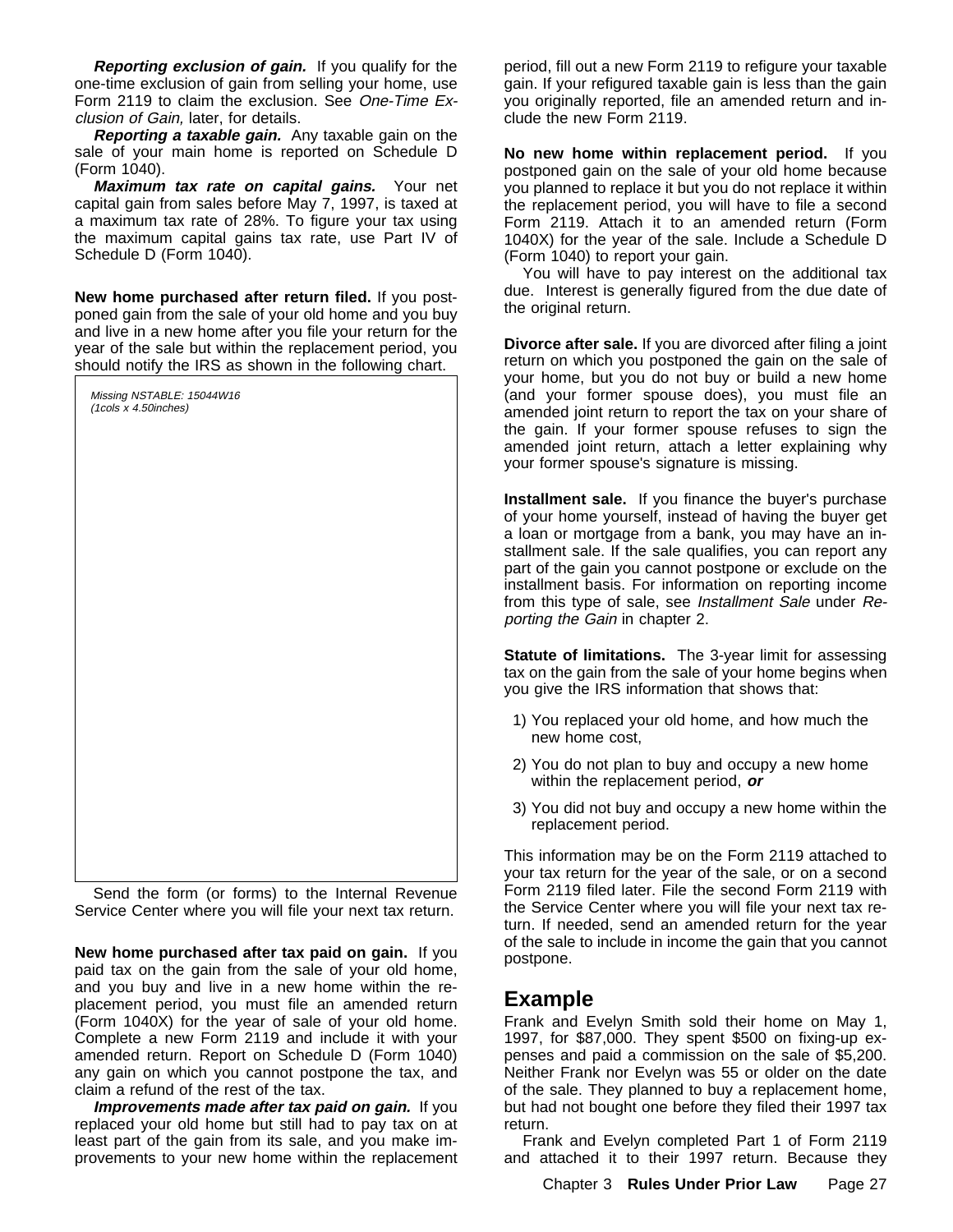**Reporting exclusion of gain.** If you qualify for the one-time exclusion of gain from selling your home, use Form 2119 to claim the exclusion. See One-Time Exclusion of Gain, later, for details.

**Reporting a taxable gain.** Any taxable gain on the sale of your main home is reported on Schedule D (Form 1040).

**Maximum tax rate on capital gains.** Your net capital gain from sales before May 7, 1997, is taxed at a maximum tax rate of 28%. To figure your tax using the maximum capital gains tax rate, use Part IV of Schedule D (Form 1040).

**New home purchased after return filed.** If you postponed gain from the sale of your old home and you buy and live in a new home after you file your return for the year of the sale but within the replacement period, you should notify the IRS as shown in the following chart.

| Missing NSTABLE: 15044W16<br>(1cols x 4.50inches) |  |  |
|---------------------------------------------------|--|--|
|                                                   |  |  |
|                                                   |  |  |
|                                                   |  |  |
|                                                   |  |  |
|                                                   |  |  |
|                                                   |  |  |
|                                                   |  |  |
|                                                   |  |  |
|                                                   |  |  |
|                                                   |  |  |
|                                                   |  |  |
|                                                   |  |  |
|                                                   |  |  |
|                                                   |  |  |
|                                                   |  |  |
|                                                   |  |  |
|                                                   |  |  |

Send the form (or forms) to the Internal Revenue Service Center where you will file your next tax return.

**New home purchased after tax paid on gain.** If you paid tax on the gain from the sale of your old home, and you buy and live in a new home within the replacement period, you must file an amended return (Form 1040X) for the year of sale of your old home. Complete a new Form 2119 and include it with your amended return. Report on Schedule D (Form 1040) any gain on which you cannot postpone the tax, and claim a refund of the rest of the tax.

**Improvements made after tax paid on gain.** If you replaced your old home but still had to pay tax on at least part of the gain from its sale, and you make improvements to your new home within the replacement period, fill out a new Form 2119 to refigure your taxable gain. If your refigured taxable gain is less than the gain you originally reported, file an amended return and include the new Form 2119.

**No new home within replacement period.** If you postponed gain on the sale of your old home because you planned to replace it but you do not replace it within the replacement period, you will have to file a second Form 2119. Attach it to an amended return (Form 1040X) for the year of the sale. Include a Schedule D (Form 1040) to report your gain.

You will have to pay interest on the additional tax due. Interest is generally figured from the due date of the original return.

**Divorce after sale.** If you are divorced after filing a joint return on which you postponed the gain on the sale of your home, but you do not buy or build a new home (and your former spouse does), you must file an amended joint return to report the tax on your share of the gain. If your former spouse refuses to sign the amended joint return, attach a letter explaining why your former spouse's signature is missing.

**Installment sale.** If you finance the buyer's purchase of your home yourself, instead of having the buyer get a loan or mortgage from a bank, you may have an installment sale. If the sale qualifies, you can report any part of the gain you cannot postpone or exclude on the installment basis. For information on reporting income from this type of sale, see Installment Sale under Reporting the Gain in chapter 2.

**Statute of limitations.** The 3-year limit for assessing tax on the gain from the sale of your home begins when you give the IRS information that shows that:

- 1) You replaced your old home, and how much the new home cost,
- 2) You do not plan to buy and occupy a new home within the replacement period, **or**
- 3) You did not buy and occupy a new home within the replacement period.

This information may be on the Form 2119 attached to your tax return for the year of the sale, or on a second Form 2119 filed later. File the second Form 2119 with the Service Center where you will file your next tax return. If needed, send an amended return for the year of the sale to include in income the gain that you cannot postpone.

## **Example**

Frank and Evelyn Smith sold their home on May 1, 1997, for \$87,000. They spent \$500 on fixing-up expenses and paid a commission on the sale of \$5,200. Neither Frank nor Evelyn was 55 or older on the date of the sale. They planned to buy a replacement home, but had not bought one before they filed their 1997 tax return.

Frank and Evelyn completed Part 1 of Form 2119 and attached it to their 1997 return. Because they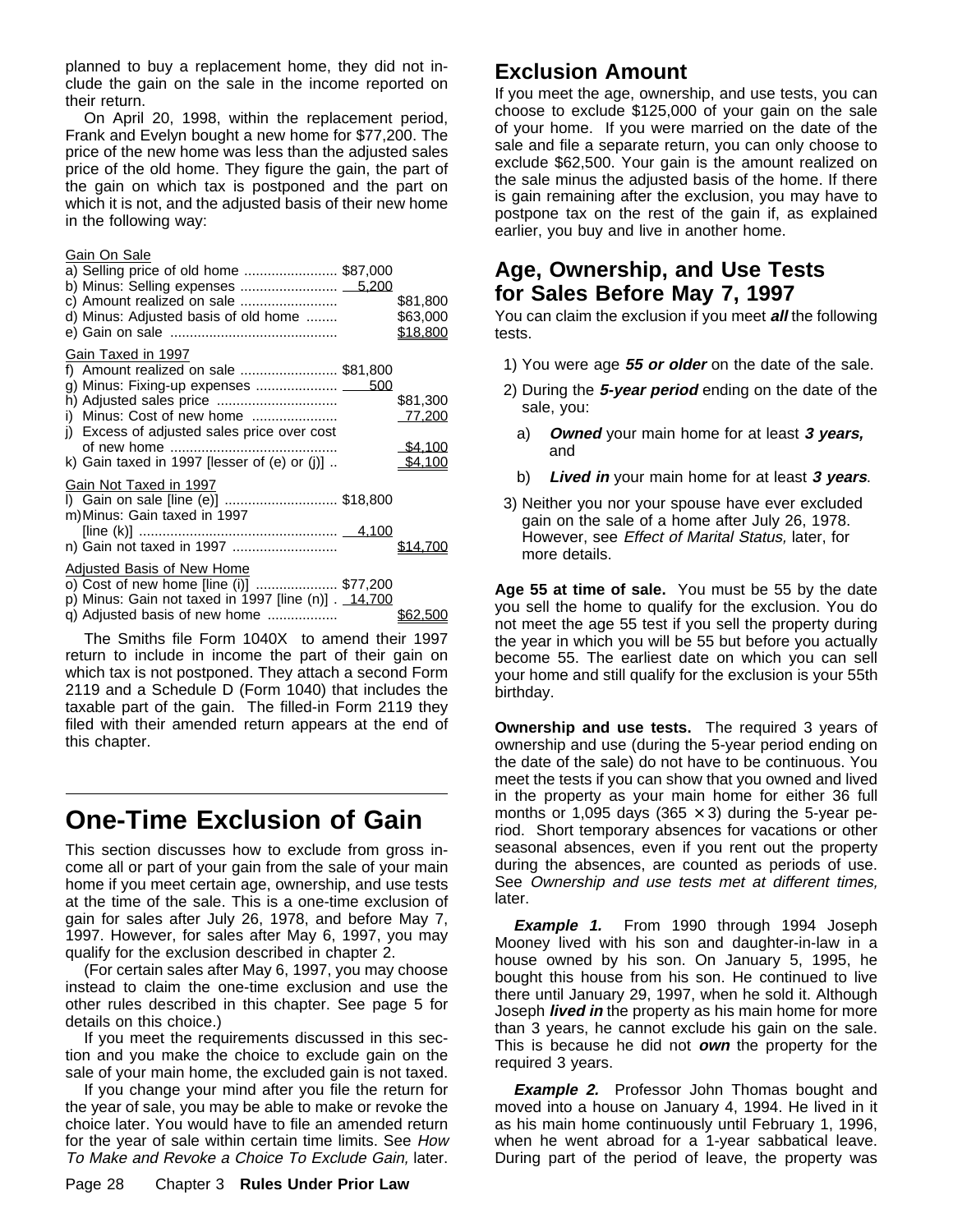planned to buy a replacement home, they did not include the gain on the sale in the income reported on their return.

On April 20, 1998, within the replacement period, Frank and Evelyn bought a new home for \$77,200. The price of the new home was less than the adjusted sales price of the old home. They figure the gain, the part of the gain on which tax is postponed and the part on which it is not, and the adjusted basis of their new home in the following way:

#### Gain On Sale

| a) Selling price of old home  \$87,000<br>d) Minus: Adjusted basis of old home                                                                                                         | \$81,800<br>\$63,000<br>\$18,800         |
|----------------------------------------------------------------------------------------------------------------------------------------------------------------------------------------|------------------------------------------|
| Gain Taxed in 1997<br>f) Amount realized on sale \$81,800<br>i) Minus: Cost of new home<br>j) Excess of adjusted sales price over cost<br>k) Gain taxed in 1997 [lesser of (e) or (j)] | \$81,300<br>Z7,200<br>\$4.100<br>\$4.100 |
| Gain Not Taxed in 1997<br>I) Gain on sale [line (e)] \$18,800<br>m) Minus: Gain taxed in 1997                                                                                          |                                          |
| Adjusted Basis of New Home<br>o) Cost of new home [line (i)]  \$77,200<br>p) Minus: Gain not taxed in 1997 [line (n)] . 14,700<br>q) Adjusted basis of new home                        |                                          |

The Smiths file Form 1040X to amend their 1997 return to include in income the part of their gain on which tax is not postponed. They attach a second Form 2119 and a Schedule D (Form 1040) that includes the taxable part of the gain. The filled-in Form 2119 they filed with their amended return appears at the end of this chapter.

## **One-Time Exclusion of Gain**

This section discusses how to exclude from gross income all or part of your gain from the sale of your main home if you meet certain age, ownership, and use tests at the time of the sale. This is a one-time exclusion of gain for sales after July 26, 1978, and before May 7, 1997. However, for sales after May 6, 1997, you may qualify for the exclusion described in chapter 2.

(For certain sales after May 6, 1997, you may choose instead to claim the one-time exclusion and use the other rules described in this chapter. See page 5 for details on this choice.)

If you meet the requirements discussed in this section and you make the choice to exclude gain on the sale of your main home, the excluded gain is not taxed.

If you change your mind after you file the return for the year of sale, you may be able to make or revoke the choice later. You would have to file an amended return for the year of sale within certain time limits. See How To Make and Revoke a Choice To Exclude Gain, later.

## **Exclusion Amount**

If you meet the age, ownership, and use tests, you can choose to exclude \$125,000 of your gain on the sale of your home. If you were married on the date of the sale and file a separate return, you can only choose to exclude \$62,500. Your gain is the amount realized on the sale minus the adjusted basis of the home. If there is gain remaining after the exclusion, you may have to postpone tax on the rest of the gain if, as explained earlier, you buy and live in another home.

## **Age, Ownership, and Use Tests for Sales Before May 7, 1997**

You can claim the exclusion if you meet **all** the following tests.

- 1) You were age **55 or older** on the date of the sale.
- 2) During the **5-year period** ending on the date of the sale, you:
	- a) **Owned** your main home for at least **3 years,** and
	- b) **Lived in** your main home for at least **3 years**.
- 3) Neither you nor your spouse have ever excluded gain on the sale of a home after July 26, 1978. However, see Effect of Marital Status, later, for more details.

**Age 55 at time of sale.** You must be 55 by the date you sell the home to qualify for the exclusion. You do not meet the age 55 test if you sell the property during the year in which you will be 55 but before you actually become 55. The earliest date on which you can sell your home and still qualify for the exclusion is your 55th birthday.

**Ownership and use tests.** The required 3 years of ownership and use (during the 5-year period ending on the date of the sale) do not have to be continuous. You meet the tests if you can show that you owned and lived in the property as your main home for either 36 full months or 1,095 days (365  $\times$  3) during the 5-year period. Short temporary absences for vacations or other seasonal absences, even if you rent out the property during the absences, are counted as periods of use. See Ownership and use tests met at different times, later.

**Example 1.** From 1990 through 1994 Joseph Mooney lived with his son and daughter-in-law in a house owned by his son. On January 5, 1995, he bought this house from his son. He continued to live there until January 29, 1997, when he sold it. Although Joseph **lived in** the property as his main home for more than 3 years, he cannot exclude his gain on the sale. This is because he did not **own** the property for the required 3 years.

**Example 2.** Professor John Thomas bought and moved into a house on January 4, 1994. He lived in it as his main home continuously until February 1, 1996, when he went abroad for a 1-year sabbatical leave. During part of the period of leave, the property was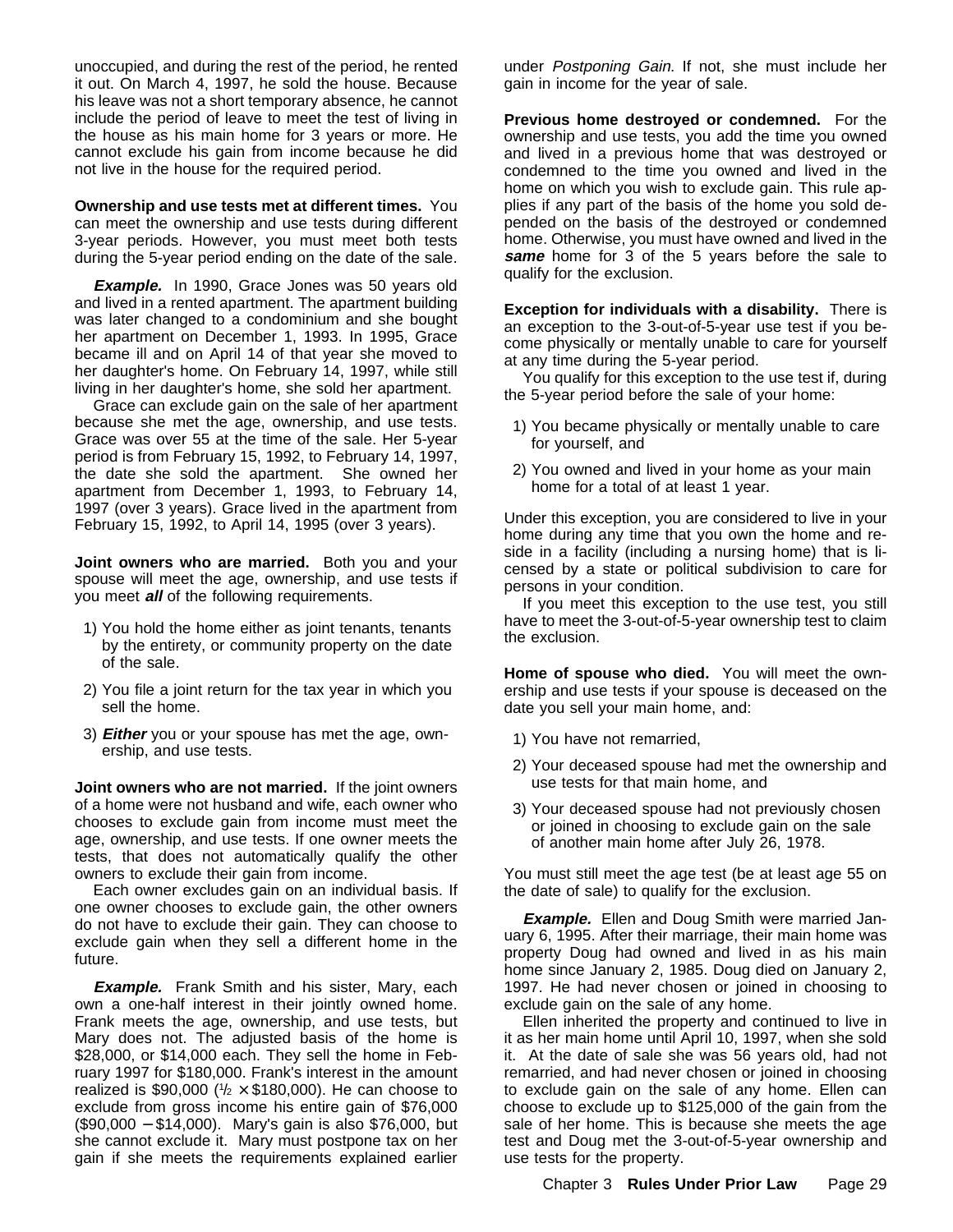unoccupied, and during the rest of the period, he rented it out. On March 4, 1997, he sold the house. Because his leave was not a short temporary absence, he cannot include the period of leave to meet the test of living in the house as his main home for 3 years or more. He cannot exclude his gain from income because he did not live in the house for the required period.

**Ownership and use tests met at different times.** You can meet the ownership and use tests during different 3-year periods. However, you must meet both tests during the 5-year period ending on the date of the sale.

**Example.** In 1990, Grace Jones was 50 years old and lived in a rented apartment. The apartment building was later changed to a condominium and she bought her apartment on December 1, 1993. In 1995, Grace became ill and on April 14 of that year she moved to her daughter's home. On February 14, 1997, while still living in her daughter's home, she sold her apartment.

Grace can exclude gain on the sale of her apartment because she met the age, ownership, and use tests. Grace was over 55 at the time of the sale. Her 5-year period is from February 15, 1992, to February 14, 1997, the date she sold the apartment. She owned her apartment from December 1, 1993, to February 14, 1997 (over 3 years). Grace lived in the apartment from February 15, 1992, to April 14, 1995 (over 3 years).

**Joint owners who are married.** Both you and your spouse will meet the age, ownership, and use tests if you meet **all** of the following requirements.

- 1) You hold the home either as joint tenants, tenants by the entirety, or community property on the date of the sale.
- 2) You file a joint return for the tax year in which you sell the home.
- 3) **Either** you or your spouse has met the age, ownership, and use tests.

**Joint owners who are not married.** If the joint owners of a home were not husband and wife, each owner who chooses to exclude gain from income must meet the age, ownership, and use tests. If one owner meets the tests, that does not automatically qualify the other owners to exclude their gain from income.

Each owner excludes gain on an individual basis. If one owner chooses to exclude gain, the other owners do not have to exclude their gain. They can choose to exclude gain when they sell a different home in the future.

**Example.** Frank Smith and his sister, Mary, each own a one-half interest in their jointly owned home. Frank meets the age, ownership, and use tests, but Mary does not. The adjusted basis of the home is \$28,000, or \$14,000 each. They sell the home in February 1997 for \$180,000. Frank's interest in the amount realized is \$90,000 ( $\frac{1}{2} \times $180,000$ ). He can choose to exclude from gross income his entire gain of \$76,000 (\$90,000 − \$14,000). Mary's gain is also \$76,000, but she cannot exclude it. Mary must postpone tax on her gain if she meets the requirements explained earlier under Postponing Gain. If not, she must include her gain in income for the year of sale.

**Previous home destroyed or condemned.** For the ownership and use tests, you add the time you owned and lived in a previous home that was destroyed or condemned to the time you owned and lived in the home on which you wish to exclude gain. This rule applies if any part of the basis of the home you sold depended on the basis of the destroyed or condemned home. Otherwise, you must have owned and lived in the **same** home for 3 of the 5 years before the sale to qualify for the exclusion.

**Exception for individuals with a disability.** There is an exception to the 3-out-of-5-year use test if you become physically or mentally unable to care for yourself at any time during the 5-year period.

You qualify for this exception to the use test if, during the 5-year period before the sale of your home:

- 1) You became physically or mentally unable to care for yourself, and
- 2) You owned and lived in your home as your main home for a total of at least 1 year.

Under this exception, you are considered to live in your home during any time that you own the home and reside in a facility (including a nursing home) that is licensed by a state or political subdivision to care for persons in your condition.

If you meet this exception to the use test, you still have to meet the 3-out-of-5-year ownership test to claim the exclusion.

**Home of spouse who died.** You will meet the ownership and use tests if your spouse is deceased on the date you sell your main home, and:

- 1) You have not remarried,
- 2) Your deceased spouse had met the ownership and use tests for that main home, and
- 3) Your deceased spouse had not previously chosen or joined in choosing to exclude gain on the sale of another main home after July 26, 1978.

You must still meet the age test (be at least age 55 on the date of sale) to qualify for the exclusion.

**Example.** Ellen and Doug Smith were married January 6, 1995. After their marriage, their main home was property Doug had owned and lived in as his main home since January 2, 1985. Doug died on January 2, 1997. He had never chosen or joined in choosing to exclude gain on the sale of any home.

Ellen inherited the property and continued to live in it as her main home until April 10, 1997, when she sold it. At the date of sale she was 56 years old, had not remarried, and had never chosen or joined in choosing to exclude gain on the sale of any home. Ellen can choose to exclude up to \$125,000 of the gain from the sale of her home. This is because she meets the age test and Doug met the 3-out-of-5-year ownership and use tests for the property.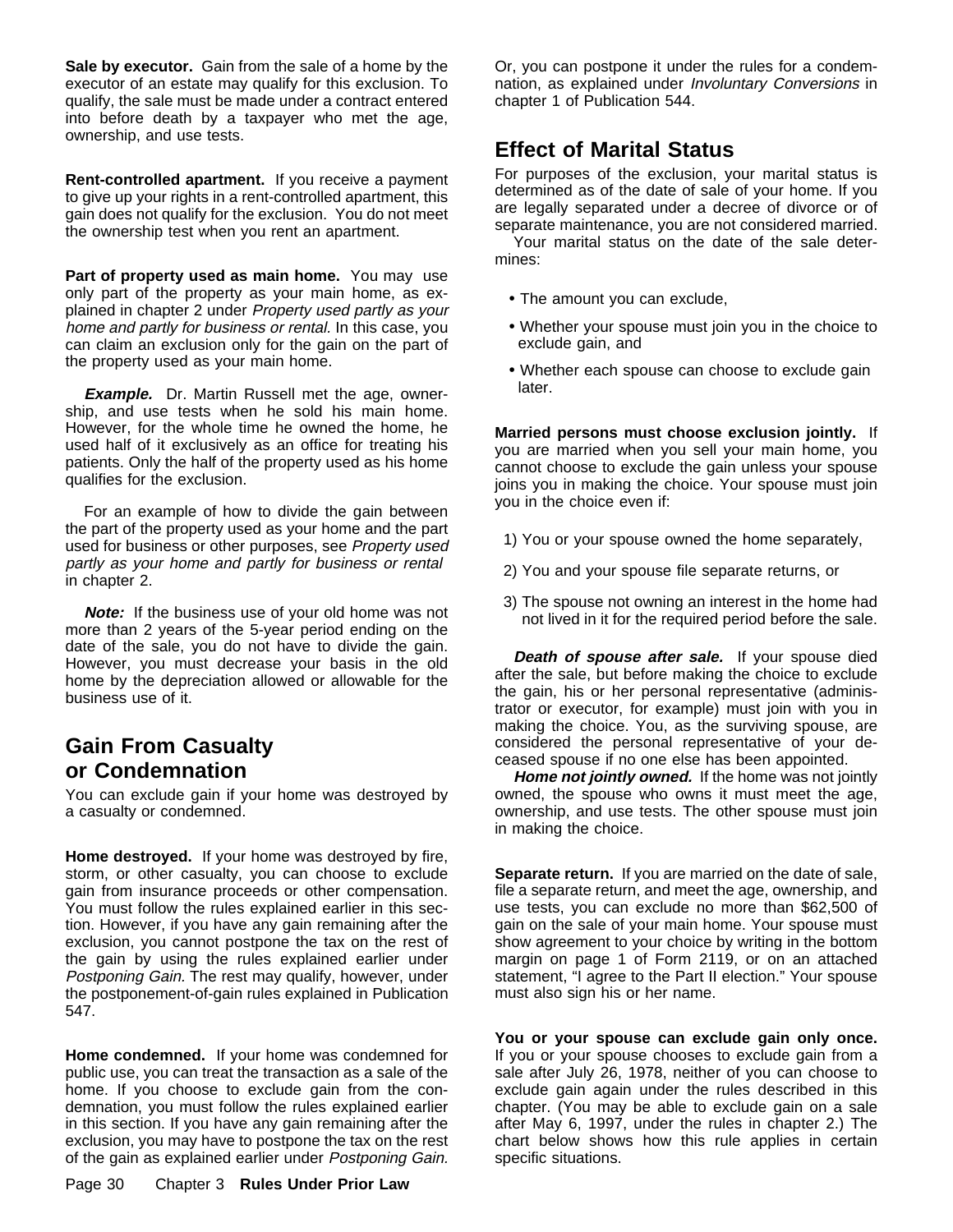**Sale by executor.** Gain from the sale of a home by the executor of an estate may qualify for this exclusion. To qualify, the sale must be made under a contract entered into before death by a taxpayer who met the age, ownership, and use tests.

**Rent-controlled apartment.** If you receive a payment to give up your rights in a rent-controlled apartment, this gain does not qualify for the exclusion. You do not meet the ownership test when you rent an apartment.

**Part of property used as main home.** You may use only part of the property as your main home, as explained in chapter 2 under Property used partly as your home and partly for business or rental. In this case, you can claim an exclusion only for the gain on the part of the property used as your main home.

**Example.** Dr. Martin Russell met the age, ownership, and use tests when he sold his main home. However, for the whole time he owned the home, he used half of it exclusively as an office for treating his patients. Only the half of the property used as his home qualifies for the exclusion.

For an example of how to divide the gain between the part of the property used as your home and the part used for business or other purposes, see Property used partly as your home and partly for business or rental in chapter 2.

**Note:** If the business use of your old home was not more than 2 years of the 5-year period ending on the date of the sale, you do not have to divide the gain. However, you must decrease your basis in the old home by the depreciation allowed or allowable for the business use of it.

## **Gain From Casualty or Condemnation**

You can exclude gain if your home was destroyed by a casualty or condemned.

**Home destroyed.** If your home was destroyed by fire, storm, or other casualty, you can choose to exclude gain from insurance proceeds or other compensation. You must follow the rules explained earlier in this section. However, if you have any gain remaining after the exclusion, you cannot postpone the tax on the rest of the gain by using the rules explained earlier under Postponing Gain. The rest may qualify, however, under the postponement-of-gain rules explained in Publication

**Home condemned.** If your home was condemned for public use, you can treat the transaction as a sale of the home. If you choose to exclude gain from the condemnation, you must follow the rules explained earlier in this section. If you have any gain remaining after the exclusion, you may have to postpone the tax on the rest of the gain as explained earlier under Postponing Gain.

547.

Or, you can postpone it under the rules for a condemnation, as explained under Involuntary Conversions in chapter 1 of Publication 544.

## **Effect of Marital Status**

For purposes of the exclusion, your marital status is determined as of the date of sale of your home. If you are legally separated under a decree of divorce or of separate maintenance, you are not considered married.

Your marital status on the date of the sale determines:

- The amount you can exclude,
- Whether your spouse must join you in the choice to exclude gain, and
- Whether each spouse can choose to exclude gain later.

**Married persons must choose exclusion jointly.** If you are married when you sell your main home, you cannot choose to exclude the gain unless your spouse joins you in making the choice. Your spouse must join you in the choice even if:

- 1) You or your spouse owned the home separately,
- 2) You and your spouse file separate returns, or
- 3) The spouse not owning an interest in the home had not lived in it for the required period before the sale.

**Death of spouse after sale.** If your spouse died after the sale, but before making the choice to exclude the gain, his or her personal representative (administrator or executor, for example) must join with you in making the choice. You, as the surviving spouse, are considered the personal representative of your deceased spouse if no one else has been appointed.

**Home not jointly owned.** If the home was not jointly owned, the spouse who owns it must meet the age, ownership, and use tests. The other spouse must join in making the choice.

**Separate return.** If you are married on the date of sale, file a separate return, and meet the age, ownership, and use tests, you can exclude no more than \$62,500 of gain on the sale of your main home. Your spouse must show agreement to your choice by writing in the bottom margin on page 1 of Form 2119, or on an attached statement, "I agree to the Part II election." Your spouse must also sign his or her name.

**You or your spouse can exclude gain only once.** If you or your spouse chooses to exclude gain from a sale after July 26, 1978, neither of you can choose to exclude gain again under the rules described in this chapter. (You may be able to exclude gain on a sale after May 6, 1997, under the rules in chapter 2.) The chart below shows how this rule applies in certain specific situations.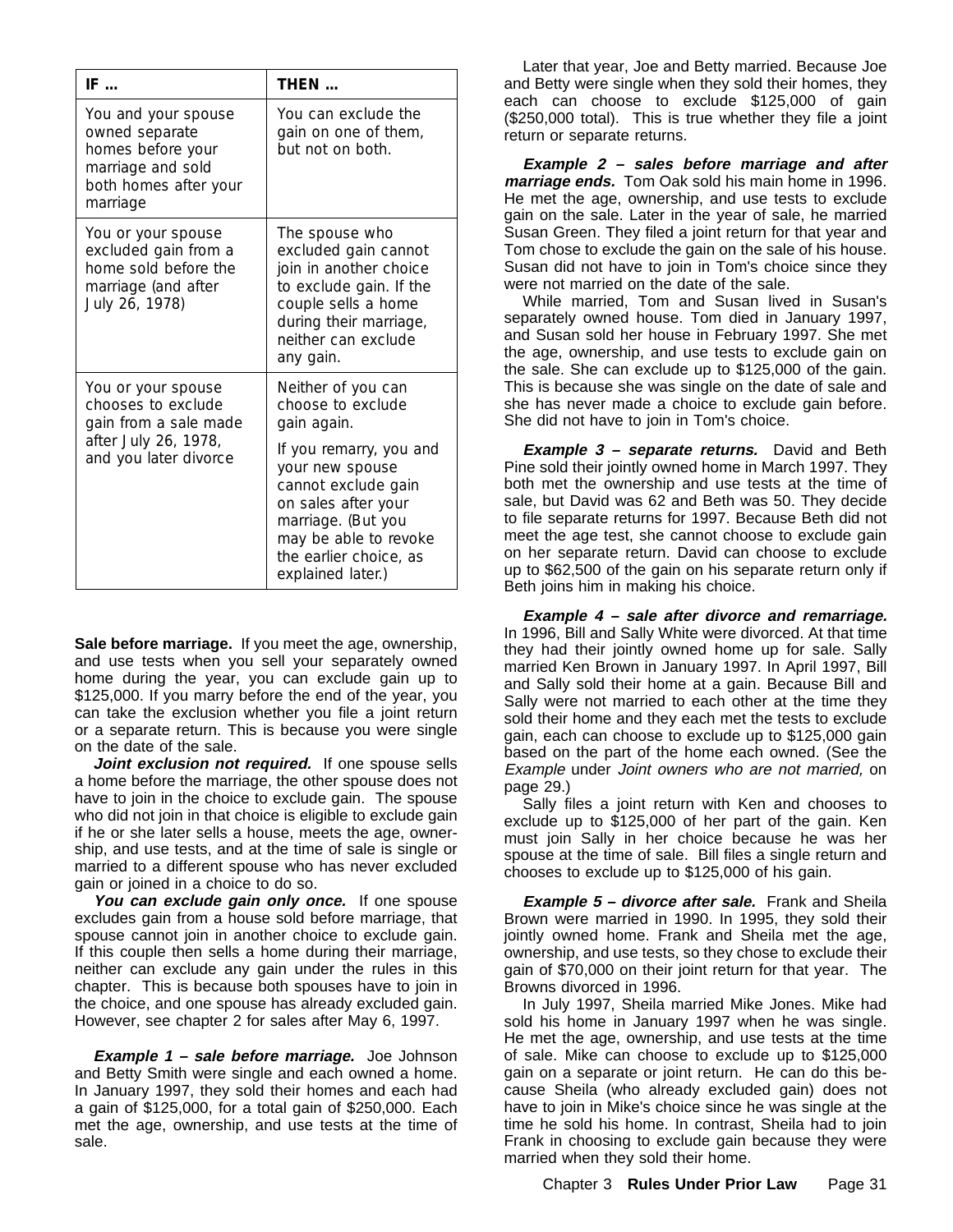| IF                                                                                                                   | THEN                                                                                                                                                                                   |
|----------------------------------------------------------------------------------------------------------------------|----------------------------------------------------------------------------------------------------------------------------------------------------------------------------------------|
| You and your spouse<br>owned separate<br>homes before your<br>marriage and sold<br>both homes after your<br>marriage | You can exclude the<br>gain on one of them,<br>but not on both.                                                                                                                        |
| You or your spouse<br>excluded gain from a<br>home sold before the<br>marriage (and after<br>July 26, 1978)          | The spouse who<br>excluded gain cannot<br>join in another choice<br>to exclude gain. If the<br>couple sells a home<br>during their marriage,<br>neither can exclude<br>any gain.       |
| You or your spouse<br>chooses to exclude<br>gain from a sale made                                                    | Neither of you can<br>choose to exclude<br>gain again.                                                                                                                                 |
| after July 26, 1978,<br>and you later divorce                                                                        | If you remarry, you and<br>your new spouse<br>cannot exclude gain<br>on sales after your<br>marriage. (But you<br>may be able to revoke<br>the earlier choice, as<br>explained later.) |

**Sale before marriage.** If you meet the age, ownership, and use tests when you sell your separately owned home during the year, you can exclude gain up to \$125,000. If you marry before the end of the year, you can take the exclusion whether you file a joint return or a separate return. This is because you were single on the date of the sale.

Joint exclusion not required. If one spouse sells a home before the marriage, the other spouse does not have to join in the choice to exclude gain. The spouse who did not join in that choice is eligible to exclude gain if he or she later sells a house, meets the age, ownership, and use tests, and at the time of sale is single or married to a different spouse who has never excluded gain or joined in a choice to do so.

You can exclude gain only once. If one spouse excludes gain from a house sold before marriage, that spouse cannot join in another choice to exclude gain. If this couple then sells a home during their marriage, neither can exclude any gain under the rules in this chapter. This is because both spouses have to join in the choice, and one spouse has already excluded gain. However, see chapter 2 for sales after May 6, 1997.

**Example 1 – sale before marriage.** Joe Johnson and Betty Smith were single and each owned a home. In January 1997, they sold their homes and each had a gain of \$125,000, for a total gain of \$250,000. Each met the age, ownership, and use tests at the time of sale.

Later that year, Joe and Betty married. Because Joe and Betty were single when they sold their homes, they each can choose to exclude \$125,000 of gain (\$250,000 total). This is true whether they file a joint return or separate returns.

**Example 2 – sales before marriage and after marriage ends.** Tom Oak sold his main home in 1996. He met the age, ownership, and use tests to exclude gain on the sale. Later in the year of sale, he married Susan Green. They filed a joint return for that year and Tom chose to exclude the gain on the sale of his house. Susan did not have to join in Tom's choice since they were not married on the date of the sale.

While married, Tom and Susan lived in Susan's separately owned house. Tom died in January 1997, and Susan sold her house in February 1997. She met the age, ownership, and use tests to exclude gain on the sale. She can exclude up to \$125,000 of the gain. This is because she was single on the date of sale and she has never made a choice to exclude gain before. She did not have to join in Tom's choice.

**Example 3 – separate returns.** David and Beth Pine sold their jointly owned home in March 1997. They both met the ownership and use tests at the time of sale, but David was 62 and Beth was 50. They decide to file separate returns for 1997. Because Beth did not meet the age test, she cannot choose to exclude gain on her separate return. David can choose to exclude up to \$62,500 of the gain on his separate return only if Beth joins him in making his choice.

**Example 4 – sale after divorce and remarriage.** In 1996, Bill and Sally White were divorced. At that time they had their jointly owned home up for sale. Sally married Ken Brown in January 1997. In April 1997, Bill and Sally sold their home at a gain. Because Bill and Sally were not married to each other at the time they sold their home and they each met the tests to exclude gain, each can choose to exclude up to \$125,000 gain based on the part of the home each owned. (See the Example under Joint owners who are not married, on page 29.)

Sally files a joint return with Ken and chooses to exclude up to \$125,000 of her part of the gain. Ken must join Sally in her choice because he was her spouse at the time of sale. Bill files a single return and chooses to exclude up to \$125,000 of his gain.

**Example 5 – divorce after sale.** Frank and Sheila Brown were married in 1990. In 1995, they sold their jointly owned home. Frank and Sheila met the age, ownership, and use tests, so they chose to exclude their gain of \$70,000 on their joint return for that year. The Browns divorced in 1996.

In July 1997, Sheila married Mike Jones. Mike had sold his home in January 1997 when he was single. He met the age, ownership, and use tests at the time of sale. Mike can choose to exclude up to \$125,000 gain on a separate or joint return. He can do this because Sheila (who already excluded gain) does not have to join in Mike's choice since he was single at the time he sold his home. In contrast, Sheila had to join Frank in choosing to exclude gain because they were married when they sold their home.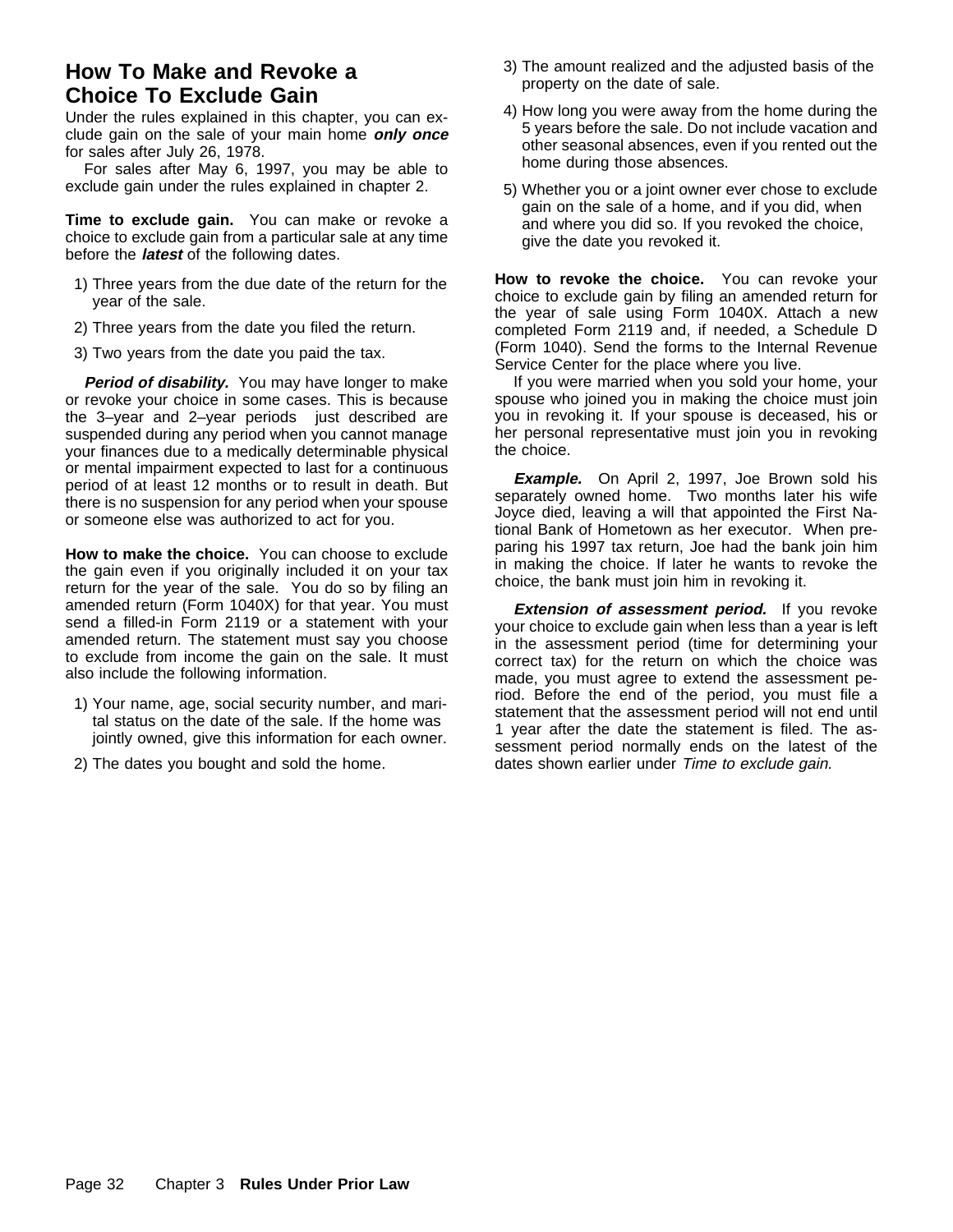## **How To Make and Revoke a Choice To Exclude Gain**

Under the rules explained in this chapter, you can exclude gain on the sale of your main home **only once** for sales after July 26, 1978.

For sales after May 6, 1997, you may be able to exclude gain under the rules explained in chapter 2.

**Time to exclude gain.** You can make or revoke a choice to exclude gain from a particular sale at any time before the **latest** of the following dates.

- 1) Three years from the due date of the return for the year of the sale.
- 2) Three years from the date you filed the return.
- 3) Two years from the date you paid the tax.

Period of disability. You may have longer to make or revoke your choice in some cases. This is because the 3–year and 2–year periods just described are suspended during any period when you cannot manage your finances due to a medically determinable physical or mental impairment expected to last for a continuous period of at least 12 months or to result in death. But there is no suspension for any period when your spouse or someone else was authorized to act for you.

**How to make the choice.** You can choose to exclude the gain even if you originally included it on your tax return for the year of the sale. You do so by filing an amended return (Form 1040X) for that year. You must send a filled-in Form 2119 or a statement with your amended return. The statement must say you choose to exclude from income the gain on the sale. It must also include the following information.

- 1) Your name, age, social security number, and marital status on the date of the sale. If the home was jointly owned, give this information for each owner.
- 2) The dates you bought and sold the home.
- 3) The amount realized and the adjusted basis of the property on the date of sale.
- 4) How long you were away from the home during the 5 years before the sale. Do not include vacation and other seasonal absences, even if you rented out the home during those absences.
- 5) Whether you or a joint owner ever chose to exclude gain on the sale of a home, and if you did, when and where you did so. If you revoked the choice, give the date you revoked it.

**How to revoke the choice.** You can revoke your choice to exclude gain by filing an amended return for the year of sale using Form 1040X. Attach a new completed Form 2119 and, if needed, a Schedule D (Form 1040). Send the forms to the Internal Revenue Service Center for the place where you live.

If you were married when you sold your home, your spouse who joined you in making the choice must join you in revoking it. If your spouse is deceased, his or her personal representative must join you in revoking the choice.

**Example.** On April 2, 1997, Joe Brown sold his separately owned home. Two months later his wife Joyce died, leaving a will that appointed the First National Bank of Hometown as her executor. When preparing his 1997 tax return, Joe had the bank join him in making the choice. If later he wants to revoke the choice, the bank must join him in revoking it.

**Extension of assessment period.** If you revoke your choice to exclude gain when less than a year is left in the assessment period (time for determining your correct tax) for the return on which the choice was made, you must agree to extend the assessment period. Before the end of the period, you must file a statement that the assessment period will not end until 1 year after the date the statement is filed. The assessment period normally ends on the latest of the dates shown earlier under Time to exclude gain.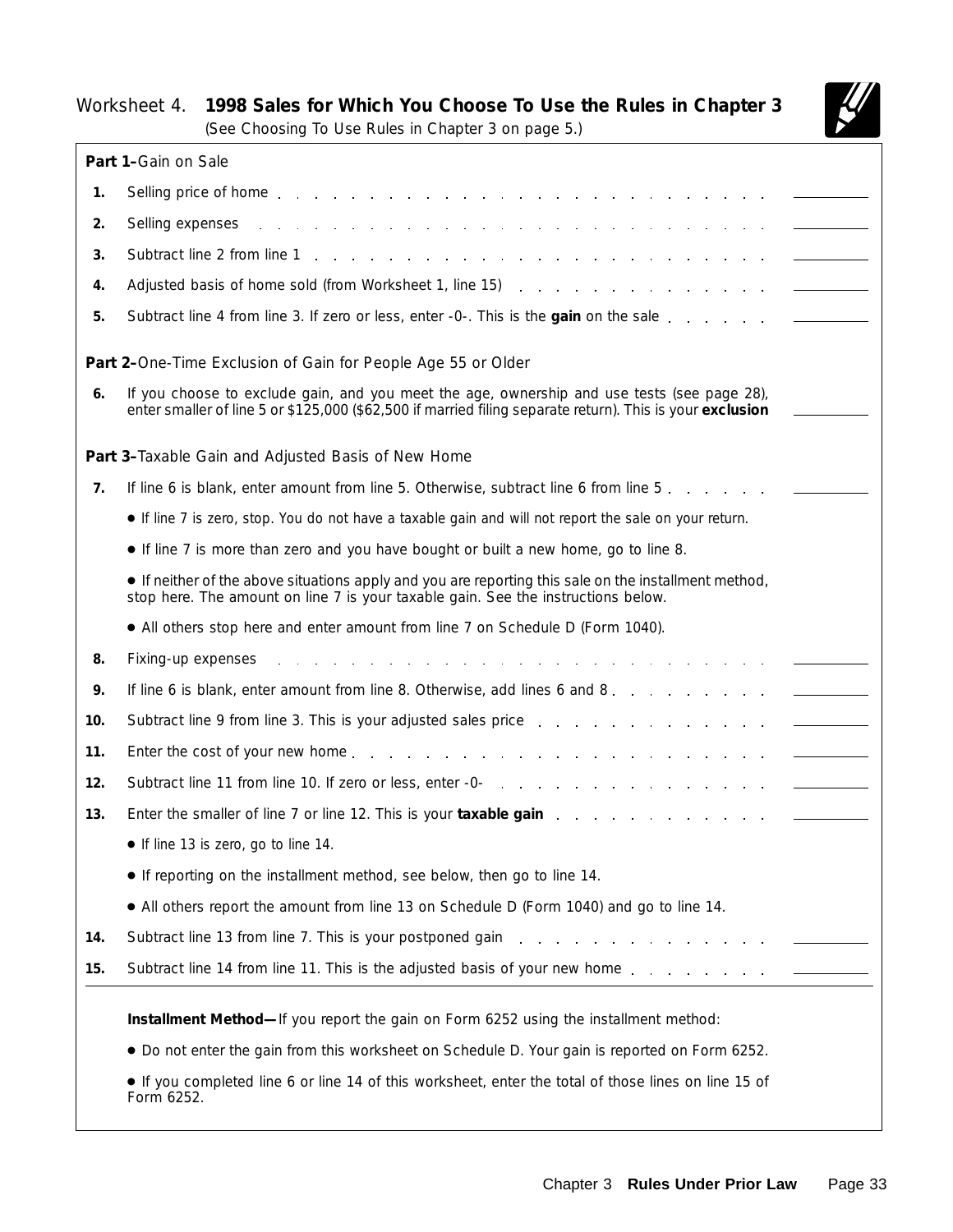## Worksheet 4. **1998 Sales for Which You Choose To Use the Rules in Chapter 3**



(See *Choosing To Use Rules in Chapter 3* on page 5.)

|     | Part 1-Gain on Sale                                                                                                                                                                                                            |
|-----|--------------------------------------------------------------------------------------------------------------------------------------------------------------------------------------------------------------------------------|
| 1.  |                                                                                                                                                                                                                                |
| 2.  | Selling expenses<br>the contract of the contract of the contract of the contract of                                                                                                                                            |
| 3.  | Subtract line 2 from line 1 and 1 and 1 and 1 and 1 and 1 and 1 and 1 and 1 and 1 and 1 and 1 and 1 and 1 and 1 and 1 and 1 and 1 and 1 and 1 and 1 and 1 and 1 and 1 and 1 and 1 and 1 and 1 and 1 and 1 and 1 and 1 and 1 an |
| 4.  | Adjusted basis of home sold (from Worksheet 1, line 15)                                                                                                                                                                        |
| 5.  |                                                                                                                                                                                                                                |
|     | Part 2-One-Time Exclusion of Gain for People Age 55 or Older                                                                                                                                                                   |
| 6.  | If you choose to exclude gain, and you meet the age, ownership and use tests (see page 28),<br>enter smaller of line 5 or \$125,000 (\$62,500 if married filing separate return). This is your exclusion                       |
|     | Part 3-Taxable Gain and Adjusted Basis of New Home                                                                                                                                                                             |
| 7.  |                                                                                                                                                                                                                                |
|     | • If line 7 is zero, stop. You do not have a taxable gain and will not report the sale on your return.                                                                                                                         |
|     | • If line 7 is more than zero and you have bought or built a new home, go to line 8.                                                                                                                                           |
|     | • If neither of the above situations apply and you are reporting this sale on the installment method,<br>stop here. The amount on line 7 is your taxable gain. See the instructions below.                                     |
|     | • All others stop here and enter amount from line 7 on Schedule D (Form 1040).                                                                                                                                                 |
| 8.  | Fixing-up expenses                                                                                                                                                                                                             |
| 9.  | If line 6 is blank, enter amount from line 8. Otherwise, add lines 6 and 8.                                                                                                                                                    |
| 10. | Subtract line 9 from line 3. This is your adjusted sales price                                                                                                                                                                 |
| 11. |                                                                                                                                                                                                                                |
| 12. | Subtract line 11 from line 10. If zero or less, enter -0-                                                                                                                                                                      |
| 13. | Enter the smaller of line 7 or line 12. This is your taxable gain                                                                                                                                                              |
|     | • If line 13 is zero, go to line 14.                                                                                                                                                                                           |
|     | • If reporting on the installment method, see below, then go to line 14.                                                                                                                                                       |
|     | • All others report the amount from line 13 on Schedule D (Form 1040) and go to line 14.                                                                                                                                       |
| 14. | Subtract line 13 from line 7. This is your postponed gain and a contract line is a control of the substitution                                                                                                                 |
| 15. |                                                                                                                                                                                                                                |
|     | Installment Method-If you report the gain on Form 6252 using the installment method:                                                                                                                                           |
|     | • Do not enter the gain from this worksheet on Schedule D. Your gain is reported on Form 6252.                                                                                                                                 |
|     | If you completed line 6 or line 14 of this worksheet, enter the total of those lines on line 15 of<br>Form 6252.                                                                                                               |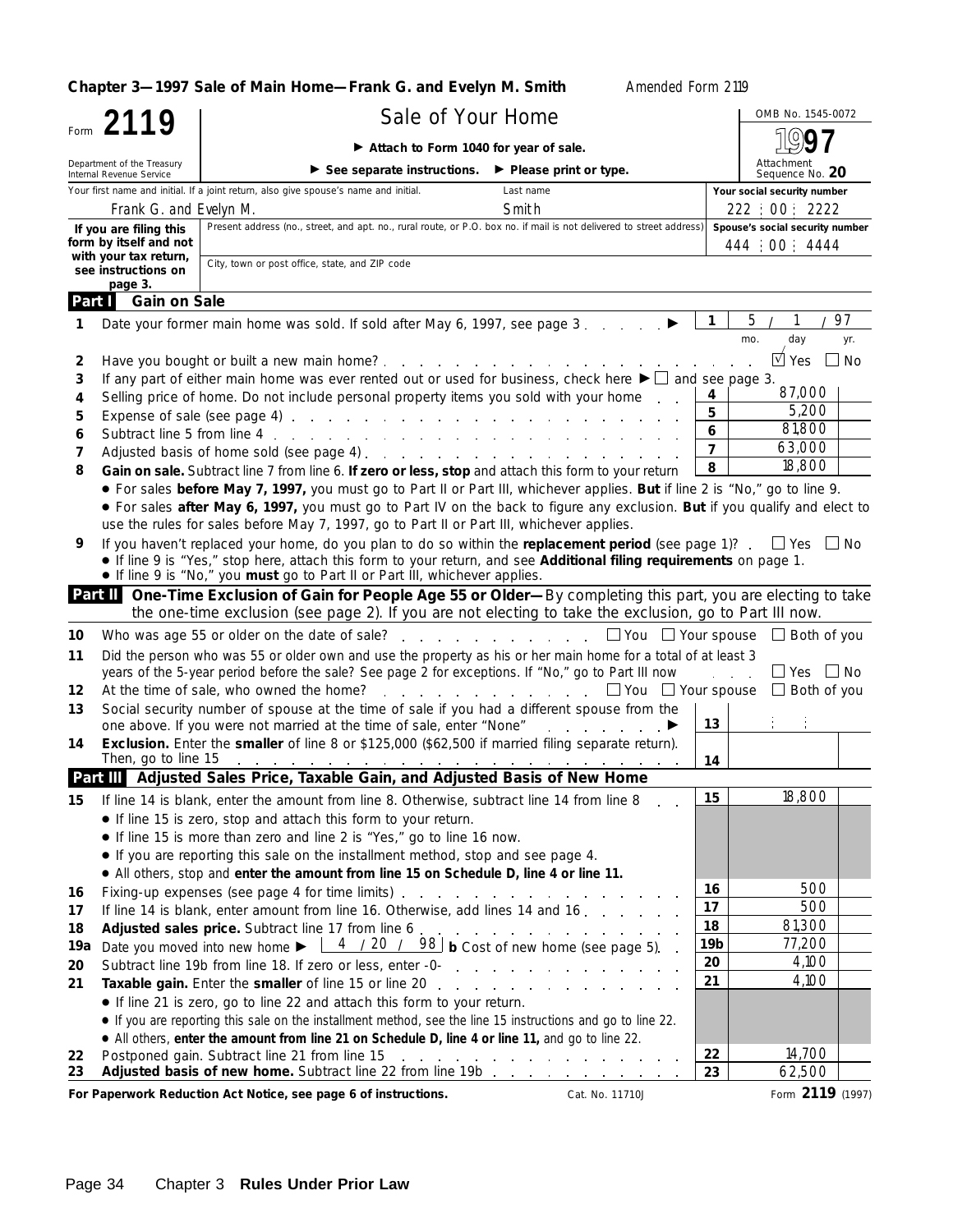**Chapter 3-1997 Sale of Main Home-Frank G. and Evelyn M. Smith Amended Form 2119** Sale of Your Home Sale of Your Home Form **2119 1997** © **Attach to Form 1040 for year of sale.** Department of the Treasury Attachment<br>Sequence No. 20 ▶ See separate instructions. ▶ Please print or type. Internal Revenue Service Your first name and initial. If a joint return, also give spouse's name and initial. Last name **Your social security number Your social security number** Frank G. and Evelyn M. **Smith** 222 | 00 | 2222 222 | 222 | 200 | 2222 Present address (no., street, and apt. no., rural route, or P.O. box no. if mail is not delivered to street address) **Spouse's social security number If you are filing this form by itself and not** 444 00 4444 **with your tax return,** City, town or post office, state, and ZIP code **see instructions on page 3. Gain on Sale Part I 1** Date your former main home was sold. If sold after May 6, 1997, see page 3 © / / **1** <u>5 / 1 / 97</u> mo. day yr. **2** Have you bought or built a new main home? Yes No  $\overrightarrow{u}$  Yes  $\Box$  No **3** If any part of either main home was ever rented out or used for business, check here  $\blacktriangleright \Box$  and see page 3. 87,000 **4** Selling price of home. Do not include personal property items you sold with your home  $\begin{array}{|l|l|} \hline 4 & 5 \\ \hline \end{array}$ 5,200 **5** Expense of sale (see page 4) **5** 81,800 **6** Subtract line 5 from line 4 **6**<br>**7** Adjusted basis of borro sold (see page 4) 63,000 **7** Adjusted basis of home sold (see page 4) **7** 18,800 **8 Gain on sale.** Subtract line 7 from line 6. If zero or less, stop and attach this form to your return  $8$ ● For sales **before May 7, 1997,** you must go to Part II or Part III, whichever applies. **But** if line 2 is "No," go to line 9. ● For sales **after May 6, 1997,** you must go to Part IV on the back to figure any exclusion. **But** if you qualify and elect to use the rules for sales before May 7, 1997, go to Part II or Part III, whichever applies. If you haven't replaced your home, do you plan to do so within the **replacement period** (see page 1)?  $\Box$  Yes  $\Box$  No **9** ● If line 9 is "Yes," stop here, attach this form to your return, and see **Additional filing requirements** on page 1. ● If line 9 is "No," you **must** go to Part II or Part III, whichever applies. **One-Time Exclusion of Gain for People Age 55 or Older—**By completing this part, you are electing to take **Part II** the one-time exclusion (see page 2). If you are not electing to take the exclusion, go to Part III now. **10** Who was age 55 or older on the date of sale?  $\; \dots \; \dots \; \dots \; \dots \; \square$  You  $\;\square$  Your spouse  $\;\square$  Both of you Did the person who was 55 or older own and use the property as his or her main home for a total of at least 3 **11** years of the 5-year period before the sale? See page 2 for exceptions. If "No," go to Part III now  $\Box$   $\Box$  Yes  $\Box$  No **12** At the time of sale, who owned the home?  $\ldots$ ,  $\ldots$ ,  $\ldots$ ,  $\Box$  You  $\Box$  Your spouse  $\Box$  Both of you Social security number of spouse at the time of sale if you had a different spouse from the **13** one above. If you were not married at the time of sale, enter "None" (and according out of ▶ **13 14 Exclusion.** Enter the **smaller** of line 8 or \$125,000 (\$62,500 if married filing separate return). Then, go to line 15 (a) is a set of the set of the set of the set of the set of the set of the set of the set of the set of the set of the set of the set of the set of the set of the set of the set of the set of the set of **14 Adjusted Sales Price, Taxable Gain, and Adjusted Basis of New Home Part III 15** 18,800 **15** If line 14 is blank, enter the amount from line 8. Otherwise, subtract line 14 from line 8 ● If line 15 is zero, stop and attach this form to your return. ● If line 15 is more than zero and line 2 is "Yes," go to line 16 now. ● If you are reporting this sale on the installment method, stop and see page 4. ● All others, stop and **enter the amount from line 15 on Schedule D, line 4 or line 11.** 500 Fixing-up expenses (see page 4 for time limits) . . . . . . . . . . . . . . . **16 16 17** 500 **17** If line 14 is blank, enter amount from line 16. Otherwise, add lines 14 and 16 **18** 81,300 **18 Adjusted sales price.** Subtract line 17 from line 6 77,200 Date you moved into new home  $\blacktriangleright$   $\begin{array}{|c|c|c|c|c|c|}\n 4 & 7 & 20 & 7 & 98 \\
\hline\n & 9 & 9 & 9 & 9 \\
\hline\n\end{array}$  b Cost of new home (see page 5). **19a** <u>4 / 20 / 98</u> **20** 4,100 **20** Subtract line 19b from line 18. If zero or less, enter -0- **21** 4,100 **Taxable gain.** Enter the **smaller** of line 15 or line 20 **21** ● If line 21 is zero, go to line 22 and attach this form to your return. ● If you are reporting this sale on the installment method, see the line 15 instructions and go to line 22. ● All others, **enter the amount from line 21 on Schedule D, line 4 or line 11,** and go to line 22. 14,700 **22** Postponed gain. Subtract line 21 from line 15 and the company **22 Adjusted basis of new home.** Subtract line 22 from line 19b 62,500 **23 23**

For Paperwork Reduction Act Notice, see page 6 of instructions. Cat. No. 11710J Form 2119 (1997)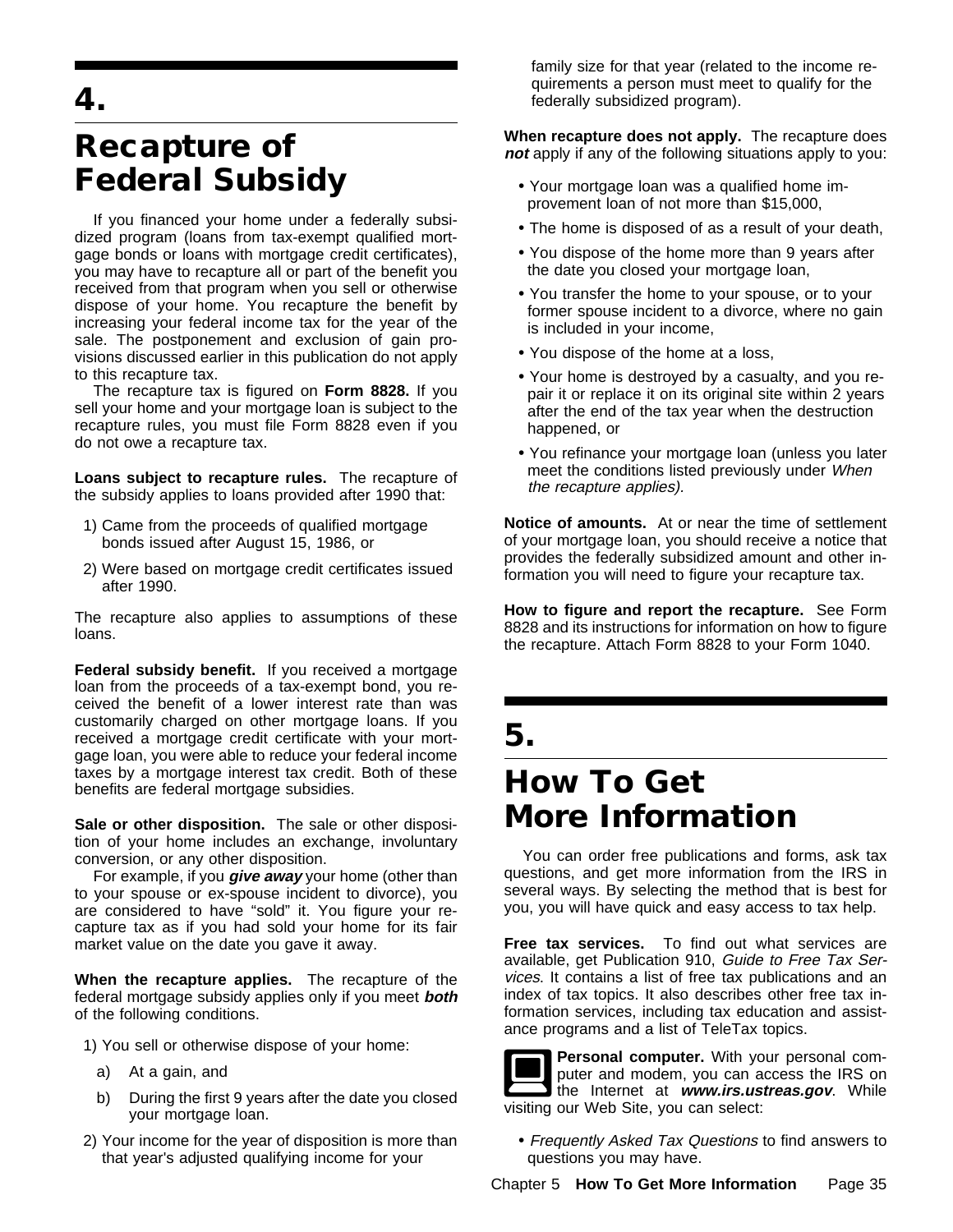**4.**

## **Recapture of Federal Subsidy**

If you financed your home under a federally subsidized program (loans from tax-exempt qualified mortgage bonds or loans with mortgage credit certificates), you may have to recapture all or part of the benefit you received from that program when you sell or otherwise dispose of your home. You recapture the benefit by increasing your federal income tax for the year of the sale. The postponement and exclusion of gain provisions discussed earlier in this publication do not apply to this recapture tax.

The recapture tax is figured on **Form 8828.** If you sell your home and your mortgage loan is subject to the recapture rules, you must file Form 8828 even if you do not owe a recapture tax.

**Loans subject to recapture rules.** The recapture of the subsidy applies to loans provided after 1990 that:

- 1) Came from the proceeds of qualified mortgage bonds issued after August 15, 1986, or
- 2) Were based on mortgage credit certificates issued after 1990.

The recapture also applies to assumptions of these loans.

**Federal subsidy benefit.** If you received a mortgage loan from the proceeds of a tax-exempt bond, you received the benefit of a lower interest rate than was customarily charged on other mortgage loans. If you received a mortgage credit certificate with your mortgage loan, you were able to reduce your federal income taxes by a mortgage interest tax credit. Both of these benefits are federal mortgage subsidies.

**Sale or other disposition.** The sale or other disposition of your home includes an exchange, involuntary conversion, or any other disposition.

For example, if you **give away** your home (other than to your spouse or ex-spouse incident to divorce), you are considered to have "sold" it. You figure your recapture tax as if you had sold your home for its fair market value on the date you gave it away.

**When the recapture applies.** The recapture of the federal mortgage subsidy applies only if you meet **both** of the following conditions.

1) You sell or otherwise dispose of your home:

- a) At a gain, and
- b) During the first 9 years after the date you closed your mortgage loan.
- 2) Your income for the year of disposition is more than that year's adjusted qualifying income for your

family size for that year (related to the income requirements a person must meet to qualify for the federally subsidized program).

**When recapture does not apply.** The recapture does **not** apply if any of the following situations apply to you:

- Your mortgage loan was a qualified home improvement loan of not more than \$15,000,
- The home is disposed of as a result of your death,
- You dispose of the home more than 9 years after the date you closed your mortgage loan,
- You transfer the home to your spouse, or to your former spouse incident to a divorce, where no gain is included in your income,
- You dispose of the home at a loss,
- Your home is destroyed by a casualty, and you repair it or replace it on its original site within 2 years after the end of the tax year when the destruction happened, or
- You refinance your mortgage loan (unless you later meet the conditions listed previously under When the recapture applies).

**Notice of amounts.** At or near the time of settlement of your mortgage loan, you should receive a notice that provides the federally subsidized amount and other information you will need to figure your recapture tax.

**How to figure and report the recapture.** See Form 8828 and its instructions for information on how to figure the recapture. Attach Form 8828 to your Form 1040.

## **5.**

## **How To Get More Information**

You can order free publications and forms, ask tax questions, and get more information from the IRS in several ways. By selecting the method that is best for you, you will have quick and easy access to tax help.

**Free tax services.** To find out what services are available, get Publication 910, Guide to Free Tax Services. It contains a list of free tax publications and an index of tax topics. It also describes other free tax information services, including tax education and assistance programs and a list of TeleTax topics.



• Frequently Asked Tax Questions to find answers to questions you may have.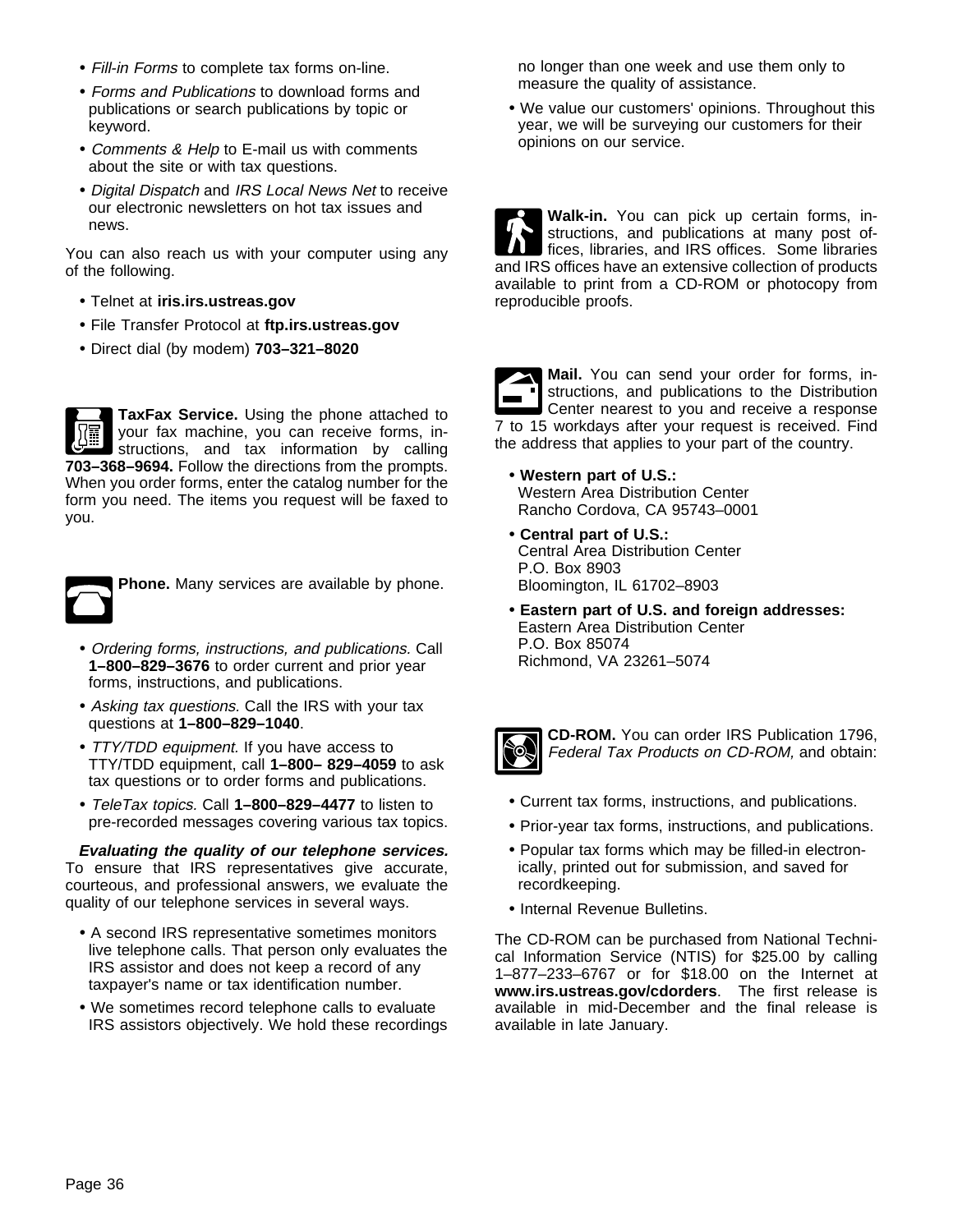- Fill-in Forms to complete tax forms on-line.
- Forms and Publications to download forms and publications or search publications by topic or keyword.
- Comments & Help to E-mail us with comments about the site or with tax questions.
- Digital Dispatch and IRS Local News Net to receive our electronic newsletters on hot tax issues and news.

You can also reach us with your computer using any of the following.

- Telnet at **iris.irs.ustreas.gov**
- File Transfer Protocol at **ftp.irs.ustreas.gov**
- Direct dial (by modem) **703–321–8020**

**TaxFax Service.** Using the phone attached to your fax machine, you can receive forms, instructions, and tax information by calling **703–368–9694.** Follow the directions from the prompts. When you order forms, enter the catalog number for the form you need. The items you request will be faxed to you.



**Phone.** Many services are available by phone.

- Ordering forms, instructions, and publications. Call **1–800–829–3676** to order current and prior year forms, instructions, and publications.
- Asking tax questions. Call the IRS with your tax questions at **1–800–829–1040**.
- TTY/TDD equipment. If you have access to TTY/TDD equipment, call **1–800– 829–4059** to ask tax questions or to order forms and publications.
- TeleTax topics. Call **1–800–829–4477** to listen to pre-recorded messages covering various tax topics.

**Evaluating the quality of our telephone services.** To ensure that IRS representatives give accurate, courteous, and professional answers, we evaluate the quality of our telephone services in several ways.

- A second IRS representative sometimes monitors live telephone calls. That person only evaluates the IRS assistor and does not keep a record of any taxpayer's name or tax identification number.
- We sometimes record telephone calls to evaluate IRS assistors objectively. We hold these recordings

no longer than one week and use them only to measure the quality of assistance.

• We value our customers' opinions. Throughout this year, we will be surveying our customers for their opinions on our service.

**Walk-in.** You can pick up certain forms, instructions, and publications at many post offices, libraries, and IRS offices. Some libraries and IRS offices have an extensive collection of products available to print from a CD-ROM or photocopy from reproducible proofs.

**Mail.** You can send your order for forms, instructions, and publications to the Distribution Center nearest to you and receive a response 7 to 15 workdays after your request is received. Find the address that applies to your part of the country.

- **Western part of U.S.:**  Western Area Distribution Center Rancho Cordova, CA 95743–0001
- **Central part of U.S.:**  Central Area Distribution Center P.O. Box 8903 Bloomington, IL 61702–8903
- **Eastern part of U.S. and foreign addresses:** Eastern Area Distribution Center P.O. Box 85074 Richmond, VA 23261–5074



**CD-ROM.** You can order IRS Publication 1796, Federal Tax Products on CD-ROM, and obtain:

- Current tax forms, instructions, and publications.
- Prior-year tax forms, instructions, and publications.
- Popular tax forms which may be filled-in electronically, printed out for submission, and saved for recordkeeping.
- Internal Revenue Bulletins.

The CD-ROM can be purchased from National Technical Information Service (NTIS) for \$25.00 by calling 1–877–233–6767 or for \$18.00 on the Internet at **www.irs.ustreas.gov/cdorders**. The first release is available in mid-December and the final release is available in late January.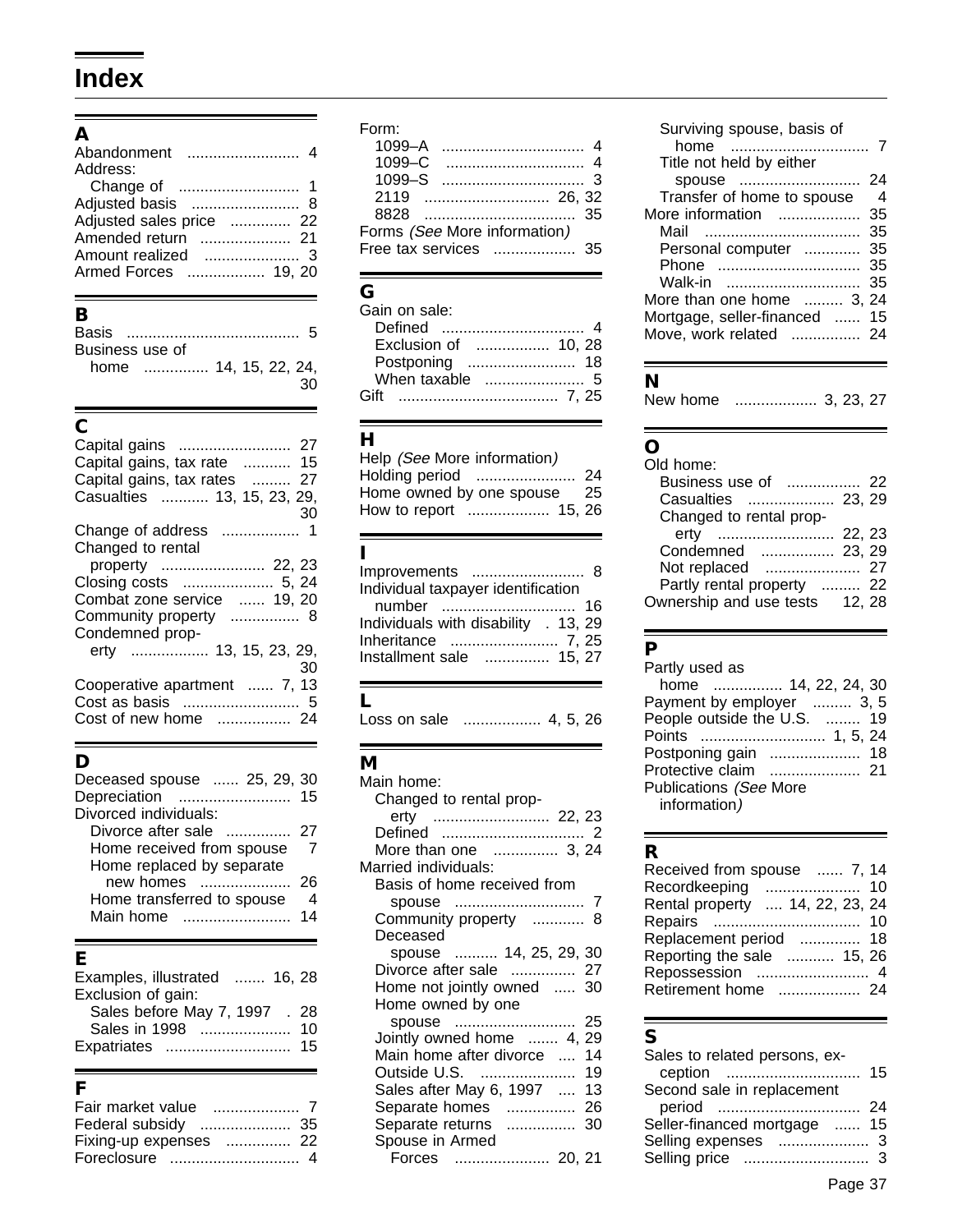## **Index**

### **A**

| Abandonment              |  |
|--------------------------|--|
| Address:                 |  |
|                          |  |
| Adjusted basis           |  |
| Adjusted sales price  22 |  |
| Amended return           |  |
| Amount realized          |  |
| Armed Forces  19, 20     |  |

### **B**

| Business use of       |  |  |    |
|-----------------------|--|--|----|
| home  14, 15, 22, 24, |  |  |    |
|                       |  |  | 30 |

### **C**

| Capital gains, tax rate  15  |
|------------------------------|
| Capital gains, tax rates  27 |
| Casualties  13, 15, 23, 29,  |
| 30                           |
|                              |
| Changed to rental            |
| property  22, 23             |
|                              |
| Combat zone service  19, 20  |
| Community property  8        |
| Condemned prop-              |
| erty  13, 15, 23, 29,        |
| 30                           |
| Cooperative apartment  7, 13 |
|                              |
| Cost of new home  24         |
|                              |

## **D**

| Deceased spouse  25, 29, 30<br>Depreciation                                                                                                                                                                                                          | 15 |
|------------------------------------------------------------------------------------------------------------------------------------------------------------------------------------------------------------------------------------------------------|----|
| Divorced individuals:                                                                                                                                                                                                                                |    |
| Divorce after sale<br>and a construction of the second service of the service of the service of the service of the service of the service of the service of the service of the service of the service of the service of the service of the service o | 27 |
| Home received from spouse                                                                                                                                                                                                                            |    |
| Home replaced by separate                                                                                                                                                                                                                            |    |
| new homes<br>.                                                                                                                                                                                                                                       | 26 |
| Home transferred to spouse                                                                                                                                                                                                                           |    |
| Main home                                                                                                                                                                                                                                            | 14 |
|                                                                                                                                                                                                                                                      |    |

## **E**

| Examples, illustrated<br>…… 16. 28 |    |
|------------------------------------|----|
| Exclusion of gain:                 |    |
| Sales before May 7, 1997 . 28      |    |
| Sales in 1998                      | 10 |
| Expatriates                        | 15 |

### **F**

| Fair market value      |  |
|------------------------|--|
|                        |  |
| Fixing-up expenses  22 |  |
|                        |  |

### Form:

| $1099 - A$                   |  |
|------------------------------|--|
| $1099 - C$                   |  |
| $1099-S$                     |  |
|                              |  |
|                              |  |
| Forms (See More information) |  |
| Free tax services  35        |  |
|                              |  |

## **G**

| Exclusion of  10, 28 |  |
|----------------------|--|
|                      |  |
|                      |  |
|                      |  |

### **H**

| Help (See More information) |     |
|-----------------------------|-----|
| Holding period              | -24 |
| Home owned by one spouse    | -25 |
| How to report  15, 26       |     |

### **I**

| Improvements  8                      |  |
|--------------------------------------|--|
| Individual taxpayer identification   |  |
|                                      |  |
| Individuals with disability . 13, 29 |  |
| Inheritance  7, 25                   |  |
| Installment sale  15, 27             |  |
|                                      |  |

### **L**

Loss on sale .................. 4, 5, 26

### **M**

| Main home:                  |  |
|-----------------------------|--|
| Changed to rental prop-     |  |
| erty  22, 23                |  |
|                             |  |
| More than one  3, 24        |  |
| Married individuals:        |  |
| Basis of home received from |  |
|                             |  |
| Community property  8       |  |
| Deceased                    |  |
| spouse  14, 25, 29, 30      |  |
| Divorce after sale  27      |  |
| Home not jointly owned  30  |  |
| Home owned by one           |  |
|                             |  |
| Jointly owned home  4, 29   |  |
| Main home after divorce  14 |  |
| Outside U.S.  19            |  |
| Sales after May 6, 1997  13 |  |
| Separate homes  26          |  |
| Separate returns  30        |  |
| Spouse in Armed             |  |
| Forces  20, 21              |  |

#### Surviving spouse, basis of home ................................ 7 Title not held by either spouse ............................ 24 Transfer of home to spouse 4 More information ................... 35 Mail .................................... 35 Personal computer .............. 35 Phone ................................. 35 Walk-in ............................... 35 More than one home ......... 3, 24 Mortgage, seller-financed ...... 15 Move, work related ................ 24

### **N**

New home ................... 3, 23, 27

## **O**

| Old home:                  |        |     |
|----------------------------|--------|-----|
| Business use of            |        | -22 |
| Casualties  23, 29         |        |     |
| Changed to rental prop-    |        |     |
| erty                       | 22, 23 |     |
| Condemned  23, 29          |        |     |
| Not replaced               |        | 27  |
| Partly rental property  22 |        |     |
| Ownership and use tests    | 12.28  |     |
|                            |        |     |

### **P**

| Partly used as            |    |
|---------------------------|----|
| home  14, 22, 24, 30      |    |
| Payment by employer  3, 5 |    |
| People outside the U.S.   | 19 |
| Points                    |    |
| Postponing gain           |    |
| Protective claim<br>21    |    |
| Publications (See More    |    |
| information)              |    |
|                           |    |

## **R**

| . .                             |    |
|---------------------------------|----|
| Received from spouse  7, 14     |    |
| Recordkeeping                   | 10 |
| Rental property  14, 22, 23, 24 |    |
| Repairs                         | 10 |
| Replacement period              | 18 |
| Reporting the sale<br>15, 26    |    |
| Repossession                    |    |
| Retirement home<br>24           |    |
|                                 |    |

### **S**

| Sales to related persons, ex-      |    |
|------------------------------------|----|
| ception                            | 15 |
| Second sale in replacement         |    |
|                                    | 24 |
| Seller-financed mortgage<br>$\sim$ | 15 |
| Selling expenses                   |    |
| Selling price                      | 3  |
|                                    |    |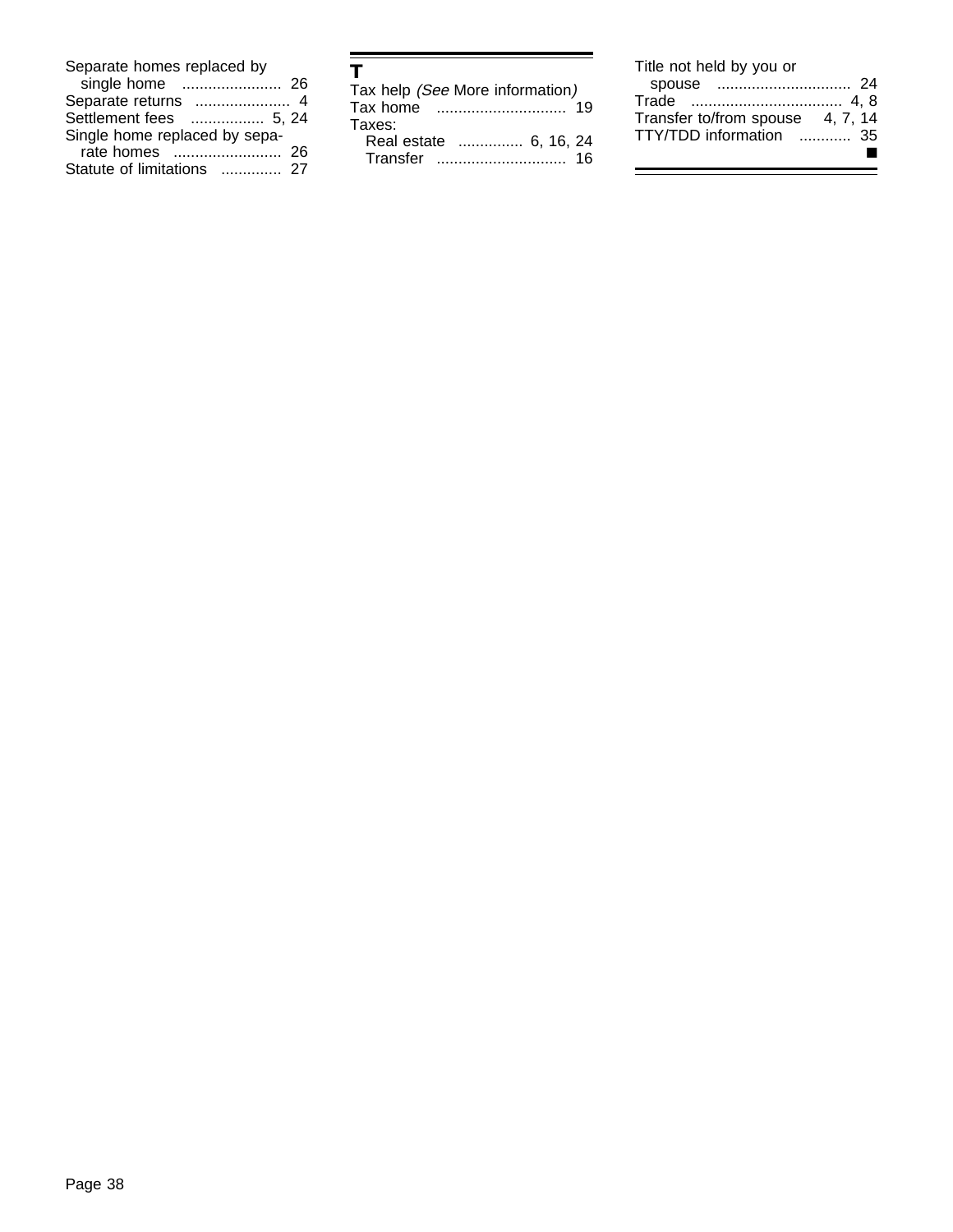| Separate homes replaced by    |    |
|-------------------------------|----|
| single home                   | 26 |
| Separate returns              | 4  |
| Settlement fees<br>. 5. 24    |    |
| Single home replaced by sepa- |    |
| rate homes                    | 26 |
| Statute of limitations        | 27 |

| т                               |    |
|---------------------------------|----|
| Tax help (See More information) |    |
| Tax home                        | 10 |
| Taxes:                          |    |
| Real estate  6, 16, 24          |    |
| Transfer                        | 16 |

| Title not held by you or         |  |
|----------------------------------|--|
|                                  |  |
|                                  |  |
| Transfer to/from spouse 4, 7, 14 |  |
| TTY/TDD information  35          |  |
|                                  |  |